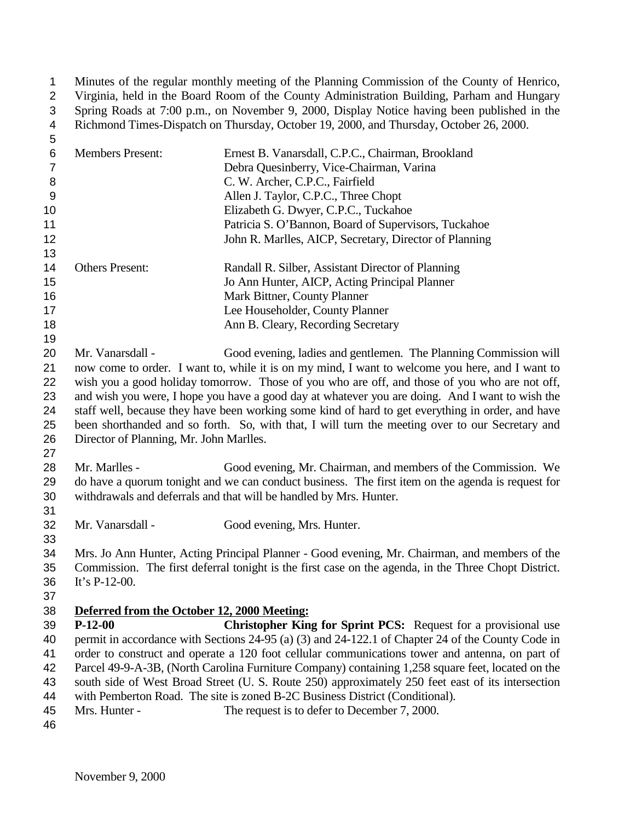Minutes of the regular monthly meeting of the Planning Commission of the County of Henrico, Virginia, held in the Board Room of the County Administration Building, Parham and Hungary Spring Roads at 7:00 p.m., on November 9, 2000, Display Notice having been published in the Richmond Times-Dispatch on Thursday, October 19, 2000, and Thursday, October 26, 2000.

| 5  |                         |                                                        |
|----|-------------------------|--------------------------------------------------------|
| 6  | <b>Members Present:</b> | Ernest B. Vanarsdall, C.P.C., Chairman, Brookland      |
|    |                         | Debra Quesinberry, Vice-Chairman, Varina               |
| 8  |                         | C. W. Archer, C.P.C., Fairfield                        |
| 9  |                         | Allen J. Taylor, C.P.C., Three Chopt                   |
| 10 |                         | Elizabeth G. Dwyer, C.P.C., Tuckahoe                   |
| 11 |                         | Patricia S. O'Bannon, Board of Supervisors, Tuckahoe   |
| 12 |                         | John R. Marlles, AICP, Secretary, Director of Planning |
| 13 |                         |                                                        |
| 14 | <b>Others Present:</b>  | Randall R. Silber, Assistant Director of Planning      |
| 15 |                         | Jo Ann Hunter, AICP, Acting Principal Planner          |
| 16 |                         | Mark Bittner, County Planner                           |
| 17 |                         | Lee Householder, County Planner                        |
| 18 |                         | Ann B. Cleary, Recording Secretary                     |
| 19 |                         |                                                        |

 Mr. Vanarsdall - Good evening, ladies and gentlemen. The Planning Commission will now come to order. I want to, while it is on my mind, I want to welcome you here, and I want to wish you a good holiday tomorrow. Those of you who are off, and those of you who are not off, and wish you were, I hope you have a good day at whatever you are doing. And I want to wish the staff well, because they have been working some kind of hard to get everything in order, and have been shorthanded and so forth. So, with that, I will turn the meeting over to our Secretary and Director of Planning, Mr. John Marlles.

 Mr. Marlles - Good evening, Mr. Chairman, and members of the Commission. We do have a quorum tonight and we can conduct business. The first item on the agenda is request for withdrawals and deferrals and that will be handled by Mrs. Hunter.

Mr. Vanarsdall - Good evening, Mrs. Hunter.

 Mrs. Jo Ann Hunter, Acting Principal Planner - Good evening, Mr. Chairman, and members of the Commission. The first deferral tonight is the first case on the agenda, in the Three Chopt District. It's P-12-00.

## **Deferred from the October 12, 2000 Meeting:**

 **P-12-00 Christopher King for Sprint PCS:** Request for a provisional use permit in accordance with Sections 24-95 (a) (3) and 24-122.1 of Chapter 24 of the County Code in order to construct and operate a 120 foot cellular communications tower and antenna, on part of Parcel 49-9-A-3B, (North Carolina Furniture Company) containing 1,258 square feet, located on the south side of West Broad Street (U. S. Route 250) approximately 250 feet east of its intersection with Pemberton Road. The site is zoned B-2C Business District (Conditional).

- 45 Mrs. Hunter The request is to defer to December 7, 2000.
-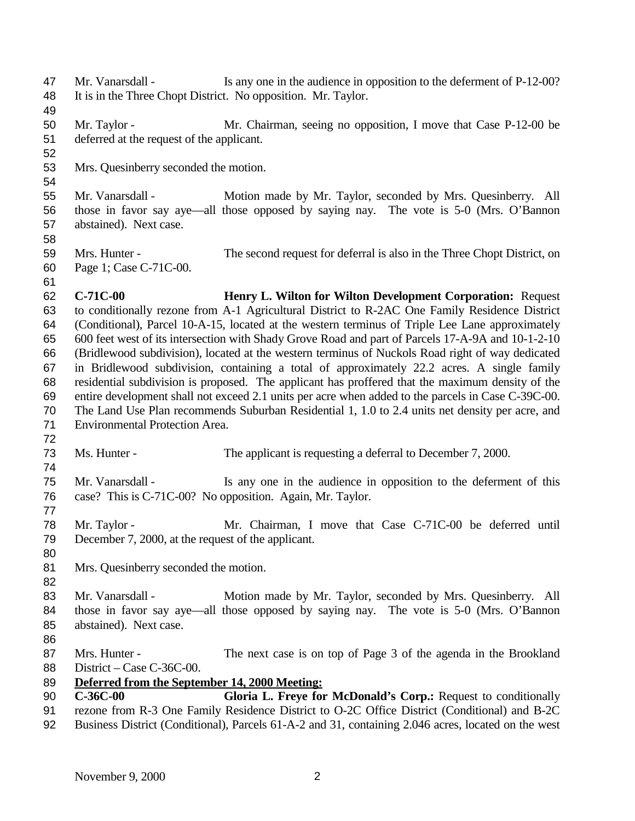47 Mr. Vanarsdall - Is any one in the audience in opposition to the deferment of P-12-00? It is in the Three Chopt District. No opposition. Mr. Taylor. Mr. Taylor - Mr. Chairman, seeing no opposition, I move that Case P-12-00 be deferred at the request of the applicant. Mrs. Quesinberry seconded the motion. Mr. Vanarsdall - Motion made by Mr. Taylor, seconded by Mrs. Quesinberry. All those in favor say aye—all those opposed by saying nay. The vote is 5-0 (Mrs. O'Bannon abstained). Next case. Mrs. Hunter - The second request for deferral is also in the Three Chopt District, on Page 1; Case C-71C-00. **C-71C-00 Henry L. Wilton for Wilton Development Corporation:** Request to conditionally rezone from A-1 Agricultural District to R-2AC One Family Residence District (Conditional), Parcel 10-A-15, located at the western terminus of Triple Lee Lane approximately 600 feet west of its intersection with Shady Grove Road and part of Parcels 17-A-9A and 10-1-2-10 (Bridlewood subdivision), located at the western terminus of Nuckols Road right of way dedicated in Bridlewood subdivision, containing a total of approximately 22.2 acres. A single family residential subdivision is proposed. The applicant has proffered that the maximum density of the entire development shall not exceed 2.1 units per acre when added to the parcels in Case C-39C-00. The Land Use Plan recommends Suburban Residential 1, 1.0 to 2.4 units net density per acre, and Environmental Protection Area. 73 Ms. Hunter - The applicant is requesting a deferral to December 7, 2000. Mr. Vanarsdall - Is any one in the audience in opposition to the deferment of this case? This is C-71C-00? No opposition. Again, Mr. Taylor. Mr. Taylor - Mr. Chairman, I move that Case C-71C-00 be deferred until December 7, 2000, at the request of the applicant. Mrs. Quesinberry seconded the motion. Mr. Vanarsdall - Motion made by Mr. Taylor, seconded by Mrs. Quesinberry. All those in favor say aye—all those opposed by saying nay. The vote is 5-0 (Mrs. O'Bannon abstained). Next case. Mrs. Hunter - The next case is on top of Page 3 of the agenda in the Brookland District – Case C-36C-00. **Deferred from the September 14, 2000 Meeting: C-36C-00 Gloria L. Freye for McDonald's Corp.:** Request to conditionally rezone from R-3 One Family Residence District to O-2C Office District (Conditional) and B-2C Business District (Conditional), Parcels 61-A-2 and 31, containing 2.046 acres, located on the west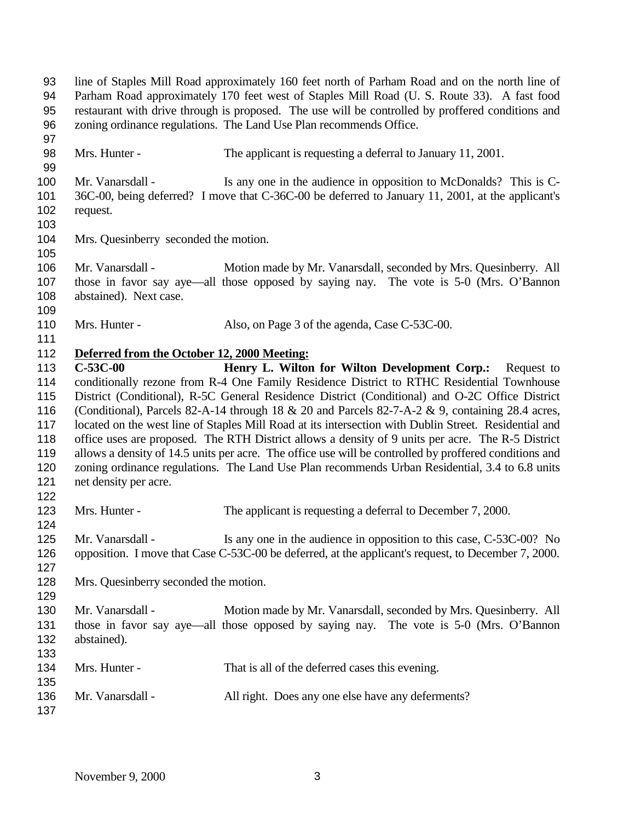line of Staples Mill Road approximately 160 feet north of Parham Road and on the north line of Parham Road approximately 170 feet west of Staples Mill Road (U. S. Route 33). A fast food restaurant with drive through is proposed. The use will be controlled by proffered conditions and zoning ordinance regulations. The Land Use Plan recommends Office. Mrs. Hunter - The applicant is requesting a deferral to January 11, 2001. 100 Mr. Vanarsdall - Is any one in the audience in opposition to McDonalds? This is C- 36C-00, being deferred? I move that C-36C-00 be deferred to January 11, 2001, at the applicant's request. Mrs. Quesinberry seconded the motion. Mr. Vanarsdall - Motion made by Mr. Vanarsdall, seconded by Mrs. Quesinberry. All those in favor say aye—all those opposed by saying nay. The vote is 5-0 (Mrs. O'Bannon abstained). Next case. 110 Mrs. Hunter - Also, on Page 3 of the agenda, Case C-53C-00. **Deferred from the October 12, 2000 Meeting: C-53C-00 Henry L. Wilton for Wilton Development Corp.:** Request to conditionally rezone from R-4 One Family Residence District to RTHC Residential Townhouse District (Conditional), R-5C General Residence District (Conditional) and O-2C Office District (Conditional), Parcels 82-A-14 through 18 & 20 and Parcels 82-7-A-2 & 9, containing 28.4 acres, located on the west line of Staples Mill Road at its intersection with Dublin Street. Residential and office uses are proposed. The RTH District allows a density of 9 units per acre. The R-5 District allows a density of 14.5 units per acre. The office use will be controlled by proffered conditions and zoning ordinance regulations. The Land Use Plan recommends Urban Residential, 3.4 to 6.8 units net density per acre. 123 Mrs. Hunter - The applicant is requesting a deferral to December 7, 2000. Mr. Vanarsdall - Is any one in the audience in opposition to this case, C-53C-00? No opposition. I move that Case C-53C-00 be deferred, at the applicant's request, to December 7, 2000. Mrs. Quesinberry seconded the motion. Mr. Vanarsdall - Motion made by Mr. Vanarsdall, seconded by Mrs. Quesinberry. All those in favor say aye—all those opposed by saying nay. The vote is 5-0 (Mrs. O'Bannon abstained). Mrs. Hunter - That is all of the deferred cases this evening. Mr. Vanarsdall - All right. Does any one else have any deferments?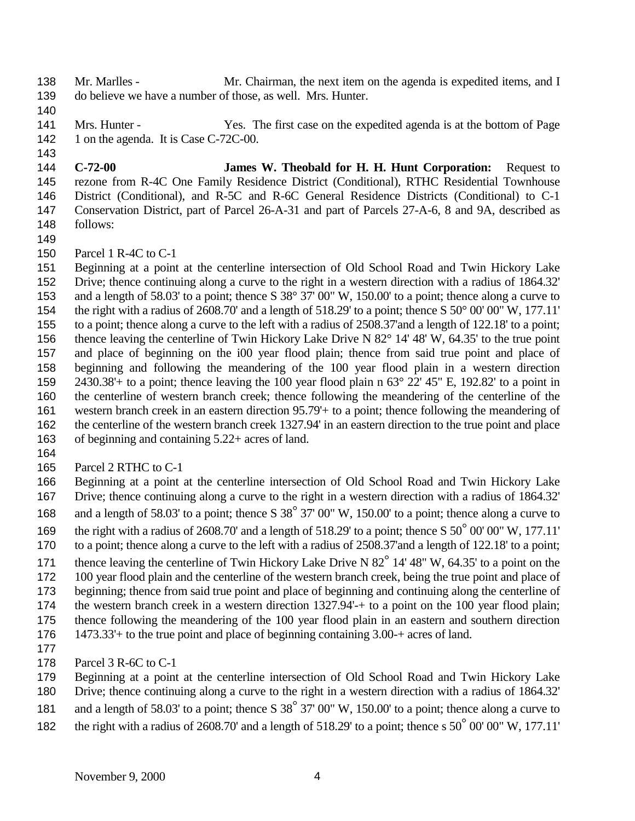- 138 Mr. Marlles Mr. Chairman, the next item on the agenda is expedited items, and I do believe we have a number of those, as well. Mrs. Hunter.
- 

- Mrs. Hunter Yes. The first case on the expedited agenda is at the bottom of Page 142 1 on the agenda. It is Case C-72C-00.
- **C-72-00 James W. Theobald for H. H. Hunt Corporation:** Request to rezone from R-4C One Family Residence District (Conditional), RTHC Residential Townhouse District (Conditional), and R-5C and R-6C General Residence Districts (Conditional) to C-1 Conservation District, part of Parcel 26-A-31 and part of Parcels 27-A-6, 8 and 9A, described as follows:
- 
- Parcel 1 R-4C to C-1
- Beginning at a point at the centerline intersection of Old School Road and Twin Hickory Lake Drive; thence continuing along a curve to the right in a western direction with a radius of 1864.32' and a length of 58.03' to a point; thence S 38° 37' 00" W, 150.00' to a point; thence along a curve to the right with a radius of 2608.70' and a length of 518.29' to a point; thence S 50° 00' 00" W, 177.11' to a point; thence along a curve to the left with a radius of 2508.37'and a length of 122.18' to a point; thence leaving the centerline of Twin Hickory Lake Drive N 82° 14' 48' W, 64.35' to the true point and place of beginning on the i00 year flood plain; thence from said true point and place of beginning and following the meandering of the 100 year flood plain in a western direction 2430.38'+ to a point; thence leaving the 100 year flood plain n 63° 22' 45" E, 192.82' to a point in the centerline of western branch creek; thence following the meandering of the centerline of the western branch creek in an eastern direction 95.79'+ to a point; thence following the meandering of the centerline of the western branch creek 1327.94' in an eastern direction to the true point and place of beginning and containing 5.22+ acres of land.
- 
- Parcel 2 RTHC to C-1
- Beginning at a point at the centerline intersection of Old School Road and Twin Hickory Lake Drive; thence continuing along a curve to the right in a western direction with a radius of 1864.32'
- 168 and a length of 58.03' to a point; thence S 38<sup>°</sup> 37' 00" W, 150.00' to a point; thence along a curve to
- the right with a radius of 2608.70' and a length of 518.29' to a point; thence S 50° 00' 00" W, 177.11'
- to a point; thence along a curve to the left with a radius of 2508.37'and a length of 122.18' to a point;
- 171 thence leaving the centerline of Twin Hickory Lake Drive N 82<sup>°</sup> 14' 48" W, 64.35' to a point on the
- 100 year flood plain and the centerline of the western branch creek, being the true point and place of
- beginning; thence from said true point and place of beginning and continuing along the centerline of
- the western branch creek in a western direction 1327.94'-+ to a point on the 100 year flood plain;
- thence following the meandering of the 100 year flood plain in an eastern and southern direction
- 1473.33'+ to the true point and place of beginning containing 3.00-+ acres of land.
- 
- Parcel 3 R-6C to C-1
- Beginning at a point at the centerline intersection of Old School Road and Twin Hickory Lake
- Drive; thence continuing along a curve to the right in a western direction with a radius of 1864.32'
- 181 and a length of 58.03' to a point; thence S 38<sup>°</sup> 37' 00" W, 150.00' to a point; thence along a curve to
- 182 the right with a radius of 2608.70' and a length of 518.29' to a point; thence s 50<sup>°</sup> 00' 00" W, 177.11'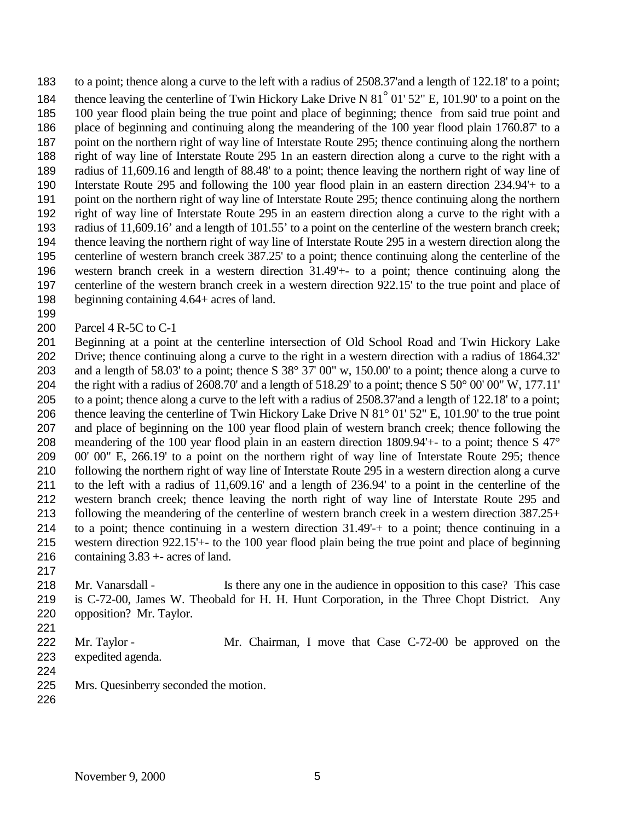to a point; thence along a curve to the left with a radius of 2508.37'and a length of 122.18' to a point; 184 thence leaving the centerline of Twin Hickory Lake Drive N 81<sup>°</sup> 01' 52" E, 101.90' to a point on the 100 year flood plain being the true point and place of beginning; thence from said true point and place of beginning and continuing along the meandering of the 100 year flood plain 1760.87' to a point on the northern right of way line of Interstate Route 295; thence continuing along the northern right of way line of Interstate Route 295 1n an eastern direction along a curve to the right with a radius of 11,609.16 and length of 88.48' to a point; thence leaving the northern right of way line of Interstate Route 295 and following the 100 year flood plain in an eastern direction 234.94'+ to a point on the northern right of way line of Interstate Route 295; thence continuing along the northern right of way line of Interstate Route 295 in an eastern direction along a curve to the right with a radius of 11,609.16' and a length of 101.55' to a point on the centerline of the western branch creek; thence leaving the northern right of way line of Interstate Route 295 in a western direction along the centerline of western branch creek 387.25' to a point; thence continuing along the centerline of the western branch creek in a western direction 31.49'+- to a point; thence continuing along the centerline of the western branch creek in a western direction 922.15' to the true point and place of beginning containing 4.64+ acres of land.

Parcel 4 R-5C to C-1

 Beginning at a point at the centerline intersection of Old School Road and Twin Hickory Lake Drive; thence continuing along a curve to the right in a western direction with a radius of 1864.32' and a length of 58.03' to a point; thence S 38° 37' 00" w, 150.00' to a point; thence along a curve to 204 the right with a radius of 2608.70' and a length of 518.29' to a point; thence  $S$  50° 00' 00" W, 177.11' to a point; thence along a curve to the left with a radius of 2508.37'and a length of 122.18' to a point; thence leaving the centerline of Twin Hickory Lake Drive N 81° 01' 52" E, 101.90' to the true point and place of beginning on the 100 year flood plain of western branch creek; thence following the meandering of the 100 year flood plain in an eastern direction 1809.94'+- to a point; thence S 47° 00' 00" E, 266.19' to a point on the northern right of way line of Interstate Route 295; thence following the northern right of way line of Interstate Route 295 in a western direction along a curve to the left with a radius of 11,609.16' and a length of 236.94' to a point in the centerline of the western branch creek; thence leaving the north right of way line of Interstate Route 295 and following the meandering of the centerline of western branch creek in a western direction 387.25+ to a point; thence continuing in a western direction 31.49'-+ to a point; thence continuing in a western direction 922.15'+- to the 100 year flood plain being the true point and place of beginning containing 3.83 +- acres of land.

 Mr. Vanarsdall - Is there any one in the audience in opposition to this case? This case is C-72-00, James W. Theobald for H. H. Hunt Corporation, in the Three Chopt District. Any opposition? Mr. Taylor.

- 
- 

222 Mr. Taylor - Mr. Chairman, I move that Case C-72-00 be approved on the

- expedited agenda.
- 
- Mrs. Quesinberry seconded the motion.
-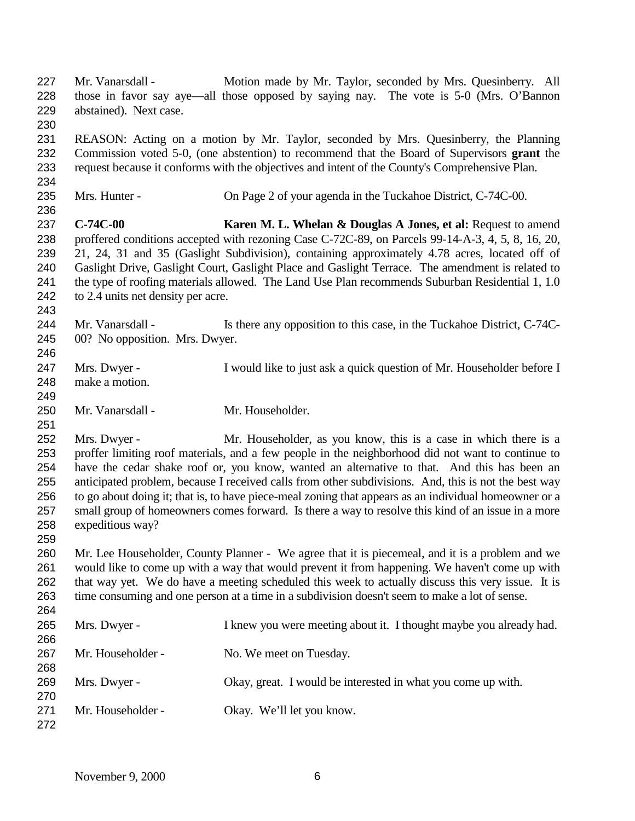Mr. Vanarsdall - Motion made by Mr. Taylor, seconded by Mrs. Quesinberry. All those in favor say aye—all those opposed by saying nay. The vote is 5-0 (Mrs. O'Bannon abstained). Next case. REASON: Acting on a motion by Mr. Taylor, seconded by Mrs. Quesinberry, the Planning Commission voted 5-0, (one abstention) to recommend that the Board of Supervisors **grant** the request because it conforms with the objectives and intent of the County's Comprehensive Plan. Mrs. Hunter - On Page 2 of your agenda in the Tuckahoe District, C-74C-00. **C-74C-00 Karen M. L. Whelan & Douglas A Jones, et al:** Request to amend proffered conditions accepted with rezoning Case C-72C-89, on Parcels 99-14-A-3, 4, 5, 8, 16, 20, 21, 24, 31 and 35 (Gaslight Subdivision), containing approximately 4.78 acres, located off of Gaslight Drive, Gaslight Court, Gaslight Place and Gaslight Terrace. The amendment is related to the type of roofing materials allowed. The Land Use Plan recommends Suburban Residential 1, 1.0 to 2.4 units net density per acre. 244 Mr. Vanarsdall - Is there any opposition to this case, in the Tuckahoe District, C-74C- 00? No opposition. Mrs. Dwyer. Mrs. Dwyer - I would like to just ask a quick question of Mr. Householder before I make a motion. 250 Mr. Vanarsdall - Mr. Householder. Mrs. Dwyer - Mr. Householder, as you know, this is a case in which there is a proffer limiting roof materials, and a few people in the neighborhood did not want to continue to have the cedar shake roof or, you know, wanted an alternative to that. And this has been an anticipated problem, because I received calls from other subdivisions. And, this is not the best way to go about doing it; that is, to have piece-meal zoning that appears as an individual homeowner or a small group of homeowners comes forward. Is there a way to resolve this kind of an issue in a more expeditious way? Mr. Lee Householder, County Planner - We agree that it is piecemeal, and it is a problem and we would like to come up with a way that would prevent it from happening. We haven't come up with that way yet. We do have a meeting scheduled this week to actually discuss this very issue. It is time consuming and one person at a time in a subdivision doesn't seem to make a lot of sense. Mrs. Dwyer - I knew you were meeting about it. I thought maybe you already had. 267 Mr. Householder - No. We meet on Tuesday. Mrs. Dwyer - Okay, great. I would be interested in what you come up with. Mr. Householder - Okay. We'll let you know.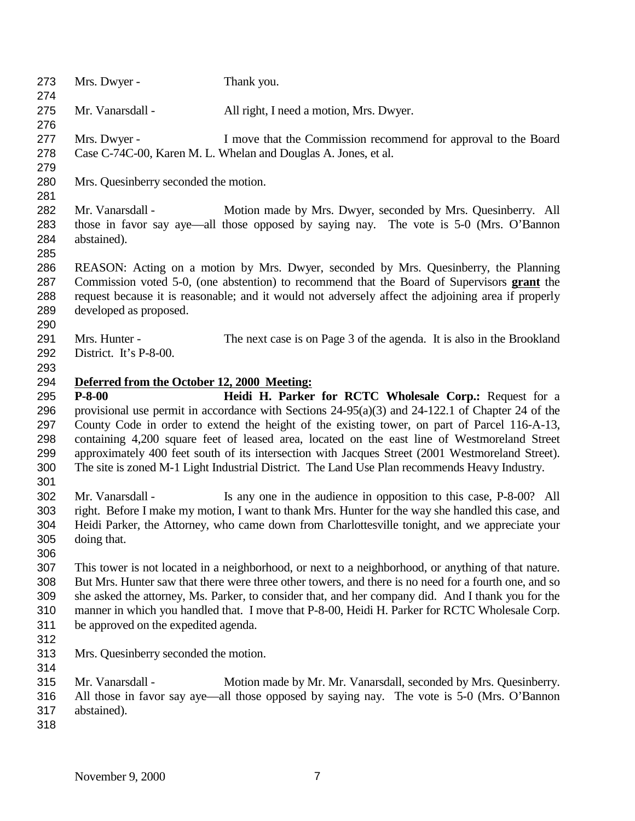| 273        | Mrs. Dwyer -                                | Thank you.                                                                                            |
|------------|---------------------------------------------|-------------------------------------------------------------------------------------------------------|
| 274        |                                             |                                                                                                       |
| 275        | Mr. Vanarsdall -                            | All right, I need a motion, Mrs. Dwyer.                                                               |
| 276        |                                             |                                                                                                       |
| 277        | Mrs. Dwyer -                                | I move that the Commission recommend for approval to the Board                                        |
| 278        |                                             | Case C-74C-00, Karen M. L. Whelan and Douglas A. Jones, et al.                                        |
| 279        |                                             |                                                                                                       |
| 280        | Mrs. Quesinberry seconded the motion.       |                                                                                                       |
| 281        |                                             |                                                                                                       |
| 282        | Mr. Vanarsdall -                            | Motion made by Mrs. Dwyer, seconded by Mrs. Quesinberry. All                                          |
| 283        |                                             | those in favor say aye—all those opposed by saying nay. The vote is 5-0 (Mrs. O'Bannon                |
| 284        | abstained).                                 |                                                                                                       |
| 285        |                                             |                                                                                                       |
|            |                                             |                                                                                                       |
| 286        |                                             | REASON: Acting on a motion by Mrs. Dwyer, seconded by Mrs. Quesinberry, the Planning                  |
| 287        |                                             | Commission voted 5-0, (one abstention) to recommend that the Board of Supervisors grant the           |
| 288        |                                             | request because it is reasonable; and it would not adversely affect the adjoining area if properly    |
| 289        | developed as proposed.                      |                                                                                                       |
| 290        |                                             |                                                                                                       |
| 291        | Mrs. Hunter -                               | The next case is on Page 3 of the agenda. It is also in the Brookland                                 |
| 292        | District. It's P-8-00.                      |                                                                                                       |
| 293        |                                             |                                                                                                       |
| 294        | Deferred from the October 12, 2000 Meeting: |                                                                                                       |
| 295        | $P-8-00$                                    | Heidi H. Parker for RCTC Wholesale Corp.: Request for a                                               |
| 296        |                                             | provisional use permit in accordance with Sections $24-95(a)(3)$ and $24-122.1$ of Chapter 24 of the  |
| 297        |                                             | County Code in order to extend the height of the existing tower, on part of Parcel 116-A-13,          |
|            |                                             |                                                                                                       |
| 298        |                                             | containing 4,200 square feet of leased area, located on the east line of Westmoreland Street          |
| 299        |                                             | approximately 400 feet south of its intersection with Jacques Street (2001 Westmoreland Street).      |
| 300        |                                             | The site is zoned M-1 Light Industrial District. The Land Use Plan recommends Heavy Industry.         |
| 301        |                                             |                                                                                                       |
| 302        | Mr. Vanarsdall -                            | Is any one in the audience in opposition to this case, P-8-00? All                                    |
| 303        |                                             | right. Before I make my motion, I want to thank Mrs. Hunter for the way she handled this case, and    |
| 304        |                                             | Heidi Parker, the Attorney, who came down from Charlottesville tonight, and we appreciate your        |
| 305        | doing that.                                 |                                                                                                       |
| 306        |                                             |                                                                                                       |
| 307        |                                             | This tower is not located in a neighborhood, or next to a neighborhood, or anything of that nature.   |
| 308        |                                             | But Mrs. Hunter saw that there were three other towers, and there is no need for a fourth one, and so |
| 309        |                                             | she asked the attorney, Ms. Parker, to consider that, and her company did. And I thank you for the    |
|            |                                             |                                                                                                       |
| 310        |                                             | manner in which you handled that. I move that P-8-00, Heidi H. Parker for RCTC Wholesale Corp.        |
| 311        | be approved on the expedited agenda.        |                                                                                                       |
| 312        |                                             |                                                                                                       |
| 313        | Mrs. Quesinberry seconded the motion.       |                                                                                                       |
| 314        |                                             |                                                                                                       |
| 315        | Mr. Vanarsdall -                            | Motion made by Mr. Mr. Vanarsdall, seconded by Mrs. Quesinberry.                                      |
| 316        |                                             |                                                                                                       |
|            |                                             | All those in favor say aye—all those opposed by saying nay. The vote is 5-0 (Mrs. O'Bannon            |
|            |                                             |                                                                                                       |
| 317<br>318 | abstained).                                 |                                                                                                       |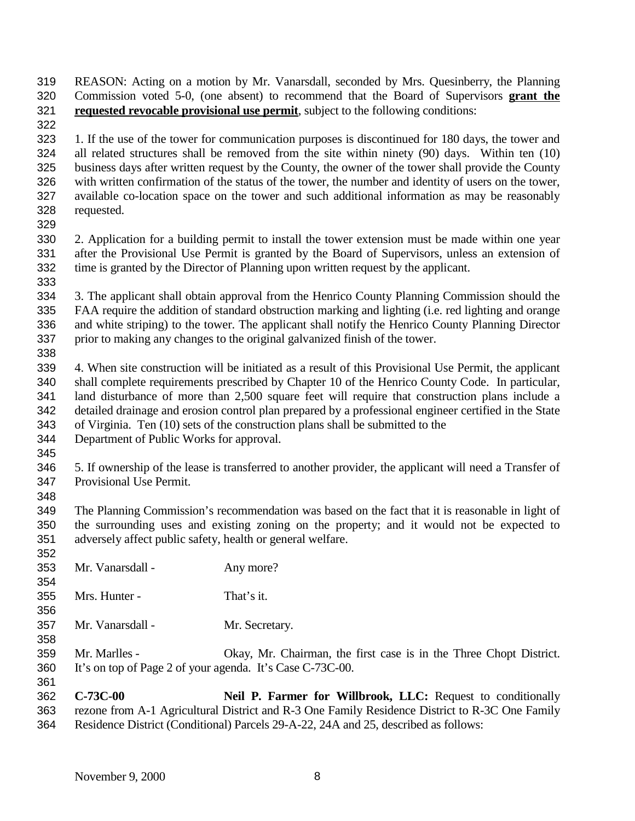REASON: Acting on a motion by Mr. Vanarsdall, seconded by Mrs. Quesinberry, the Planning Commission voted 5-0, (one absent) to recommend that the Board of Supervisors **grant the requested revocable provisional use permit**, subject to the following conditions:

 1. If the use of the tower for communication purposes is discontinued for 180 days, the tower and all related structures shall be removed from the site within ninety (90) days. Within ten (10) business days after written request by the County, the owner of the tower shall provide the County with written confirmation of the status of the tower, the number and identity of users on the tower, available co-location space on the tower and such additional information as may be reasonably requested.

 2. Application for a building permit to install the tower extension must be made within one year after the Provisional Use Permit is granted by the Board of Supervisors, unless an extension of time is granted by the Director of Planning upon written request by the applicant.

 3. The applicant shall obtain approval from the Henrico County Planning Commission should the FAA require the addition of standard obstruction marking and lighting (i.e. red lighting and orange and white striping) to the tower. The applicant shall notify the Henrico County Planning Director prior to making any changes to the original galvanized finish of the tower. 

 4. When site construction will be initiated as a result of this Provisional Use Permit, the applicant shall complete requirements prescribed by Chapter 10 of the Henrico County Code. In particular, land disturbance of more than 2,500 square feet will require that construction plans include a detailed drainage and erosion control plan prepared by a professional engineer certified in the State of Virginia. Ten (10) sets of the construction plans shall be submitted to the

- Department of Public Works for approval.
- 

 5. If ownership of the lease is transferred to another provider, the applicant will need a Transfer of Provisional Use Permit.

 The Planning Commission's recommendation was based on the fact that it is reasonable in light of the surrounding uses and existing zoning on the property; and it would not be expected to adversely affect public safety, health or general welfare. 

- Mr. Vanarsdall Any more?
- Mrs. Hunter That's it.
- Mr. Vanarsdall Mr. Secretary.
- Mr. Marlles Okay, Mr. Chairman, the first case is in the Three Chopt District. It's on top of Page 2 of your agenda. It's Case C-73C-00.

 **C-73C-00 Neil P. Farmer for Willbrook, LLC:** Request to conditionally rezone from A-1 Agricultural District and R-3 One Family Residence District to R-3C One Family Residence District (Conditional) Parcels 29-A-22, 24A and 25, described as follows: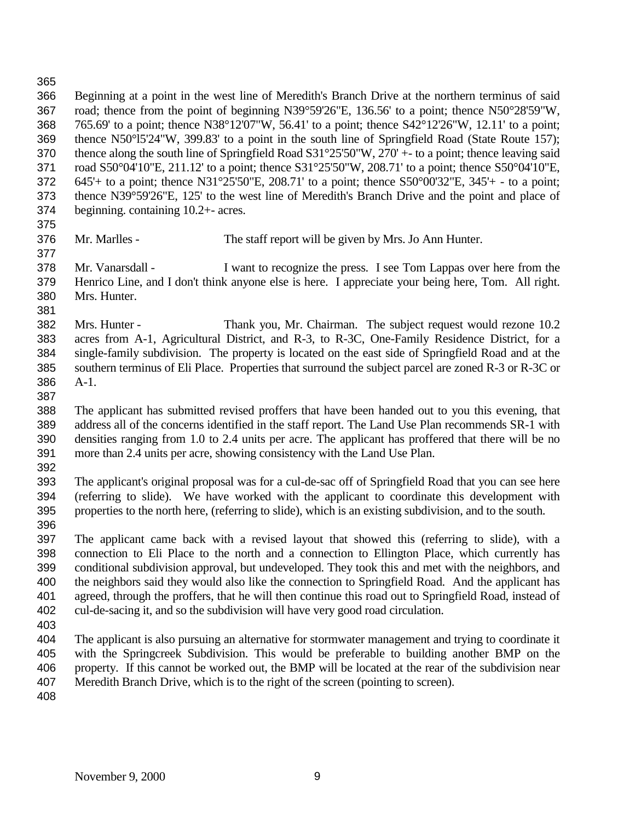Beginning at a point in the west line of Meredith's Branch Drive at the northern terminus of said road; thence from the point of beginning N39°59'26"E, 136.56' to a point; thence N50°28'59"W, 765.69' to a point; thence N38°12'07"W, 56.41' to a point; thence S42°12'26"W, 12.11' to a point; thence N50°l5'24"W, 399.83' to a point in the south line of Springfield Road (State Route 157); thence along the south line of Springfield Road S31°25'50"W, 270' +- to a point; thence leaving said road S50°04'10"E, 211.12' to a point; thence S31°25'50"W, 208.71' to a point; thence S50°04'10"E, 645'+ to a point; thence N31°25'50"E, 208.71' to a point; thence S50°00'32"E, 345'+ - to a point; thence N39°59'26"E, 125' to the west line of Meredith's Branch Drive and the point and place of beginning. containing 10.2+- acres.

Mr. Marlles - The staff report will be given by Mrs. Jo Ann Hunter.

 Mr. Vanarsdall - I want to recognize the press. I see Tom Lappas over here from the Henrico Line, and I don't think anyone else is here. I appreciate your being here, Tom. All right. Mrs. Hunter. 

 Mrs. Hunter - Thank you, Mr. Chairman. The subject request would rezone 10.2 acres from A-1, Agricultural District, and R-3, to R-3C, One-Family Residence District, for a single-family subdivision. The property is located on the east side of Springfield Road and at the southern terminus of Eli Place. Properties that surround the subject parcel are zoned R-3 or R-3C or A-1.

 The applicant has submitted revised proffers that have been handed out to you this evening, that address all of the concerns identified in the staff report. The Land Use Plan recommends SR-1 with densities ranging from 1.0 to 2.4 units per acre. The applicant has proffered that there will be no more than 2.4 units per acre, showing consistency with the Land Use Plan.

 The applicant's original proposal was for a cul-de-sac off of Springfield Road that you can see here (referring to slide). We have worked with the applicant to coordinate this development with properties to the north here, (referring to slide), which is an existing subdivision, and to the south. 

 The applicant came back with a revised layout that showed this (referring to slide), with a connection to Eli Place to the north and a connection to Ellington Place, which currently has conditional subdivision approval, but undeveloped. They took this and met with the neighbors, and the neighbors said they would also like the connection to Springfield Road. And the applicant has agreed, through the proffers, that he will then continue this road out to Springfield Road, instead of cul-de-sacing it, and so the subdivision will have very good road circulation.

 The applicant is also pursuing an alternative for stormwater management and trying to coordinate it with the Springcreek Subdivision. This would be preferable to building another BMP on the property. If this cannot be worked out, the BMP will be located at the rear of the subdivision near Meredith Branch Drive, which is to the right of the screen (pointing to screen).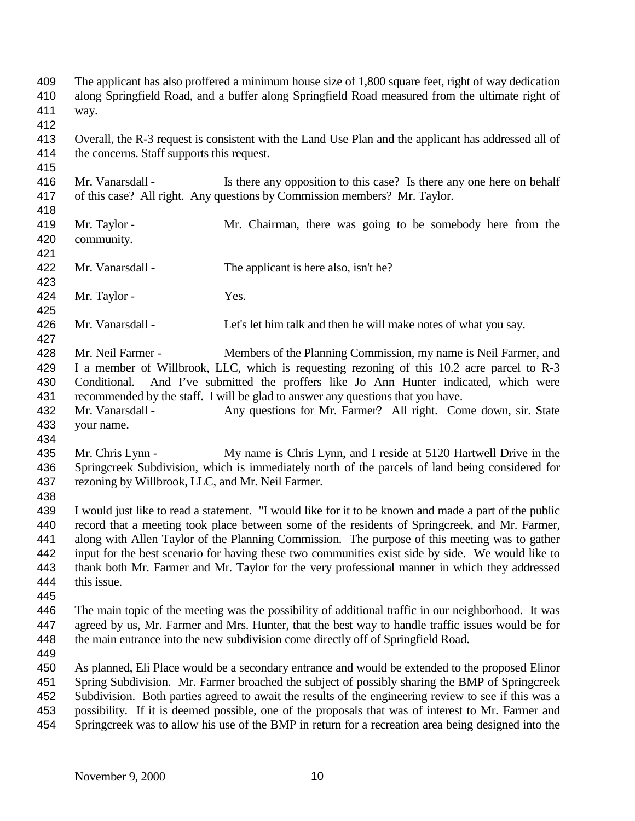The applicant has also proffered a minimum house size of 1,800 square feet, right of way dedication along Springfield Road, and a buffer along Springfield Road measured from the ultimate right of way. Overall, the R-3 request is consistent with the Land Use Plan and the applicant has addressed all of the concerns. Staff supports this request. Mr. Vanarsdall - Is there any opposition to this case? Is there any one here on behalf of this case? All right. Any questions by Commission members? Mr. Taylor. Mr. Taylor - Mr. Chairman, there was going to be somebody here from the community. Mr. Vanarsdall - The applicant is here also, isn't he? 424 Mr. Taylor - Yes. Mr. Vanarsdall - Let's let him talk and then he will make notes of what you say. Mr. Neil Farmer - Members of the Planning Commission, my name is Neil Farmer, and I a member of Willbrook, LLC, which is requesting rezoning of this 10.2 acre parcel to R-3 Conditional. And I've submitted the proffers like Jo Ann Hunter indicated, which were recommended by the staff. I will be glad to answer any questions that you have. Mr. Vanarsdall - Any questions for Mr. Farmer? All right. Come down, sir. State your name. Mr. Chris Lynn - My name is Chris Lynn, and I reside at 5120 Hartwell Drive in the Springcreek Subdivision, which is immediately north of the parcels of land being considered for rezoning by Willbrook, LLC, and Mr. Neil Farmer. I would just like to read a statement. "I would like for it to be known and made a part of the public record that a meeting took place between some of the residents of Springcreek, and Mr. Farmer, along with Allen Taylor of the Planning Commission. The purpose of this meeting was to gather input for the best scenario for having these two communities exist side by side. We would like to thank both Mr. Farmer and Mr. Taylor for the very professional manner in which they addressed this issue. The main topic of the meeting was the possibility of additional traffic in our neighborhood. It was agreed by us, Mr. Farmer and Mrs. Hunter, that the best way to handle traffic issues would be for the main entrance into the new subdivision come directly off of Springfield Road. As planned, Eli Place would be a secondary entrance and would be extended to the proposed Elinor Spring Subdivision. Mr. Farmer broached the subject of possibly sharing the BMP of Springcreek Subdivision. Both parties agreed to await the results of the engineering review to see if this was a possibility. If it is deemed possible, one of the proposals that was of interest to Mr. Farmer and Springcreek was to allow his use of the BMP in return for a recreation area being designed into the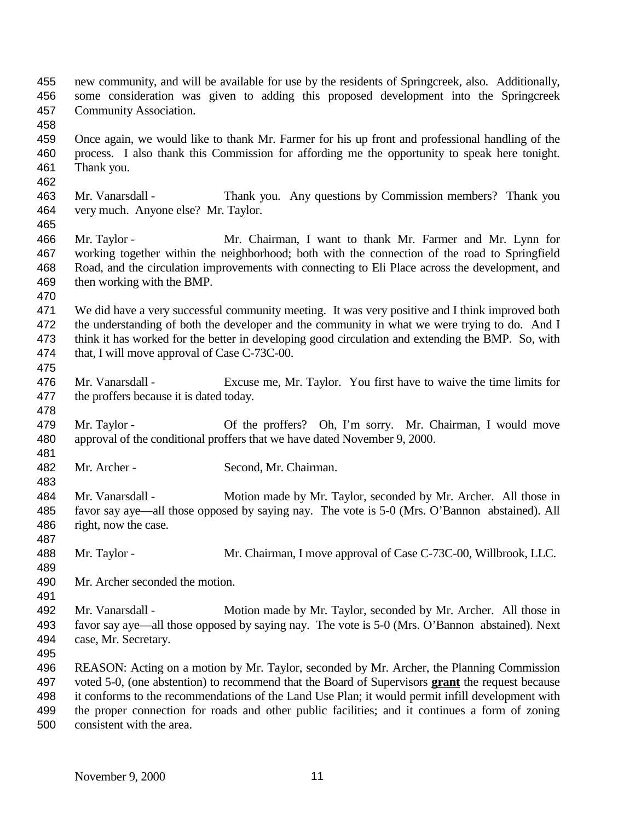| 455 |                                                                                       | new community, and will be available for use by the residents of Springcreek, also. Additionally,       |  |
|-----|---------------------------------------------------------------------------------------|---------------------------------------------------------------------------------------------------------|--|
| 456 | some consideration was given to adding this proposed development into the Springcreek |                                                                                                         |  |
| 457 | Community Association.                                                                |                                                                                                         |  |
| 458 |                                                                                       |                                                                                                         |  |
| 459 |                                                                                       | Once again, we would like to thank Mr. Farmer for his up front and professional handling of the         |  |
| 460 |                                                                                       | process. I also thank this Commission for affording me the opportunity to speak here tonight.           |  |
| 461 | Thank you.                                                                            |                                                                                                         |  |
| 462 |                                                                                       |                                                                                                         |  |
| 463 | Mr. Vanarsdall -                                                                      | Thank you. Any questions by Commission members? Thank you                                               |  |
| 464 | very much. Anyone else? Mr. Taylor.                                                   |                                                                                                         |  |
| 465 |                                                                                       |                                                                                                         |  |
| 466 | Mr. Taylor -                                                                          | Mr. Chairman, I want to thank Mr. Farmer and Mr. Lynn for                                               |  |
| 467 |                                                                                       | working together within the neighborhood; both with the connection of the road to Springfield           |  |
| 468 |                                                                                       | Road, and the circulation improvements with connecting to Eli Place across the development, and         |  |
| 469 | then working with the BMP.                                                            |                                                                                                         |  |
| 470 |                                                                                       |                                                                                                         |  |
| 471 |                                                                                       | We did have a very successful community meeting. It was very positive and I think improved both         |  |
| 472 |                                                                                       | the understanding of both the developer and the community in what we were trying to do. And I           |  |
| 473 |                                                                                       | think it has worked for the better in developing good circulation and extending the BMP. So, with       |  |
| 474 | that, I will move approval of Case C-73C-00.                                          |                                                                                                         |  |
| 475 |                                                                                       |                                                                                                         |  |
| 476 | Mr. Vanarsdall -                                                                      | Excuse me, Mr. Taylor. You first have to waive the time limits for                                      |  |
| 477 | the proffers because it is dated today.                                               |                                                                                                         |  |
| 478 |                                                                                       |                                                                                                         |  |
| 479 | Mr. Taylor -                                                                          | Of the proffers? Oh, I'm sorry. Mr. Chairman, I would move                                              |  |
| 480 |                                                                                       | approval of the conditional proffers that we have dated November 9, 2000.                               |  |
| 481 |                                                                                       |                                                                                                         |  |
| 482 | Mr. Archer -                                                                          | Second, Mr. Chairman.                                                                                   |  |
| 483 |                                                                                       |                                                                                                         |  |
| 484 | Mr. Vanarsdall -                                                                      | Motion made by Mr. Taylor, seconded by Mr. Archer. All those in                                         |  |
| 485 |                                                                                       | favor say aye—all those opposed by saying nay. The vote is 5-0 (Mrs. O'Bannon abstained). All           |  |
| 486 | right, now the case.                                                                  |                                                                                                         |  |
| 487 |                                                                                       |                                                                                                         |  |
| 488 | Mr. Taylor -                                                                          | Mr. Chairman, I move approval of Case C-73C-00, Willbrook, LLC.                                         |  |
| 489 |                                                                                       |                                                                                                         |  |
| 490 | Mr. Archer seconded the motion.                                                       |                                                                                                         |  |
| 491 |                                                                                       |                                                                                                         |  |
| 492 | Mr. Vanarsdall -                                                                      | Motion made by Mr. Taylor, seconded by Mr. Archer. All those in                                         |  |
| 493 |                                                                                       | favor say aye—all those opposed by saying nay. The vote is 5-0 (Mrs. O'Bannon abstained). Next          |  |
| 494 | case, Mr. Secretary.                                                                  |                                                                                                         |  |
| 495 |                                                                                       |                                                                                                         |  |
| 496 |                                                                                       | REASON: Acting on a motion by Mr. Taylor, seconded by Mr. Archer, the Planning Commission               |  |
| 497 |                                                                                       | voted 5-0, (one abstention) to recommend that the Board of Supervisors <b>grant</b> the request because |  |
| 498 |                                                                                       | it conforms to the recommendations of the Land Use Plan; it would permit infill development with        |  |
| 499 |                                                                                       | the proper connection for roads and other public facilities; and it continues a form of zoning          |  |
| 500 | consistent with the area.                                                             |                                                                                                         |  |
|     |                                                                                       |                                                                                                         |  |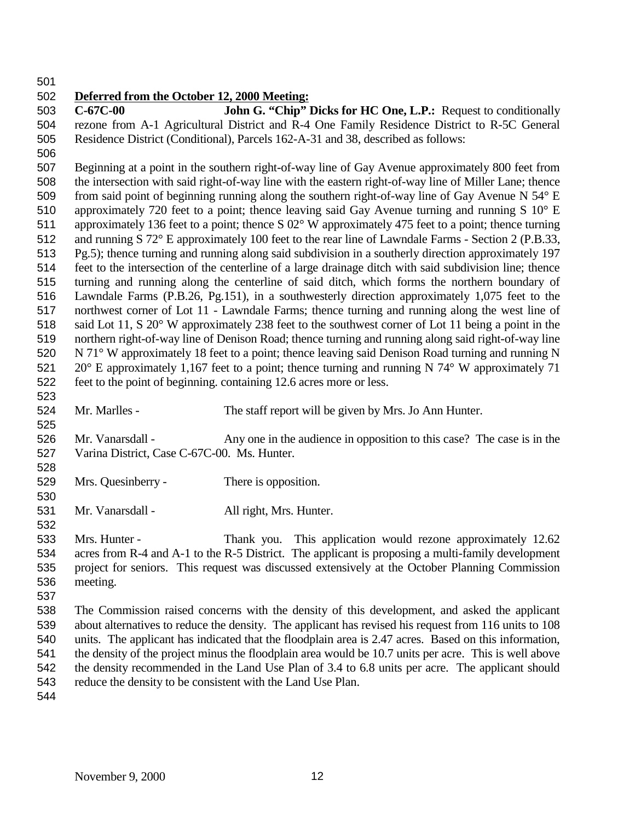## **Deferred from the October 12, 2000 Meeting:**

 **C-67C-00 John G. "Chip" Dicks for HC One, L.P.:** Request to conditionally rezone from A-1 Agricultural District and R-4 One Family Residence District to R-5C General Residence District (Conditional), Parcels 162-A-31 and 38, described as follows:

 Beginning at a point in the southern right-of-way line of Gay Avenue approximately 800 feet from the intersection with said right-of-way line with the eastern right-of-way line of Miller Lane; thence 509 from said point of beginning running along the southern right-of-way line of Gay Avenue N 54° E approximately 720 feet to a point; thence leaving said Gay Avenue turning and running S 10° E approximately 136 feet to a point; thence S 02° W approximately 475 feet to a point; thence turning and running S 72° E approximately 100 feet to the rear line of Lawndale Farms - Section 2 (P.B.33, Pg.5); thence turning and running along said subdivision in a southerly direction approximately 197 feet to the intersection of the centerline of a large drainage ditch with said subdivision line; thence turning and running along the centerline of said ditch, which forms the northern boundary of Lawndale Farms (P.B.26, Pg.151), in a southwesterly direction approximately 1,075 feet to the northwest corner of Lot 11 - Lawndale Farms; thence turning and running along the west line of said Lot 11, S 20° W approximately 238 feet to the southwest corner of Lot 11 being a point in the northern right-of-way line of Denison Road; thence turning and running along said right-of-way line N 71° W approximately 18 feet to a point; thence leaving said Denison Road turning and running N 521 20° E approximately 1,167 feet to a point; thence turning and running N  $74^{\circ}$  W approximately 71 feet to the point of beginning. containing 12.6 acres more or less. 

 Mr. Marlles - The staff report will be given by Mrs. Jo Ann Hunter. 

 Mr. Vanarsdall - Any one in the audience in opposition to this case? The case is in the Varina District, Case C-67C-00. Ms. Hunter. 

- Mrs. Quesinberry There is opposition.
- Mr. Vanarsdall All right, Mrs. Hunter.

 Mrs. Hunter - Thank you. This application would rezone approximately 12.62 acres from R-4 and A-1 to the R-5 District. The applicant is proposing a multi-family development project for seniors. This request was discussed extensively at the October Planning Commission meeting.

 The Commission raised concerns with the density of this development, and asked the applicant about alternatives to reduce the density. The applicant has revised his request from 116 units to 108 units. The applicant has indicated that the floodplain area is 2.47 acres. Based on this information, the density of the project minus the floodplain area would be 10.7 units per acre. This is well above the density recommended in the Land Use Plan of 3.4 to 6.8 units per acre. The applicant should reduce the density to be consistent with the Land Use Plan.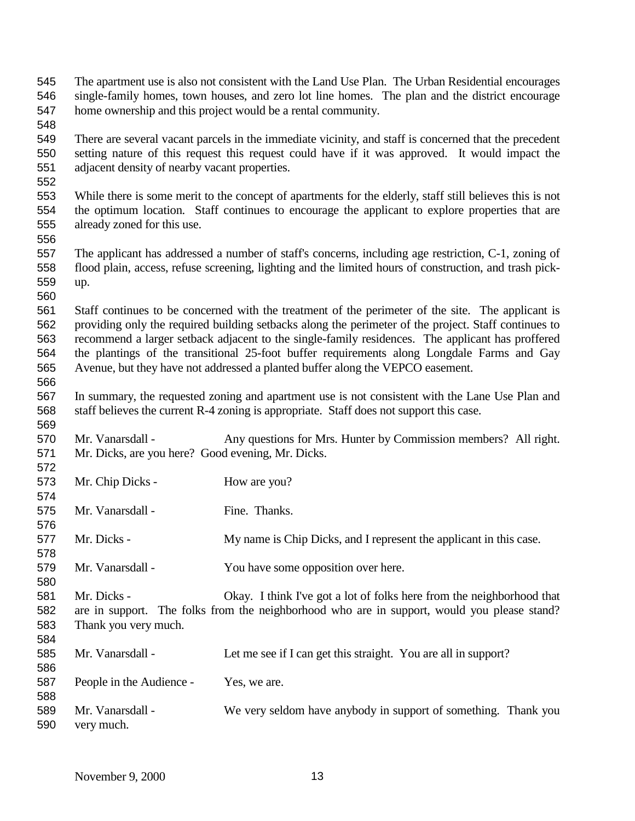| 545<br>546<br>547<br>548               |                                                                                                                                                                                                                                                                                                                                                                                                                                                                                               | The apartment use is also not consistent with the Land Use Plan. The Urban Residential encourages<br>single-family homes, town houses, and zero lot line homes. The plan and the district encourage<br>home ownership and this project would be a rental community. |
|----------------------------------------|-----------------------------------------------------------------------------------------------------------------------------------------------------------------------------------------------------------------------------------------------------------------------------------------------------------------------------------------------------------------------------------------------------------------------------------------------------------------------------------------------|---------------------------------------------------------------------------------------------------------------------------------------------------------------------------------------------------------------------------------------------------------------------|
| 549<br>550<br>551<br>552               | adjacent density of nearby vacant properties.                                                                                                                                                                                                                                                                                                                                                                                                                                                 | There are several vacant parcels in the immediate vicinity, and staff is concerned that the precedent<br>setting nature of this request this request could have if it was approved. It would impact the                                                             |
| 553<br>554<br>555<br>556               | already zoned for this use.                                                                                                                                                                                                                                                                                                                                                                                                                                                                   | While there is some merit to the concept of apartments for the elderly, staff still believes this is not<br>the optimum location. Staff continues to encourage the applicant to explore properties that are                                                         |
| 557<br>558<br>559<br>560               | up.                                                                                                                                                                                                                                                                                                                                                                                                                                                                                           | The applicant has addressed a number of staff's concerns, including age restriction, C-1, zoning of<br>flood plain, access, refuse screening, lighting and the limited hours of construction, and trash pick-                                                       |
| 561<br>562<br>563<br>564<br>565<br>566 | Staff continues to be concerned with the treatment of the perimeter of the site. The applicant is<br>providing only the required building setbacks along the perimeter of the project. Staff continues to<br>recommend a larger setback adjacent to the single-family residences. The applicant has proffered<br>the plantings of the transitional 25-foot buffer requirements along Longdale Farms and Gay<br>Avenue, but they have not addressed a planted buffer along the VEPCO easement. |                                                                                                                                                                                                                                                                     |
| 567<br>568<br>569                      |                                                                                                                                                                                                                                                                                                                                                                                                                                                                                               | In summary, the requested zoning and apartment use is not consistent with the Lane Use Plan and<br>staff believes the current R-4 zoning is appropriate. Staff does not support this case.                                                                          |
| 570<br>571<br>572                      | Mr. Vanarsdall -<br>Mr. Dicks, are you here? Good evening, Mr. Dicks.                                                                                                                                                                                                                                                                                                                                                                                                                         | Any questions for Mrs. Hunter by Commission members? All right.                                                                                                                                                                                                     |
| 573<br>574                             | Mr. Chip Dicks -                                                                                                                                                                                                                                                                                                                                                                                                                                                                              | How are you?                                                                                                                                                                                                                                                        |
| 575<br>576                             | Mr. Vanarsdall -                                                                                                                                                                                                                                                                                                                                                                                                                                                                              | Fine. Thanks.                                                                                                                                                                                                                                                       |
| 577<br>578                             | Mr. Dicks -                                                                                                                                                                                                                                                                                                                                                                                                                                                                                   | My name is Chip Dicks, and I represent the applicant in this case.                                                                                                                                                                                                  |
| 579<br>580                             | Mr. Vanarsdall -                                                                                                                                                                                                                                                                                                                                                                                                                                                                              | You have some opposition over here.                                                                                                                                                                                                                                 |
| 581<br>582<br>583<br>584               | Mr. Dicks -<br>Thank you very much.                                                                                                                                                                                                                                                                                                                                                                                                                                                           | Okay. I think I've got a lot of folks here from the neighborhood that<br>are in support. The folks from the neighborhood who are in support, would you please stand?                                                                                                |
| 585<br>586                             | Mr. Vanarsdall -                                                                                                                                                                                                                                                                                                                                                                                                                                                                              | Let me see if I can get this straight. You are all in support?                                                                                                                                                                                                      |
| 587<br>588                             | People in the Audience -                                                                                                                                                                                                                                                                                                                                                                                                                                                                      | Yes, we are.                                                                                                                                                                                                                                                        |
| 589<br>590                             | Mr. Vanarsdall -<br>very much.                                                                                                                                                                                                                                                                                                                                                                                                                                                                | We very seldom have anybody in support of something. Thank you                                                                                                                                                                                                      |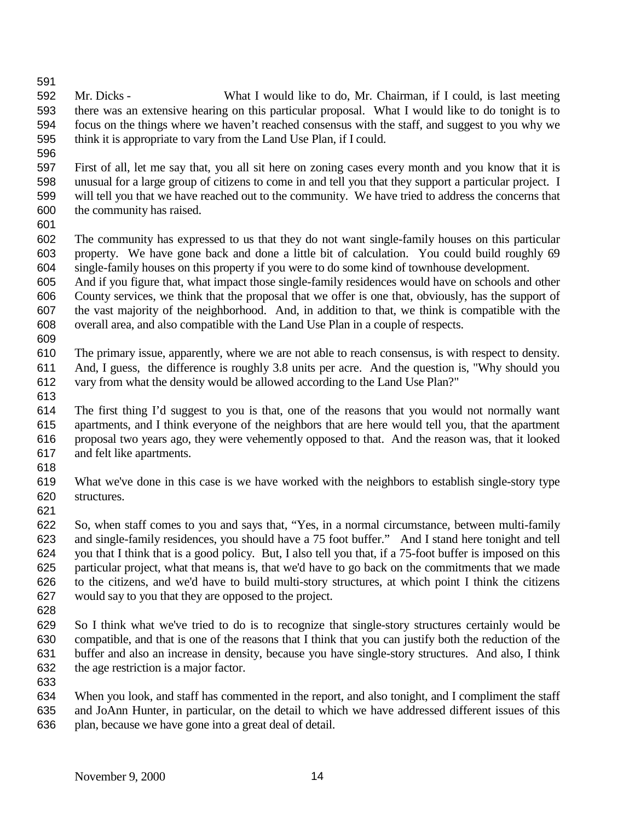- Mr. Dicks What I would like to do, Mr. Chairman, if I could, is last meeting there was an extensive hearing on this particular proposal. What I would like to do tonight is to focus on the things where we haven't reached consensus with the staff, and suggest to you why we think it is appropriate to vary from the Land Use Plan, if I could.
- 

 First of all, let me say that, you all sit here on zoning cases every month and you know that it is unusual for a large group of citizens to come in and tell you that they support a particular project. I will tell you that we have reached out to the community. We have tried to address the concerns that the community has raised.

 The community has expressed to us that they do not want single-family houses on this particular property. We have gone back and done a little bit of calculation. You could build roughly 69 single-family houses on this property if you were to do some kind of townhouse development.

 And if you figure that, what impact those single-family residences would have on schools and other County services, we think that the proposal that we offer is one that, obviously, has the support of the vast majority of the neighborhood. And, in addition to that, we think is compatible with the overall area, and also compatible with the Land Use Plan in a couple of respects.

- The primary issue, apparently, where we are not able to reach consensus, is with respect to density.
- And, I guess, the difference is roughly 3.8 units per acre. And the question is, "Why should you vary from what the density would be allowed according to the Land Use Plan?"
- 

 The first thing I'd suggest to you is that, one of the reasons that you would not normally want apartments, and I think everyone of the neighbors that are here would tell you, that the apartment proposal two years ago, they were vehemently opposed to that. And the reason was, that it looked and felt like apartments.

 What we've done in this case is we have worked with the neighbors to establish single-story type structures.

 So, when staff comes to you and says that, "Yes, in a normal circumstance, between multi-family and single-family residences, you should have a 75 foot buffer." And I stand here tonight and tell you that I think that is a good policy. But, I also tell you that, if a 75-foot buffer is imposed on this particular project, what that means is, that we'd have to go back on the commitments that we made to the citizens, and we'd have to build multi-story structures, at which point I think the citizens would say to you that they are opposed to the project.

 So I think what we've tried to do is to recognize that single-story structures certainly would be compatible, and that is one of the reasons that I think that you can justify both the reduction of the buffer and also an increase in density, because you have single-story structures. And also, I think the age restriction is a major factor.

When you look, and staff has commented in the report, and also tonight, and I compliment the staff

 and JoAnn Hunter, in particular, on the detail to which we have addressed different issues of this plan, because we have gone into a great deal of detail.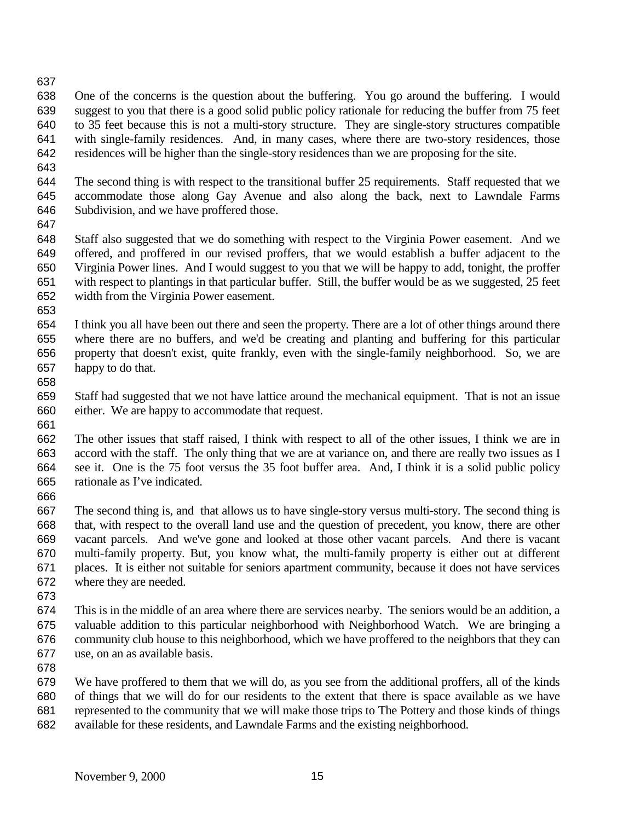- 
- One of the concerns is the question about the buffering. You go around the buffering. I would suggest to you that there is a good solid public policy rationale for reducing the buffer from 75 feet to 35 feet because this is not a multi-story structure. They are single-story structures compatible with single-family residences. And, in many cases, where there are two-story residences, those residences will be higher than the single-story residences than we are proposing for the site.
- 
- The second thing is with respect to the transitional buffer 25 requirements. Staff requested that we accommodate those along Gay Avenue and also along the back, next to Lawndale Farms Subdivision, and we have proffered those.
- 

 Staff also suggested that we do something with respect to the Virginia Power easement. And we offered, and proffered in our revised proffers, that we would establish a buffer adjacent to the Virginia Power lines. And I would suggest to you that we will be happy to add, tonight, the proffer with respect to plantings in that particular buffer. Still, the buffer would be as we suggested, 25 feet width from the Virginia Power easement.

- 
- I think you all have been out there and seen the property. There are a lot of other things around there where there are no buffers, and we'd be creating and planting and buffering for this particular property that doesn't exist, quite frankly, even with the single-family neighborhood. So, we are happy to do that.
- 

- Staff had suggested that we not have lattice around the mechanical equipment. That is not an issue either. We are happy to accommodate that request.
- The other issues that staff raised, I think with respect to all of the other issues, I think we are in accord with the staff. The only thing that we are at variance on, and there are really two issues as I see it. One is the 75 foot versus the 35 foot buffer area. And, I think it is a solid public policy rationale as I've indicated.
- 
- The second thing is, and that allows us to have single-story versus multi-story. The second thing is that, with respect to the overall land use and the question of precedent, you know, there are other vacant parcels. And we've gone and looked at those other vacant parcels. And there is vacant multi-family property. But, you know what, the multi-family property is either out at different places. It is either not suitable for seniors apartment community, because it does not have services where they are needed.
- 
- This is in the middle of an area where there are services nearby. The seniors would be an addition, a valuable addition to this particular neighborhood with Neighborhood Watch. We are bringing a community club house to this neighborhood, which we have proffered to the neighbors that they can use, on an as available basis.
- 

 We have proffered to them that we will do, as you see from the additional proffers, all of the kinds of things that we will do for our residents to the extent that there is space available as we have represented to the community that we will make those trips to The Pottery and those kinds of things available for these residents, and Lawndale Farms and the existing neighborhood.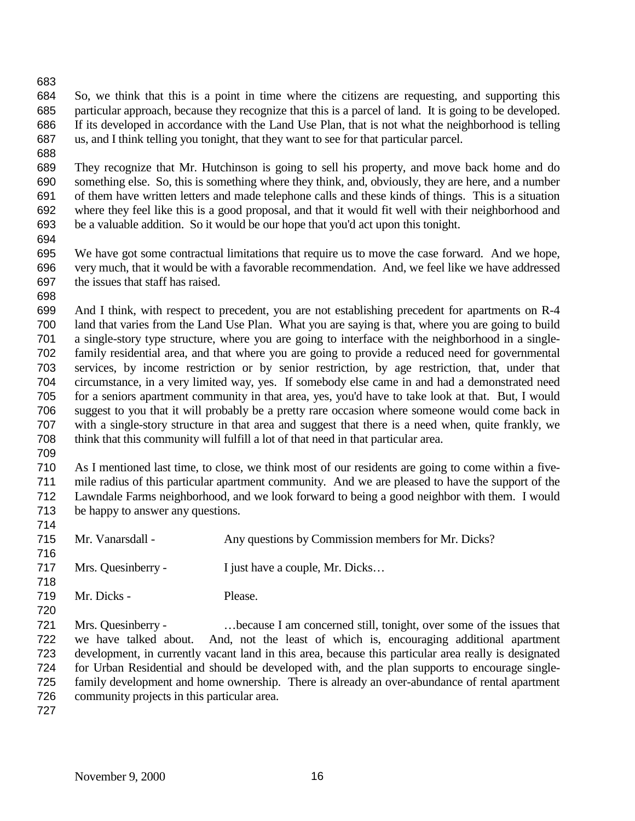So, we think that this is a point in time where the citizens are requesting, and supporting this particular approach, because they recognize that this is a parcel of land. It is going to be developed. If its developed in accordance with the Land Use Plan, that is not what the neighborhood is telling us, and I think telling you tonight, that they want to see for that particular parcel.

 They recognize that Mr. Hutchinson is going to sell his property, and move back home and do something else. So, this is something where they think, and, obviously, they are here, and a number of them have written letters and made telephone calls and these kinds of things. This is a situation where they feel like this is a good proposal, and that it would fit well with their neighborhood and be a valuable addition. So it would be our hope that you'd act upon this tonight.

 We have got some contractual limitations that require us to move the case forward. And we hope, very much, that it would be with a favorable recommendation. And, we feel like we have addressed the issues that staff has raised.

 And I think, with respect to precedent, you are not establishing precedent for apartments on R-4 land that varies from the Land Use Plan. What you are saying is that, where you are going to build a single-story type structure, where you are going to interface with the neighborhood in a single- family residential area, and that where you are going to provide a reduced need for governmental services, by income restriction or by senior restriction, by age restriction, that, under that circumstance, in a very limited way, yes. If somebody else came in and had a demonstrated need for a seniors apartment community in that area, yes, you'd have to take look at that. But, I would suggest to you that it will probably be a pretty rare occasion where someone would come back in with a single-story structure in that area and suggest that there is a need when, quite frankly, we think that this community will fulfill a lot of that need in that particular area.

 As I mentioned last time, to close, we think most of our residents are going to come within a five- mile radius of this particular apartment community. And we are pleased to have the support of the Lawndale Farms neighborhood, and we look forward to being a good neighbor with them. I would be happy to answer any questions.

- Mr. Vanarsdall - Any questions by Commission members for Mr. Dicks? 717 Mrs. Quesinberry - I just have a couple, Mr. Dicks...
- Mr. Dicks Please.
- Mrs. Quesinberry …because I am concerned still, tonight, over some of the issues that we have talked about. And, not the least of which is, encouraging additional apartment development, in currently vacant land in this area, because this particular area really is designated for Urban Residential and should be developed with, and the plan supports to encourage single- family development and home ownership. There is already an over-abundance of rental apartment community projects in this particular area.
-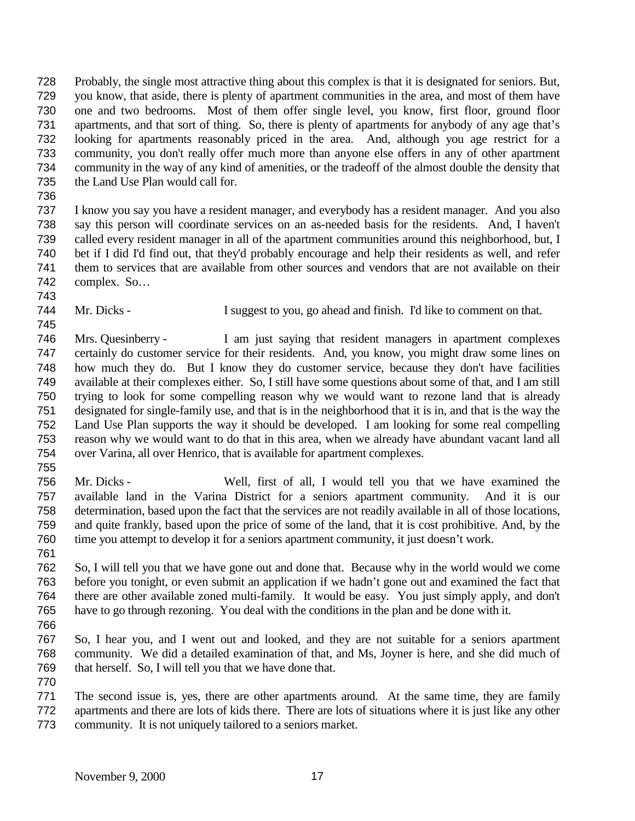Probably, the single most attractive thing about this complex is that it is designated for seniors. But, you know, that aside, there is plenty of apartment communities in the area, and most of them have one and two bedrooms. Most of them offer single level, you know, first floor, ground floor apartments, and that sort of thing. So, there is plenty of apartments for anybody of any age that's looking for apartments reasonably priced in the area. And, although you age restrict for a community, you don't really offer much more than anyone else offers in any of other apartment community in the way of any kind of amenities, or the tradeoff of the almost double the density that the Land Use Plan would call for.

 I know you say you have a resident manager, and everybody has a resident manager. And you also say this person will coordinate services on an as-needed basis for the residents. And, I haven't called every resident manager in all of the apartment communities around this neighborhood, but, I bet if I did I'd find out, that they'd probably encourage and help their residents as well, and refer them to services that are available from other sources and vendors that are not available on their complex. So…

Mr. Dicks - I suggest to you, go ahead and finish. I'd like to comment on that.

 Mrs. Quesinberry - I am just saying that resident managers in apartment complexes certainly do customer service for their residents. And, you know, you might draw some lines on how much they do. But I know they do customer service, because they don't have facilities available at their complexes either. So, I still have some questions about some of that, and I am still trying to look for some compelling reason why we would want to rezone land that is already designated for single-family use, and that is in the neighborhood that it is in, and that is the way the Land Use Plan supports the way it should be developed. I am looking for some real compelling reason why we would want to do that in this area, when we already have abundant vacant land all over Varina, all over Henrico, that is available for apartment complexes.

 Mr. Dicks - Well, first of all, I would tell you that we have examined the available land in the Varina District for a seniors apartment community. And it is our determination, based upon the fact that the services are not readily available in all of those locations, and quite frankly, based upon the price of some of the land, that it is cost prohibitive. And, by the time you attempt to develop it for a seniors apartment community, it just doesn't work.

- So, I will tell you that we have gone out and done that. Because why in the world would we come before you tonight, or even submit an application if we hadn't gone out and examined the fact that there are other available zoned multi-family. It would be easy. You just simply apply, and don't have to go through rezoning. You deal with the conditions in the plan and be done with it.
- 

- So, I hear you, and I went out and looked, and they are not suitable for a seniors apartment community. We did a detailed examination of that, and Ms, Joyner is here, and she did much of that herself. So, I will tell you that we have done that.
- The second issue is, yes, there are other apartments around. At the same time, they are family apartments and there are lots of kids there. There are lots of situations where it is just like any other community. It is not uniquely tailored to a seniors market.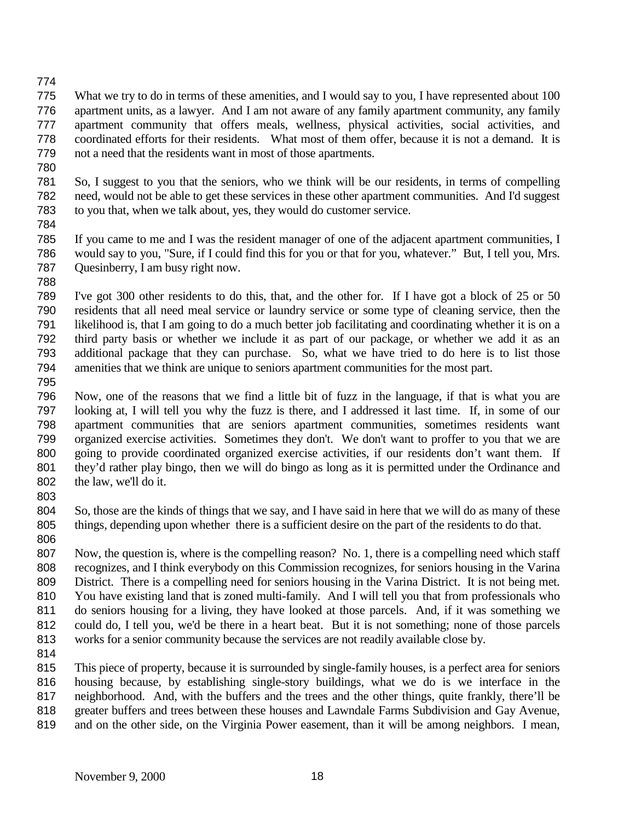- What we try to do in terms of these amenities, and I would say to you, I have represented about 100 apartment units, as a lawyer. And I am not aware of any family apartment community, any family apartment community that offers meals, wellness, physical activities, social activities, and coordinated efforts for their residents. What most of them offer, because it is not a demand. It is not a need that the residents want in most of those apartments.
- 
- So, I suggest to you that the seniors, who we think will be our residents, in terms of compelling need, would not be able to get these services in these other apartment communities. And I'd suggest to you that, when we talk about, yes, they would do customer service.
- 
- If you came to me and I was the resident manager of one of the adjacent apartment communities, I would say to you, "Sure, if I could find this for you or that for you, whatever." But, I tell you, Mrs. Quesinberry, I am busy right now.
- 

 I've got 300 other residents to do this, that, and the other for. If I have got a block of 25 or 50 residents that all need meal service or laundry service or some type of cleaning service, then the likelihood is, that I am going to do a much better job facilitating and coordinating whether it is on a third party basis or whether we include it as part of our package, or whether we add it as an additional package that they can purchase. So, what we have tried to do here is to list those amenities that we think are unique to seniors apartment communities for the most part.

 Now, one of the reasons that we find a little bit of fuzz in the language, if that is what you are looking at, I will tell you why the fuzz is there, and I addressed it last time. If, in some of our apartment communities that are seniors apartment communities, sometimes residents want organized exercise activities. Sometimes they don't. We don't want to proffer to you that we are 800 going to provide coordinated organized exercise activities, if our residents don't want them. If they'd rather play bingo, then we will do bingo as long as it is permitted under the Ordinance and the law, we'll do it.

 So, those are the kinds of things that we say, and I have said in here that we will do as many of these things, depending upon whether there is a sufficient desire on the part of the residents to do that.

 Now, the question is, where is the compelling reason? No. 1, there is a compelling need which staff recognizes, and I think everybody on this Commission recognizes, for seniors housing in the Varina District. There is a compelling need for seniors housing in the Varina District. It is not being met. You have existing land that is zoned multi-family. And I will tell you that from professionals who do seniors housing for a living, they have looked at those parcels. And, if it was something we could do, I tell you, we'd be there in a heart beat. But it is not something; none of those parcels works for a senior community because the services are not readily available close by.

 This piece of property, because it is surrounded by single-family houses, is a perfect area for seniors housing because, by establishing single-story buildings, what we do is we interface in the neighborhood. And, with the buffers and the trees and the other things, quite frankly, there'll be greater buffers and trees between these houses and Lawndale Farms Subdivision and Gay Avenue,

and on the other side, on the Virginia Power easement, than it will be among neighbors. I mean,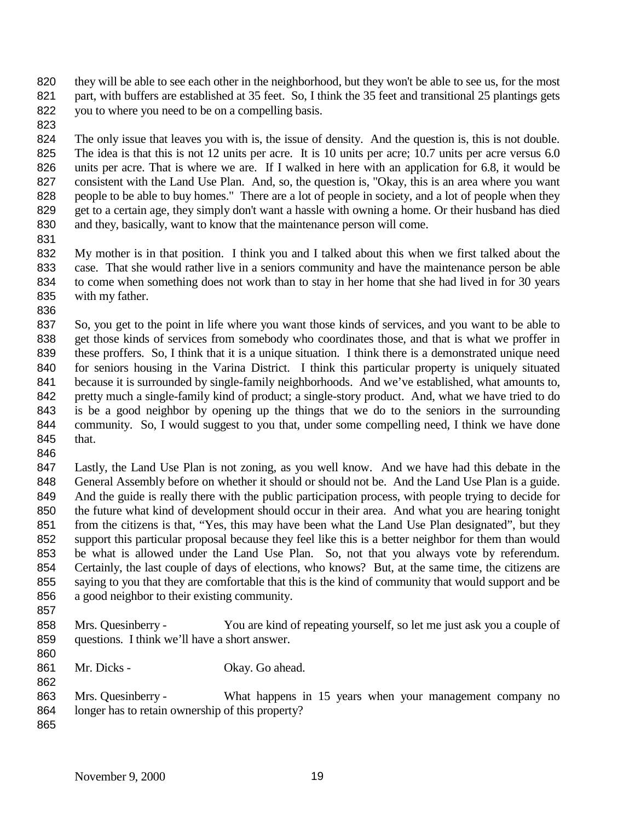they will be able to see each other in the neighborhood, but they won't be able to see us, for the most 821 part, with buffers are established at 35 feet. So, I think the 35 feet and transitional 25 plantings gets you to where you need to be on a compelling basis.

 The only issue that leaves you with is, the issue of density. And the question is, this is not double. The idea is that this is not 12 units per acre. It is 10 units per acre; 10.7 units per acre versus 6.0 units per acre. That is where we are. If I walked in here with an application for 6.8, it would be consistent with the Land Use Plan. And, so, the question is, "Okay, this is an area where you want people to be able to buy homes." There are a lot of people in society, and a lot of people when they get to a certain age, they simply don't want a hassle with owning a home. Or their husband has died and they, basically, want to know that the maintenance person will come.

 My mother is in that position. I think you and I talked about this when we first talked about the case. That she would rather live in a seniors community and have the maintenance person be able to come when something does not work than to stay in her home that she had lived in for 30 years with my father.

 So, you get to the point in life where you want those kinds of services, and you want to be able to get those kinds of services from somebody who coordinates those, and that is what we proffer in these proffers. So, I think that it is a unique situation. I think there is a demonstrated unique need for seniors housing in the Varina District. I think this particular property is uniquely situated because it is surrounded by single-family neighborhoods. And we've established, what amounts to, pretty much a single-family kind of product; a single-story product. And, what we have tried to do is be a good neighbor by opening up the things that we do to the seniors in the surrounding community. So, I would suggest to you that, under some compelling need, I think we have done that.

 Lastly, the Land Use Plan is not zoning, as you well know. And we have had this debate in the General Assembly before on whether it should or should not be. And the Land Use Plan is a guide. And the guide is really there with the public participation process, with people trying to decide for the future what kind of development should occur in their area. And what you are hearing tonight 851 from the citizens is that, "Yes, this may have been what the Land Use Plan designated", but they support this particular proposal because they feel like this is a better neighbor for them than would be what is allowed under the Land Use Plan. So, not that you always vote by referendum. Certainly, the last couple of days of elections, who knows? But, at the same time, the citizens are saying to you that they are comfortable that this is the kind of community that would support and be a good neighbor to their existing community.

858 Mrs. Quesinberry - You are kind of repeating yourself, so let me just ask you a couple of questions. I think we'll have a short answer.

 861 Mr. Dicks - Okay. Go ahead.

 Mrs. Quesinberry - What happens in 15 years when your management company no longer has to retain ownership of this property?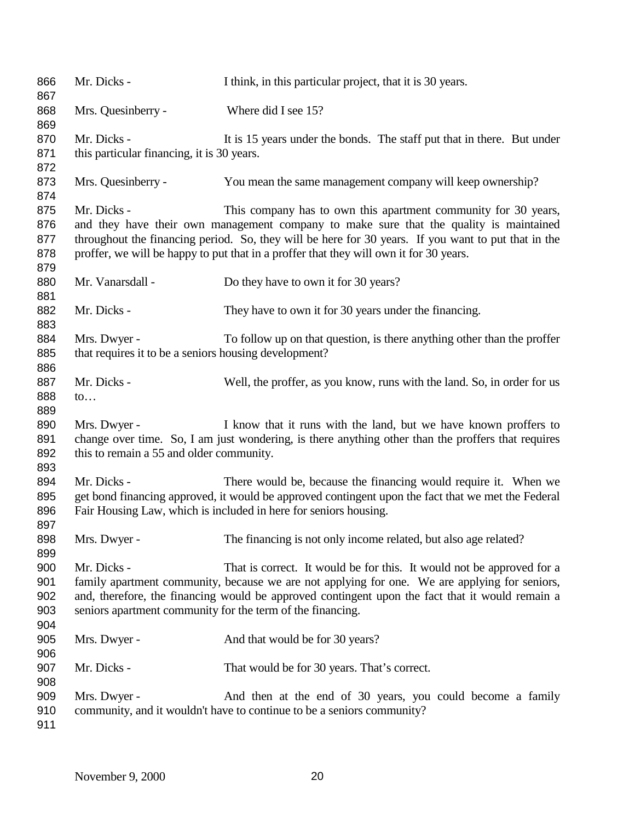| 866<br>867 | Mr. Dicks -                                                | I think, in this particular project, that it is 30 years.                                           |
|------------|------------------------------------------------------------|-----------------------------------------------------------------------------------------------------|
| 868<br>869 | Mrs. Quesinberry -                                         | Where did I see 15?                                                                                 |
| 870        | Mr. Dicks -                                                | It is 15 years under the bonds. The staff put that in there. But under                              |
| 871        | this particular financing, it is 30 years.                 |                                                                                                     |
| 872        |                                                            |                                                                                                     |
| 873        | Mrs. Quesinberry -                                         | You mean the same management company will keep ownership?                                           |
| 874        |                                                            |                                                                                                     |
| 875        | Mr. Dicks -                                                | This company has to own this apartment community for 30 years,                                      |
| 876        |                                                            | and they have their own management company to make sure that the quality is maintained              |
| 877        |                                                            | throughout the financing period. So, they will be here for 30 years. If you want to put that in the |
| 878        |                                                            | proffer, we will be happy to put that in a proffer that they will own it for 30 years.              |
| 879        |                                                            |                                                                                                     |
| 880        | Mr. Vanarsdall -                                           | Do they have to own it for 30 years?                                                                |
| 881        |                                                            |                                                                                                     |
| 882        | Mr. Dicks -                                                | They have to own it for 30 years under the financing.                                               |
| 883        |                                                            |                                                                                                     |
| 884        | Mrs. Dwyer -                                               | To follow up on that question, is there anything other than the proffer                             |
| 885        | that requires it to be a seniors housing development?      |                                                                                                     |
| 886        |                                                            |                                                                                                     |
| 887        | Mr. Dicks -                                                | Well, the proffer, as you know, runs with the land. So, in order for us                             |
| 888        | $\mathsf{to} \dots$                                        |                                                                                                     |
| 889        |                                                            |                                                                                                     |
| 890        | Mrs. Dwyer -                                               | I know that it runs with the land, but we have known proffers to                                    |
| 891        |                                                            | change over time. So, I am just wondering, is there anything other than the proffers that requires  |
| 892        | this to remain a 55 and older community.                   |                                                                                                     |
| 893        |                                                            |                                                                                                     |
| 894        | Mr. Dicks -                                                | There would be, because the financing would require it. When we                                     |
| 895        |                                                            | get bond financing approved, it would be approved contingent upon the fact that we met the Federal  |
| 896        |                                                            | Fair Housing Law, which is included in here for seniors housing.                                    |
| 897        |                                                            |                                                                                                     |
| 898        | Mrs. Dwyer -                                               | The financing is not only income related, but also age related?                                     |
| 899        |                                                            |                                                                                                     |
| 900        | Mr. Dicks -                                                | That is correct. It would be for this. It would not be approved for a                               |
| 901        |                                                            | family apartment community, because we are not applying for one. We are applying for seniors,       |
| 902<br>903 |                                                            | and, therefore, the financing would be approved contingent upon the fact that it would remain a     |
| 904        | seniors apartment community for the term of the financing. |                                                                                                     |
| 905        | Mrs. Dwyer -                                               | And that would be for 30 years?                                                                     |
| 906        |                                                            |                                                                                                     |
| 907        | Mr. Dicks -                                                | That would be for 30 years. That's correct.                                                         |
| 908        |                                                            |                                                                                                     |
| 909        | Mrs. Dwyer -                                               | And then at the end of 30 years, you could become a family                                          |
| 910        |                                                            | community, and it wouldn't have to continue to be a seniors community?                              |
| 911        |                                                            |                                                                                                     |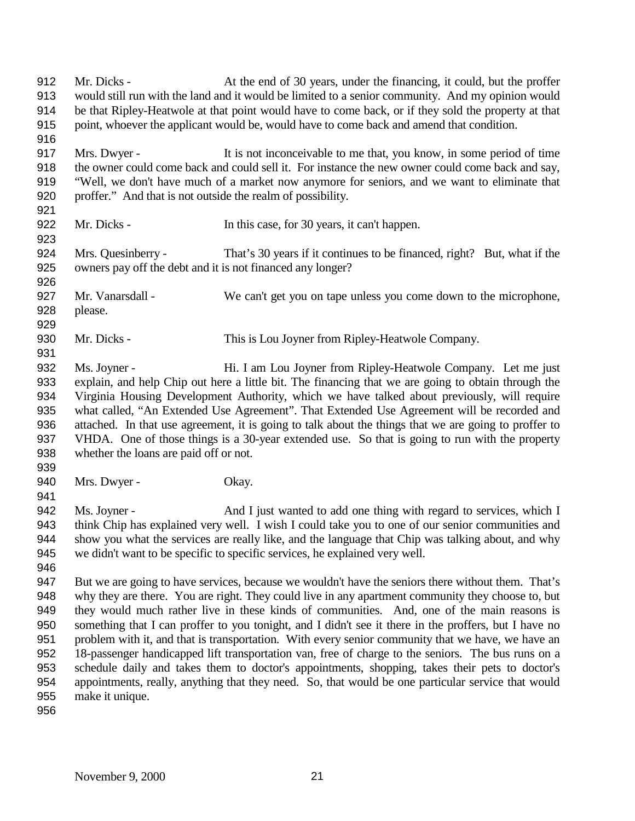Mr. Dicks - At the end of 30 years, under the financing, it could, but the proffer would still run with the land and it would be limited to a senior community. And my opinion would be that Ripley-Heatwole at that point would have to come back, or if they sold the property at that point, whoever the applicant would be, would have to come back and amend that condition. Mrs. Dwyer - It is not inconceivable to me that, you know, in some period of time the owner could come back and could sell it. For instance the new owner could come back and say, "Well, we don't have much of a market now anymore for seniors, and we want to eliminate that proffer." And that is not outside the realm of possibility. 922 Mr. Dicks - In this case, for 30 years, it can't happen. Mrs. Quesinberry - That's 30 years if it continues to be financed, right? But, what if the owners pay off the debt and it is not financed any longer? Mr. Vanarsdall - We can't get you on tape unless you come down to the microphone, please. Mr. Dicks - This is Lou Joyner from Ripley-Heatwole Company. Ms. Joyner - Hi. I am Lou Joyner from Ripley-Heatwole Company. Let me just explain, and help Chip out here a little bit. The financing that we are going to obtain through the Virginia Housing Development Authority, which we have talked about previously, will require what called, "An Extended Use Agreement". That Extended Use Agreement will be recorded and attached. In that use agreement, it is going to talk about the things that we are going to proffer to VHDA. One of those things is a 30-year extended use. So that is going to run with the property whether the loans are paid off or not. 940 Mrs. Dwyer - Okay. Ms. Joyner - And I just wanted to add one thing with regard to services, which I think Chip has explained very well. I wish I could take you to one of our senior communities and show you what the services are really like, and the language that Chip was talking about, and why we didn't want to be specific to specific services, he explained very well. But we are going to have services, because we wouldn't have the seniors there without them. That's why they are there. You are right. They could live in any apartment community they choose to, but they would much rather live in these kinds of communities. And, one of the main reasons is something that I can proffer to you tonight, and I didn't see it there in the proffers, but I have no problem with it, and that is transportation. With every senior community that we have, we have an 18-passenger handicapped lift transportation van, free of charge to the seniors. The bus runs on a schedule daily and takes them to doctor's appointments, shopping, takes their pets to doctor's appointments, really, anything that they need. So, that would be one particular service that would make it unique.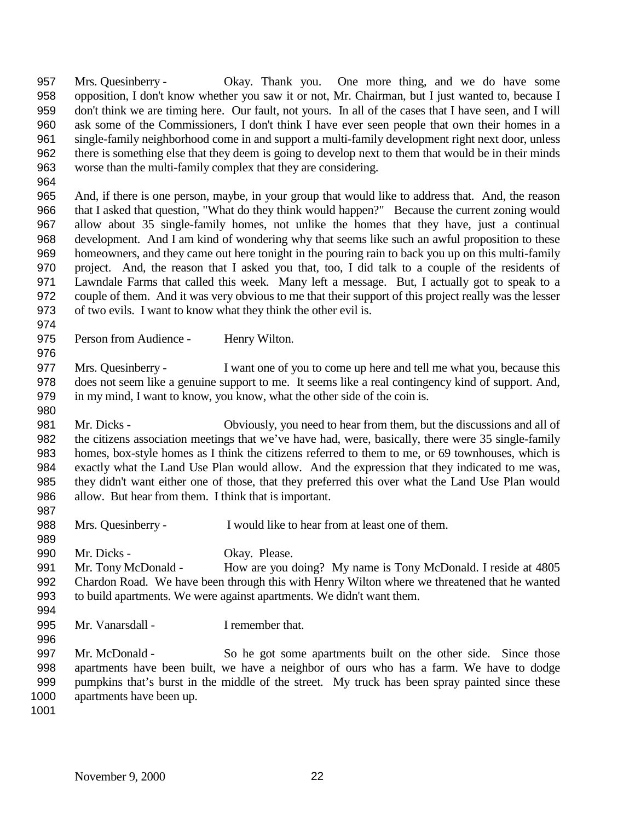Mrs. Quesinberry - Okay. Thank you. One more thing, and we do have some opposition, I don't know whether you saw it or not, Mr. Chairman, but I just wanted to, because I don't think we are timing here. Our fault, not yours. In all of the cases that I have seen, and I will ask some of the Commissioners, I don't think I have ever seen people that own their homes in a single-family neighborhood come in and support a multi-family development right next door, unless there is something else that they deem is going to develop next to them that would be in their minds worse than the multi-family complex that they are considering.

 And, if there is one person, maybe, in your group that would like to address that. And, the reason that I asked that question, "What do they think would happen?" Because the current zoning would allow about 35 single-family homes, not unlike the homes that they have, just a continual development. And I am kind of wondering why that seems like such an awful proposition to these homeowners, and they came out here tonight in the pouring rain to back you up on this multi-family project. And, the reason that I asked you that, too, I did talk to a couple of the residents of Lawndale Farms that called this week. Many left a message. But, I actually got to speak to a couple of them. And it was very obvious to me that their support of this project really was the lesser of two evils. I want to know what they think the other evil is.

975 Person from Audience - Henry Wilton.

977 Mrs. Quesinberry - I want one of you to come up here and tell me what you, because this does not seem like a genuine support to me. It seems like a real contingency kind of support. And, in my mind, I want to know, you know, what the other side of the coin is.

 Mr. Dicks - Obviously, you need to hear from them, but the discussions and all of the citizens association meetings that we've have had, were, basically, there were 35 single-family homes, box-style homes as I think the citizens referred to them to me, or 69 townhouses, which is exactly what the Land Use Plan would allow. And the expression that they indicated to me was, they didn't want either one of those, that they preferred this over what the Land Use Plan would allow. But hear from them. I think that is important.

Mrs. Quesinberry - I would like to hear from at least one of them.

 Mr. Dicks - Okay. Please.

 Mr. Tony McDonald - How are you doing? My name is Tony McDonald. I reside at 4805 Chardon Road. We have been through this with Henry Wilton where we threatened that he wanted to build apartments. We were against apartments. We didn't want them. 

995 Mr. Vanarsdall - I remember that.

 Mr. McDonald - So he got some apartments built on the other side. Since those apartments have been built, we have a neighbor of ours who has a farm. We have to dodge pumpkins that's burst in the middle of the street. My truck has been spray painted since these 1000 apartments have been up.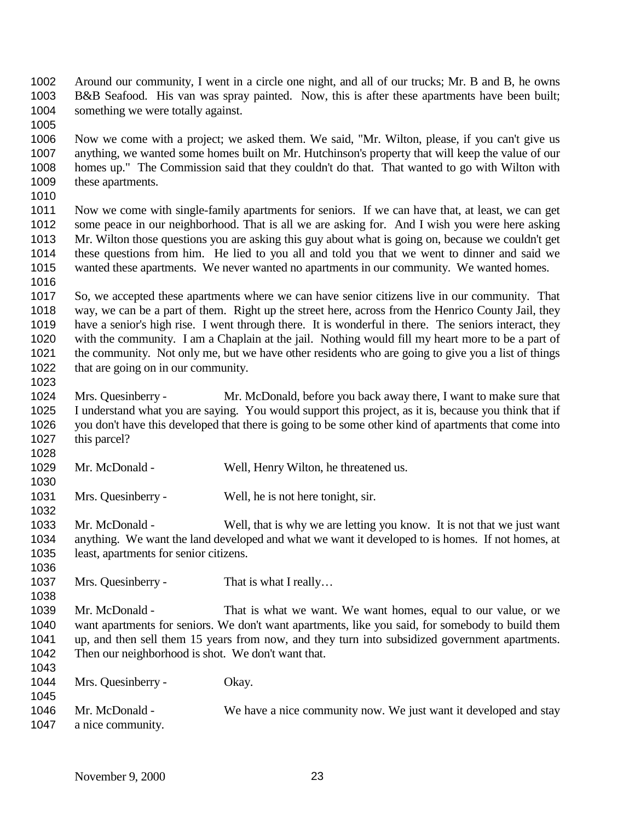Around our community, I went in a circle one night, and all of our trucks; Mr. B and B, he owns B&B Seafood. His van was spray painted. Now, this is after these apartments have been built; 1004 something we were totally against.

 Now we come with a project; we asked them. We said, "Mr. Wilton, please, if you can't give us anything, we wanted some homes built on Mr. Hutchinson's property that will keep the value of our homes up." The Commission said that they couldn't do that. That wanted to go with Wilton with these apartments.

 Now we come with single-family apartments for seniors. If we can have that, at least, we can get 1012 some peace in our neighborhood. That is all we are asking for. And I wish you were here asking Mr. Wilton those questions you are asking this guy about what is going on, because we couldn't get these questions from him. He lied to you all and told you that we went to dinner and said we wanted these apartments. We never wanted no apartments in our community. We wanted homes. 

 So, we accepted these apartments where we can have senior citizens live in our community. That way, we can be a part of them. Right up the street here, across from the Henrico County Jail, they have a senior's high rise. I went through there. It is wonderful in there. The seniors interact, they with the community. I am a Chaplain at the jail. Nothing would fill my heart more to be a part of the community. Not only me, but we have other residents who are going to give you a list of things 1022 that are going on in our community.

 Mrs. Quesinberry - Mr. McDonald, before you back away there, I want to make sure that I understand what you are saying. You would support this project, as it is, because you think that if you don't have this developed that there is going to be some other kind of apartments that come into this parcel? 

Mr. McDonald - Well, Henry Wilton, he threatened us.

1031 Mrs. Quesinberry - Well, he is not here tonight, sir.

 Mr. McDonald - Well, that is why we are letting you know. It is not that we just want anything. We want the land developed and what we want it developed to is homes. If not homes, at least, apartments for senior citizens.

1037 Mrs. Quesinberry - That is what I really...

 Mr. McDonald - That is what we want. We want homes, equal to our value, or we want apartments for seniors. We don't want apartments, like you said, for somebody to build them up, and then sell them 15 years from now, and they turn into subsidized government apartments. Then our neighborhood is shot. We don't want that. 

| 1040<br>1044<br>1045 | Mrs. Quesinberry -                  | Okay.                                                            |
|----------------------|-------------------------------------|------------------------------------------------------------------|
| 1046<br>1047         | Mr. McDonald -<br>a nice community. | We have a nice community now. We just want it developed and stay |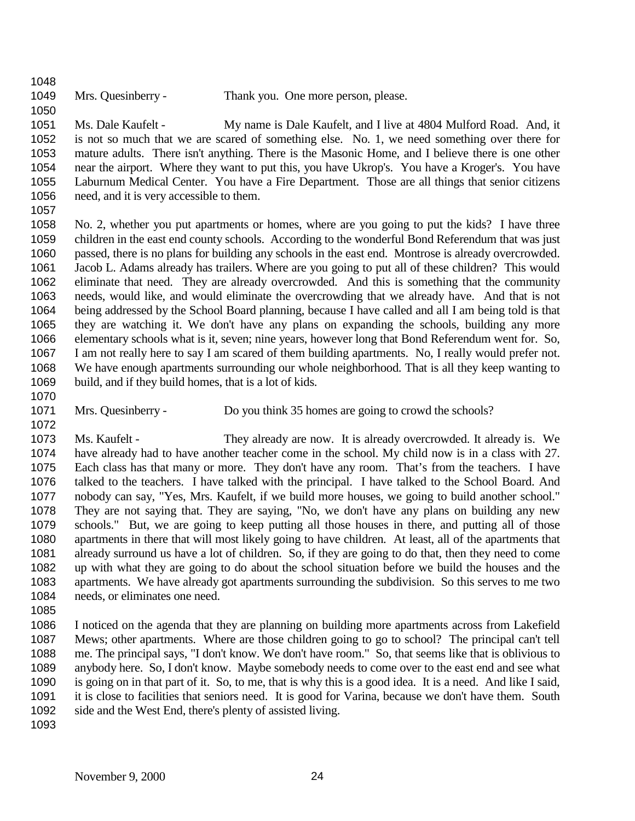Mrs. Quesinberry - Thank you. One more person, please.

 Ms. Dale Kaufelt - My name is Dale Kaufelt, and I live at 4804 Mulford Road. And, it is not so much that we are scared of something else. No. 1, we need something over there for mature adults. There isn't anything. There is the Masonic Home, and I believe there is one other near the airport. Where they want to put this, you have Ukrop's. You have a Kroger's. You have Laburnum Medical Center. You have a Fire Department. Those are all things that senior citizens need, and it is very accessible to them.

 No. 2, whether you put apartments or homes, where are you going to put the kids? I have three children in the east end county schools. According to the wonderful Bond Referendum that was just passed, there is no plans for building any schools in the east end. Montrose is already overcrowded. Jacob L. Adams already has trailers. Where are you going to put all of these children? This would eliminate that need. They are already overcrowded. And this is something that the community needs, would like, and would eliminate the overcrowding that we already have. And that is not being addressed by the School Board planning, because I have called and all I am being told is that they are watching it. We don't have any plans on expanding the schools, building any more elementary schools what is it, seven; nine years, however long that Bond Referendum went for. So, I am not really here to say I am scared of them building apartments. No, I really would prefer not. We have enough apartments surrounding our whole neighborhood. That is all they keep wanting to build, and if they build homes, that is a lot of kids.

1071 Mrs. Quesinberry - Do you think 35 homes are going to crowd the schools?

 Ms. Kaufelt - They already are now. It is already overcrowded. It already is. We have already had to have another teacher come in the school. My child now is in a class with 27. Each class has that many or more. They don't have any room. That's from the teachers. I have talked to the teachers. I have talked with the principal. I have talked to the School Board. And nobody can say, "Yes, Mrs. Kaufelt, if we build more houses, we going to build another school." They are not saying that. They are saying, "No, we don't have any plans on building any new schools." But, we are going to keep putting all those houses in there, and putting all of those apartments in there that will most likely going to have children. At least, all of the apartments that already surround us have a lot of children. So, if they are going to do that, then they need to come up with what they are going to do about the school situation before we build the houses and the apartments. We have already got apartments surrounding the subdivision. So this serves to me two needs, or eliminates one need.

 I noticed on the agenda that they are planning on building more apartments across from Lakefield Mews; other apartments. Where are those children going to go to school? The principal can't tell me. The principal says, "I don't know. We don't have room." So, that seems like that is oblivious to anybody here. So, I don't know. Maybe somebody needs to come over to the east end and see what is going on in that part of it. So, to me, that is why this is a good idea. It is a need. And like I said, it is close to facilities that seniors need. It is good for Varina, because we don't have them. South side and the West End, there's plenty of assisted living.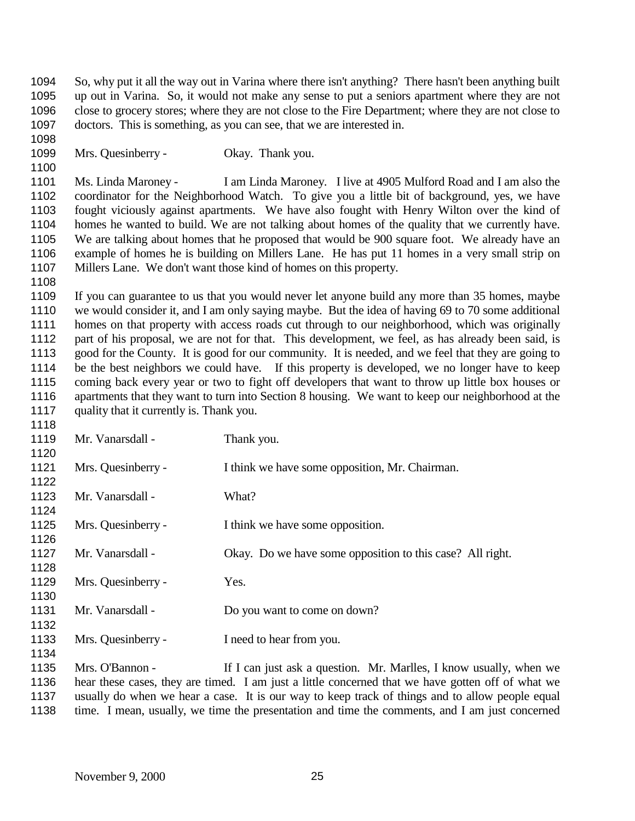So, why put it all the way out in Varina where there isn't anything? There hasn't been anything built up out in Varina. So, it would not make any sense to put a seniors apartment where they are not close to grocery stores; where they are not close to the Fire Department; where they are not close to doctors. This is something, as you can see, that we are interested in.

1099 Mrs. Quesinberry - Okay. Thank you.

 Ms. Linda Maroney - I am Linda Maroney. I live at 4905 Mulford Road and I am also the coordinator for the Neighborhood Watch. To give you a little bit of background, yes, we have fought viciously against apartments. We have also fought with Henry Wilton over the kind of homes he wanted to build. We are not talking about homes of the quality that we currently have. We are talking about homes that he proposed that would be 900 square foot. We already have an example of homes he is building on Millers Lane. He has put 11 homes in a very small strip on Millers Lane. We don't want those kind of homes on this property.

 If you can guarantee to us that you would never let anyone build any more than 35 homes, maybe we would consider it, and I am only saying maybe. But the idea of having 69 to 70 some additional homes on that property with access roads cut through to our neighborhood, which was originally part of his proposal, we are not for that. This development, we feel, as has already been said, is good for the County. It is good for our community. It is needed, and we feel that they are going to be the best neighbors we could have. If this property is developed, we no longer have to keep coming back every year or two to fight off developers that want to throw up little box houses or apartments that they want to turn into Section 8 housing. We want to keep our neighborhood at the quality that it currently is. Thank you.

| 1119 | Mr. Vanarsdall -   | Thank you.                                                                                        |
|------|--------------------|---------------------------------------------------------------------------------------------------|
| 1120 |                    |                                                                                                   |
| 1121 | Mrs. Quesinberry - | I think we have some opposition, Mr. Chairman.                                                    |
| 1122 |                    |                                                                                                   |
| 1123 | Mr. Vanarsdall -   | What?                                                                                             |
| 1124 |                    |                                                                                                   |
| 1125 | Mrs. Quesinberry - | I think we have some opposition.                                                                  |
| 1126 |                    |                                                                                                   |
| 1127 | Mr. Vanarsdall -   | Okay. Do we have some opposition to this case? All right.                                         |
| 1128 |                    |                                                                                                   |
| 1129 | Mrs. Quesinberry - | Yes.                                                                                              |
| 1130 |                    |                                                                                                   |
| 1131 | Mr. Vanarsdall -   | Do you want to come on down?                                                                      |
| 1132 |                    |                                                                                                   |
| 1133 | Mrs. Quesinberry - | I need to hear from you.                                                                          |
| 1134 |                    |                                                                                                   |
| 1135 | Mrs. O'Bannon -    | If I can just ask a question. Mr. Marlles, I know usually, when we                                |
| 1136 |                    | hear these cases, they are timed. I am just a little concerned that we have gotten off of what we |

 usually do when we hear a case. It is our way to keep track of things and to allow people equal time. I mean, usually, we time the presentation and time the comments, and I am just concerned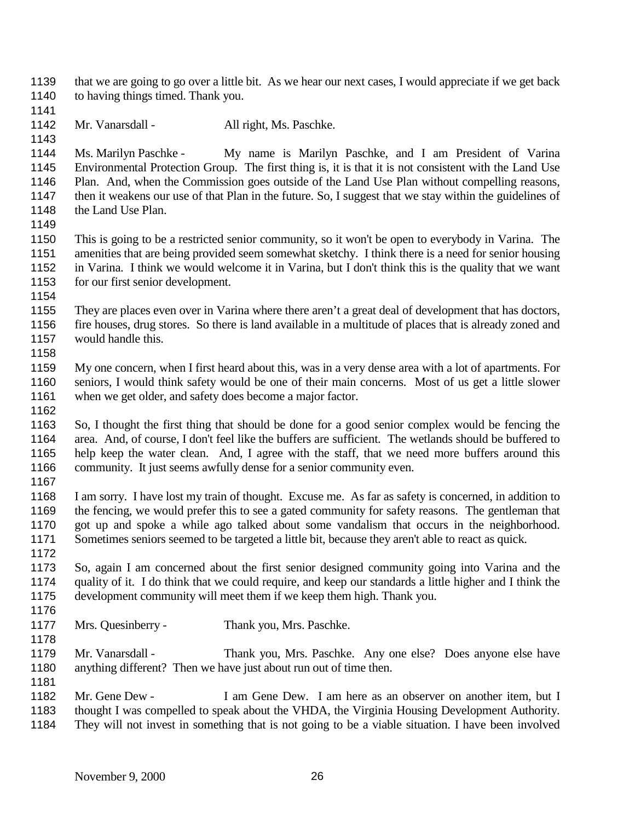that we are going to go over a little bit. As we hear our next cases, I would appreciate if we get back 1140 to having things timed. Thank you.

1142 Mr. Vanarsdall - All right, Ms. Paschke.

 Ms. Marilyn Paschke - My name is Marilyn Paschke, and I am President of Varina Environmental Protection Group. The first thing is, it is that it is not consistent with the Land Use Plan. And, when the Commission goes outside of the Land Use Plan without compelling reasons, then it weakens our use of that Plan in the future. So, I suggest that we stay within the guidelines of 1148 the Land Use Plan.

 This is going to be a restricted senior community, so it won't be open to everybody in Varina. The amenities that are being provided seem somewhat sketchy. I think there is a need for senior housing in Varina. I think we would welcome it in Varina, but I don't think this is the quality that we want 1153 for our first senior development.

 They are places even over in Varina where there aren't a great deal of development that has doctors, fire houses, drug stores. So there is land available in a multitude of places that is already zoned and 1157 would handle this.

 My one concern, when I first heard about this, was in a very dense area with a lot of apartments. For seniors, I would think safety would be one of their main concerns. Most of us get a little slower 1161 when we get older, and safety does become a major factor. 

 So, I thought the first thing that should be done for a good senior complex would be fencing the area. And, of course, I don't feel like the buffers are sufficient. The wetlands should be buffered to help keep the water clean. And, I agree with the staff, that we need more buffers around this 1166 community. It just seems awfully dense for a senior community even.

 I am sorry. I have lost my train of thought. Excuse me. As far as safety is concerned, in addition to the fencing, we would prefer this to see a gated community for safety reasons. The gentleman that got up and spoke a while ago talked about some vandalism that occurs in the neighborhood. Sometimes seniors seemed to be targeted a little bit, because they aren't able to react as quick.

 So, again I am concerned about the first senior designed community going into Varina and the quality of it. I do think that we could require, and keep our standards a little higher and I think the development community will meet them if we keep them high. Thank you. 

- Mrs. Quesinberry Thank you, Mrs. Paschke.
- Mr. Vanarsdall Thank you, Mrs. Paschke. Any one else? Does anyone else have anything different? Then we have just about run out of time then.

 Mr. Gene Dew - I am Gene Dew. I am here as an observer on another item, but I thought I was compelled to speak about the VHDA, the Virginia Housing Development Authority.

They will not invest in something that is not going to be a viable situation. I have been involved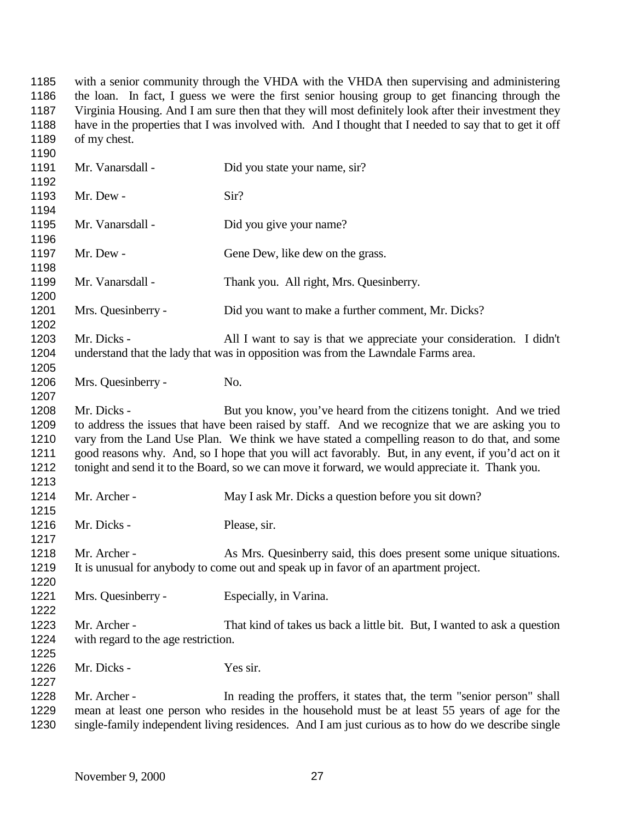with a senior community through the VHDA with the VHDA then supervising and administering the loan. In fact, I guess we were the first senior housing group to get financing through the Virginia Housing. And I am sure then that they will most definitely look after their investment they have in the properties that I was involved with. And I thought that I needed to say that to get it off 1189 of my chest. 

| 1130 |                                                                                                     |                                                                                                    |
|------|-----------------------------------------------------------------------------------------------------|----------------------------------------------------------------------------------------------------|
| 1191 | Mr. Vanarsdall -                                                                                    | Did you state your name, sir?                                                                      |
| 1192 |                                                                                                     |                                                                                                    |
| 1193 | Mr. Dew -                                                                                           | Sir?                                                                                               |
| 1194 |                                                                                                     |                                                                                                    |
| 1195 | Mr. Vanarsdall -                                                                                    | Did you give your name?                                                                            |
| 1196 |                                                                                                     |                                                                                                    |
| 1197 | Mr. Dew -                                                                                           | Gene Dew, like dew on the grass.                                                                   |
| 1198 |                                                                                                     |                                                                                                    |
| 1199 | Mr. Vanarsdall -                                                                                    | Thank you. All right, Mrs. Quesinberry.                                                            |
| 1200 |                                                                                                     |                                                                                                    |
| 1201 | Mrs. Quesinberry -                                                                                  | Did you want to make a further comment, Mr. Dicks?                                                 |
| 1202 |                                                                                                     |                                                                                                    |
| 1203 | Mr. Dicks -                                                                                         | All I want to say is that we appreciate your consideration. I didn't                               |
| 1204 |                                                                                                     | understand that the lady that was in opposition was from the Lawndale Farms area.                  |
| 1205 |                                                                                                     |                                                                                                    |
| 1206 | Mrs. Quesinberry -                                                                                  | No.                                                                                                |
| 1207 |                                                                                                     |                                                                                                    |
| 1208 | Mr. Dicks -                                                                                         | But you know, you've heard from the citizens tonight. And we tried                                 |
| 1209 |                                                                                                     | to address the issues that have been raised by staff. And we recognize that we are asking you to   |
| 1210 | vary from the Land Use Plan. We think we have stated a compelling reason to do that, and some       |                                                                                                    |
| 1211 | good reasons why. And, so I hope that you will act favorably. But, in any event, if you'd act on it |                                                                                                    |
| 1212 |                                                                                                     | tonight and send it to the Board, so we can move it forward, we would appreciate it. Thank you.    |
| 1213 |                                                                                                     |                                                                                                    |
| 1214 | Mr. Archer -                                                                                        | May I ask Mr. Dicks a question before you sit down?                                                |
| 1215 |                                                                                                     |                                                                                                    |
| 1216 | Mr. Dicks -                                                                                         | Please, sir.                                                                                       |
| 1217 |                                                                                                     |                                                                                                    |
| 1218 | Mr. Archer -                                                                                        | As Mrs. Quesinberry said, this does present some unique situations.                                |
| 1219 |                                                                                                     | It is unusual for anybody to come out and speak up in favor of an apartment project.               |
| 1220 |                                                                                                     |                                                                                                    |
| 1221 | Mrs. Quesinberry -                                                                                  | Especially, in Varina.                                                                             |
| 1222 |                                                                                                     |                                                                                                    |
| 1223 | Mr. Archer -                                                                                        | That kind of takes us back a little bit. But, I wanted to ask a question                           |
| 1224 | with regard to the age restriction.                                                                 |                                                                                                    |
| 1225 |                                                                                                     |                                                                                                    |
| 1226 | Mr. Dicks -                                                                                         | Yes sir.                                                                                           |
| 1227 |                                                                                                     |                                                                                                    |
| 1228 | Mr. Archer -                                                                                        | In reading the proffers, it states that, the term "senior person" shall                            |
| 1229 |                                                                                                     | mean at least one person who resides in the household must be at least 55 years of age for the     |
| 1230 |                                                                                                     | single-family independent living residences. And I am just curious as to how do we describe single |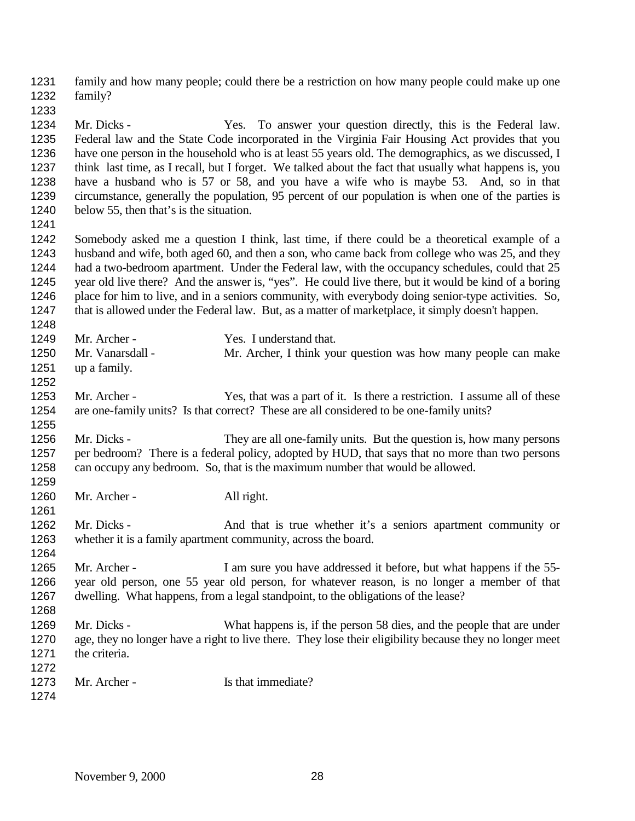family and how many people; could there be a restriction on how many people could make up one family? Mr. Dicks - Yes. To answer your question directly, this is the Federal law. Federal law and the State Code incorporated in the Virginia Fair Housing Act provides that you have one person in the household who is at least 55 years old. The demographics, as we discussed, I think last time, as I recall, but I forget. We talked about the fact that usually what happens is, you have a husband who is 57 or 58, and you have a wife who is maybe 53. And, so in that circumstance, generally the population, 95 percent of our population is when one of the parties is below 55, then that's is the situation. Somebody asked me a question I think, last time, if there could be a theoretical example of a husband and wife, both aged 60, and then a son, who came back from college who was 25, and they had a two-bedroom apartment. Under the Federal law, with the occupancy schedules, could that 25 year old live there? And the answer is, "yes". He could live there, but it would be kind of a boring 1246 place for him to live, and in a seniors community, with everybody doing senior-type activities. So, that is allowed under the Federal law. But, as a matter of marketplace, it simply doesn't happen. 1249 Mr. Archer - Yes. I understand that. Mr. Vanarsdall - Mr. Archer, I think your question was how many people can make up a family. 1253 Mr. Archer - Yes, that was a part of it. Is there a restriction. I assume all of these are one-family units? Is that correct? These are all considered to be one-family units? Mr. Dicks - They are all one-family units. But the question is, how many persons per bedroom? There is a federal policy, adopted by HUD, that says that no more than two persons can occupy any bedroom. So, that is the maximum number that would be allowed. 1260 Mr. Archer - All right. 1262 Mr. Dicks - And that is true whether it's a seniors apartment community or whether it is a family apartment community, across the board. 1265 Mr. Archer - I am sure you have addressed it before, but what happens if the 55- year old person, one 55 year old person, for whatever reason, is no longer a member of that dwelling. What happens, from a legal standpoint, to the obligations of the lease? Mr. Dicks - What happens is, if the person 58 dies, and the people that are under age, they no longer have a right to live there. They lose their eligibility because they no longer meet the criteria. 1273 Mr. Archer - Is that immediate?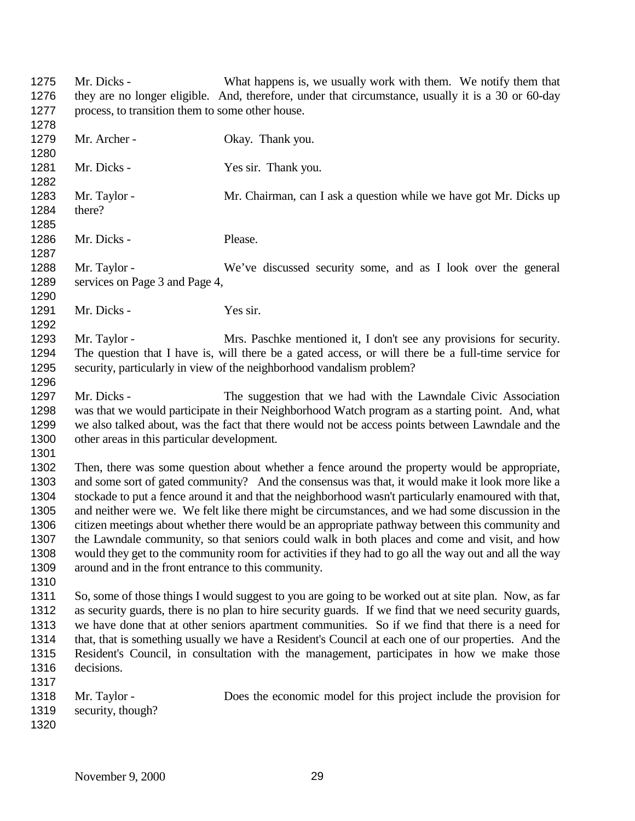Mr. Dicks - What happens is, we usually work with them. We notify them that they are no longer eligible. And, therefore, under that circumstance, usually it is a 30 or 60-day process, to transition them to some other house. 1279 Mr. Archer - Okay. Thank you. 1281 Mr. Dicks - Yes sir. Thank you. 1283 Mr. Taylor - Mr. Chairman, can I ask a question while we have got Mr. Dicks up there? Mr. Dicks - Please. Mr. Taylor - We've discussed security some, and as I look over the general services on Page 3 and Page 4, Mr. Dicks - Yes sir. 1293 Mr. Taylor - Mrs. Paschke mentioned it, I don't see any provisions for security. The question that I have is, will there be a gated access, or will there be a full-time service for security, particularly in view of the neighborhood vandalism problem? Mr. Dicks - The suggestion that we had with the Lawndale Civic Association was that we would participate in their Neighborhood Watch program as a starting point. And, what we also talked about, was the fact that there would not be access points between Lawndale and the other areas in this particular development. Then, there was some question about whether a fence around the property would be appropriate, and some sort of gated community? And the consensus was that, it would make it look more like a stockade to put a fence around it and that the neighborhood wasn't particularly enamoured with that, and neither were we. We felt like there might be circumstances, and we had some discussion in the citizen meetings about whether there would be an appropriate pathway between this community and the Lawndale community, so that seniors could walk in both places and come and visit, and how would they get to the community room for activities if they had to go all the way out and all the way around and in the front entrance to this community. So, some of those things I would suggest to you are going to be worked out at site plan. Now, as far as security guards, there is no plan to hire security guards. If we find that we need security guards, we have done that at other seniors apartment communities. So if we find that there is a need for that, that is something usually we have a Resident's Council at each one of our properties. And the Resident's Council, in consultation with the management, participates in how we make those decisions. Mr. Taylor - Does the economic model for this project include the provision for security, though?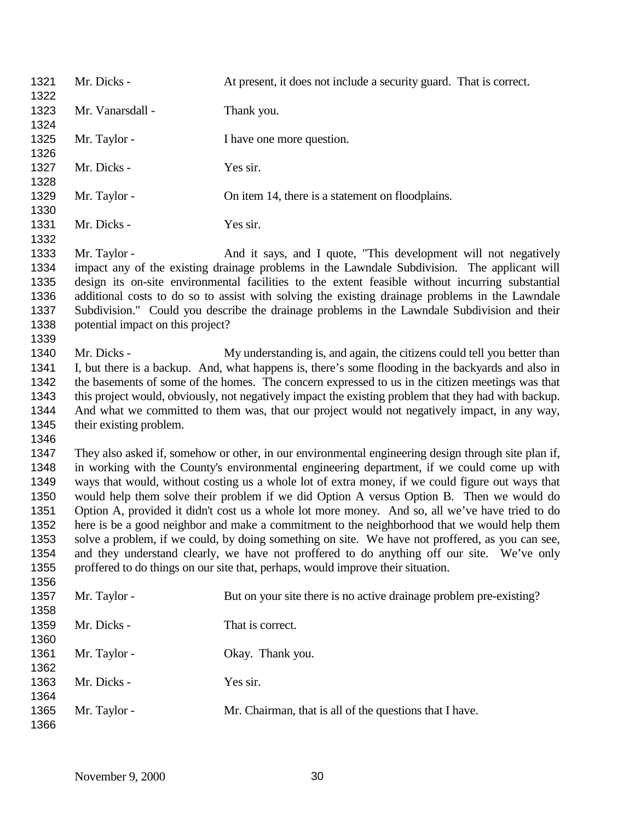Mr. Dicks - At present, it does not include a security guard. That is correct. 1323 Mr. Vanarsdall - Thank you. 1325 Mr. Taylor - I have one more question. 1327 Mr. Dicks - Yes sir. 1329 Mr. Taylor - On item 14, there is a statement on floodplains. 1331 Mr. Dicks - Yes sir. Mr. Taylor - And it says, and I quote, "This development will not negatively impact any of the existing drainage problems in the Lawndale Subdivision. The applicant will design its on-site environmental facilities to the extent feasible without incurring substantial additional costs to do so to assist with solving the existing drainage problems in the Lawndale Subdivision." Could you describe the drainage problems in the Lawndale Subdivision and their potential impact on this project? 1340 Mr. Dicks - My understanding is, and again, the citizens could tell you better than I, but there is a backup. And, what happens is, there's some flooding in the backyards and also in the basements of some of the homes. The concern expressed to us in the citizen meetings was that this project would, obviously, not negatively impact the existing problem that they had with backup. And what we committed to them was, that our project would not negatively impact, in any way, their existing problem. They also asked if, somehow or other, in our environmental engineering design through site plan if, in working with the County's environmental engineering department, if we could come up with ways that would, without costing us a whole lot of extra money, if we could figure out ways that would help them solve their problem if we did Option A versus Option B. Then we would do Option A, provided it didn't cost us a whole lot more money. And so, all we've have tried to do here is be a good neighbor and make a commitment to the neighborhood that we would help them solve a problem, if we could, by doing something on site. We have not proffered, as you can see, and they understand clearly, we have not proffered to do anything off our site. We've only proffered to do things on our site that, perhaps, would improve their situation. 1357 Mr. Taylor - But on your site there is no active drainage problem pre-existing? Mr. Dicks - That is correct. 1361 Mr. Taylor - Okay. Thank you. Mr. Dicks - Yes sir. 1365 Mr. Taylor - Mr. Chairman, that is all of the questions that I have.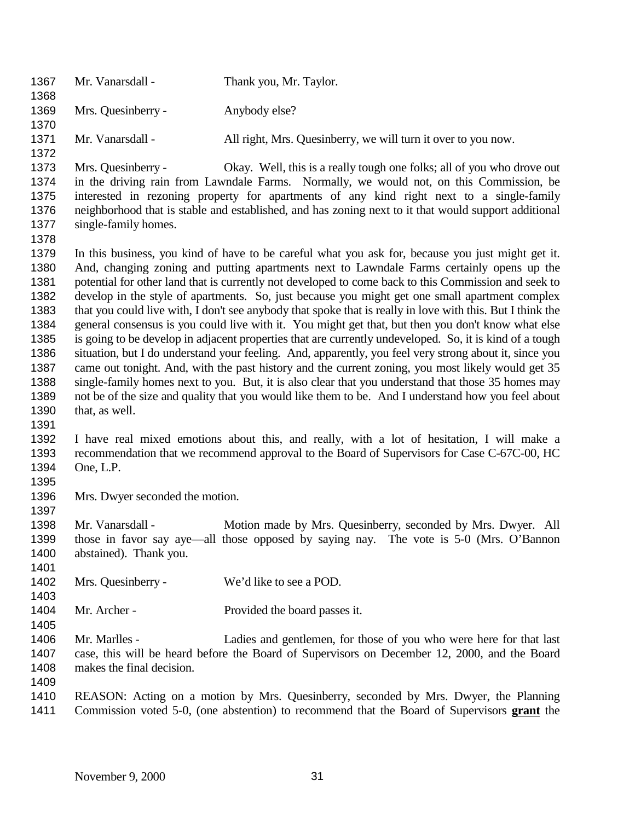| 1367<br>1368                                                                                         | Mr. Vanarsdall -                           | Thank you, Mr. Taylor.                                                                                                                                                                                                                                                                                                                                                                                                                                                                                                                                                                                                                                                                                                                                                                                                                                                                                                                                                                                                                                                                                                                                             |
|------------------------------------------------------------------------------------------------------|--------------------------------------------|--------------------------------------------------------------------------------------------------------------------------------------------------------------------------------------------------------------------------------------------------------------------------------------------------------------------------------------------------------------------------------------------------------------------------------------------------------------------------------------------------------------------------------------------------------------------------------------------------------------------------------------------------------------------------------------------------------------------------------------------------------------------------------------------------------------------------------------------------------------------------------------------------------------------------------------------------------------------------------------------------------------------------------------------------------------------------------------------------------------------------------------------------------------------|
| 1369<br>1370                                                                                         | Mrs. Quesinberry -                         | Anybody else?                                                                                                                                                                                                                                                                                                                                                                                                                                                                                                                                                                                                                                                                                                                                                                                                                                                                                                                                                                                                                                                                                                                                                      |
| 1371<br>1372                                                                                         | Mr. Vanarsdall -                           | All right, Mrs. Quesinberry, we will turn it over to you now.                                                                                                                                                                                                                                                                                                                                                                                                                                                                                                                                                                                                                                                                                                                                                                                                                                                                                                                                                                                                                                                                                                      |
| 1373<br>1374<br>1375<br>1376<br>1377<br>1378                                                         | Mrs. Quesinberry -<br>single-family homes. | Okay. Well, this is a really tough one folks; all of you who drove out<br>in the driving rain from Lawndale Farms. Normally, we would not, on this Commission, be<br>interested in rezoning property for apartments of any kind right next to a single-family<br>neighborhood that is stable and established, and has zoning next to it that would support additional                                                                                                                                                                                                                                                                                                                                                                                                                                                                                                                                                                                                                                                                                                                                                                                              |
| 1379<br>1380<br>1381<br>1382<br>1383<br>1384<br>1385<br>1386<br>1387<br>1388<br>1389<br>1390<br>1391 | that, as well.                             | In this business, you kind of have to be careful what you ask for, because you just might get it.<br>And, changing zoning and putting apartments next to Lawndale Farms certainly opens up the<br>potential for other land that is currently not developed to come back to this Commission and seek to<br>develop in the style of apartments. So, just because you might get one small apartment complex<br>that you could live with, I don't see anybody that spoke that is really in love with this. But I think the<br>general consensus is you could live with it. You might get that, but then you don't know what else<br>is going to be develop in adjacent properties that are currently undeveloped. So, it is kind of a tough<br>situation, but I do understand your feeling. And, apparently, you feel very strong about it, since you<br>came out tonight. And, with the past history and the current zoning, you most likely would get 35<br>single-family homes next to you. But, it is also clear that you understand that those 35 homes may<br>not be of the size and quality that you would like them to be. And I understand how you feel about |
| 1392<br>1393<br>1394<br>1395                                                                         | One, L.P.                                  | I have real mixed emotions about this, and really, with a lot of hesitation, I will make a<br>recommendation that we recommend approval to the Board of Supervisors for Case C-67C-00, HC                                                                                                                                                                                                                                                                                                                                                                                                                                                                                                                                                                                                                                                                                                                                                                                                                                                                                                                                                                          |
| 1396<br>1397                                                                                         | Mrs. Dwyer seconded the motion.            |                                                                                                                                                                                                                                                                                                                                                                                                                                                                                                                                                                                                                                                                                                                                                                                                                                                                                                                                                                                                                                                                                                                                                                    |
| 1398<br>1399<br>1400<br>1401                                                                         | Mr. Vanarsdall -<br>abstained). Thank you. | Motion made by Mrs. Quesinberry, seconded by Mrs. Dwyer. All<br>those in favor say aye—all those opposed by saying nay. The vote is 5-0 (Mrs. O'Bannon                                                                                                                                                                                                                                                                                                                                                                                                                                                                                                                                                                                                                                                                                                                                                                                                                                                                                                                                                                                                             |
| 1402<br>1403                                                                                         | Mrs. Quesinberry -                         | We'd like to see a POD.                                                                                                                                                                                                                                                                                                                                                                                                                                                                                                                                                                                                                                                                                                                                                                                                                                                                                                                                                                                                                                                                                                                                            |
| 1404<br>1405                                                                                         | Mr. Archer -                               | Provided the board passes it.                                                                                                                                                                                                                                                                                                                                                                                                                                                                                                                                                                                                                                                                                                                                                                                                                                                                                                                                                                                                                                                                                                                                      |
| 1406<br>1407<br>1408<br>1409                                                                         | Mr. Marlles -<br>makes the final decision. | Ladies and gentlemen, for those of you who were here for that last<br>case, this will be heard before the Board of Supervisors on December 12, 2000, and the Board                                                                                                                                                                                                                                                                                                                                                                                                                                                                                                                                                                                                                                                                                                                                                                                                                                                                                                                                                                                                 |
| 1410<br>1411                                                                                         |                                            | REASON: Acting on a motion by Mrs. Quesinberry, seconded by Mrs. Dwyer, the Planning<br>Commission voted 5-0, (one abstention) to recommend that the Board of Supervisors grant the                                                                                                                                                                                                                                                                                                                                                                                                                                                                                                                                                                                                                                                                                                                                                                                                                                                                                                                                                                                |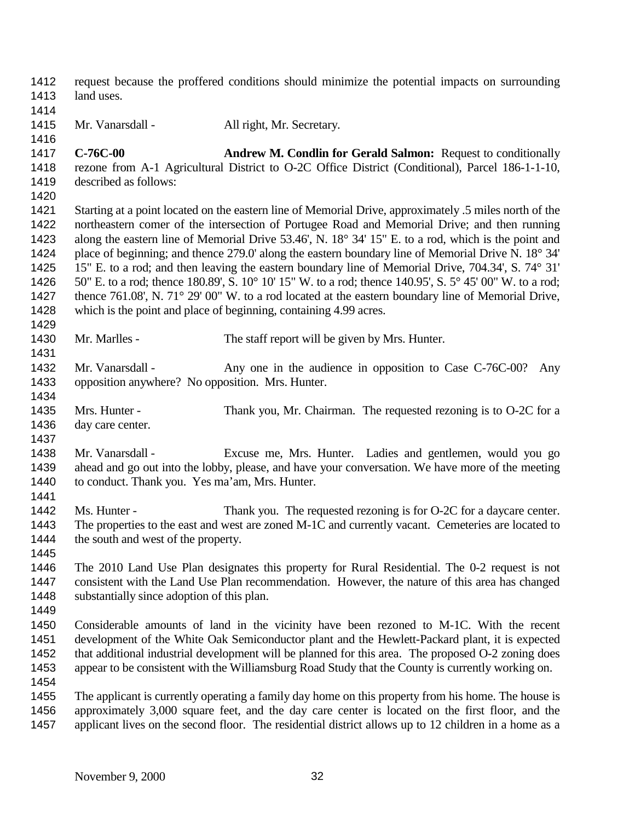request because the proffered conditions should minimize the potential impacts on surrounding land uses. 1415 Mr. Vanarsdall - All right, Mr. Secretary. **C-76C-00 Andrew M. Condlin for Gerald Salmon:** Request to conditionally rezone from A-1 Agricultural District to O-2C Office District (Conditional), Parcel 186-1-1-10, described as follows: Starting at a point located on the eastern line of Memorial Drive, approximately .5 miles north of the northeastern comer of the intersection of Portugee Road and Memorial Drive; and then running along the eastern line of Memorial Drive 53.46', N. 18° 34' 15" E. to a rod, which is the point and 1424 place of beginning; and thence 279.0' along the eastern boundary line of Memorial Drive N. 18° 34' 15" E. to a rod; and then leaving the eastern boundary line of Memorial Drive, 704.34', S. 74° 31' 50" E. to a rod; thence 180.89', S. 10° 10' 15" W. to a rod; thence 140.95', S. 5° 45' 00" W. to a rod; 1427 thence 761.08', N. 71° 29' 00" W. to a rod located at the eastern boundary line of Memorial Drive, which is the point and place of beginning, containing 4.99 acres. 1430 Mr. Marlles - The staff report will be given by Mrs. Hunter. 1432 Mr. Vanarsdall - Any one in the audience in opposition to Case C-76C-00? Any opposition anywhere? No opposition. Mrs. Hunter. Mrs. Hunter - Thank you, Mr. Chairman. The requested rezoning is to O-2C for a day care center. Mr. Vanarsdall - Excuse me, Mrs. Hunter. Ladies and gentlemen, would you go ahead and go out into the lobby, please, and have your conversation. We have more of the meeting to conduct. Thank you. Yes ma'am, Mrs. Hunter. Ms. Hunter - Thank you. The requested rezoning is for O-2C for a daycare center. The properties to the east and west are zoned M-1C and currently vacant. Cemeteries are located to 1444 the south and west of the property. The 2010 Land Use Plan designates this property for Rural Residential. The 0-2 request is not consistent with the Land Use Plan recommendation. However, the nature of this area has changed substantially since adoption of this plan. Considerable amounts of land in the vicinity have been rezoned to M-1C. With the recent development of the White Oak Semiconductor plant and the Hewlett-Packard plant, it is expected that additional industrial development will be planned for this area. The proposed O-2 zoning does appear to be consistent with the Williamsburg Road Study that the County is currently working on. The applicant is currently operating a family day home on this property from his home. The house is approximately 3,000 square feet, and the day care center is located on the first floor, and the 1457 applicant lives on the second floor. The residential district allows up to 12 children in a home as a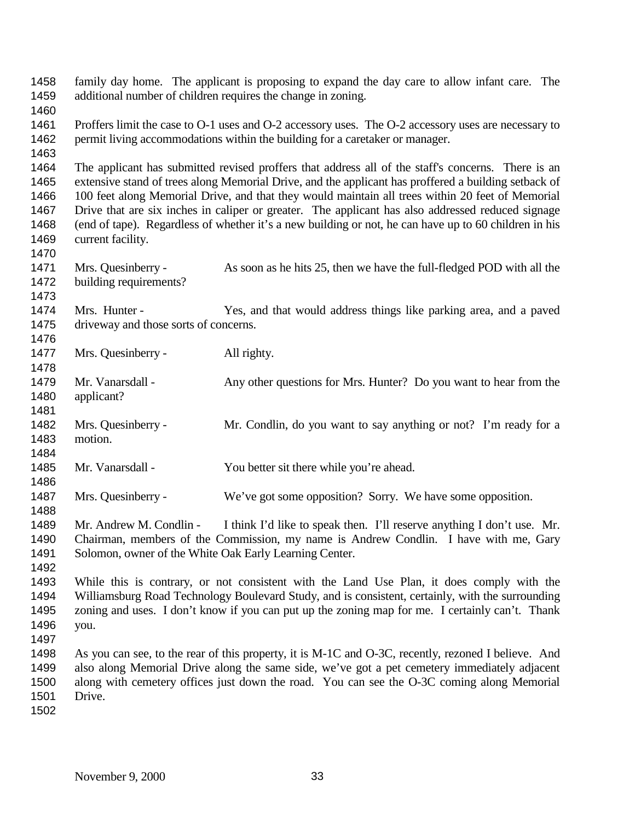family day home. The applicant is proposing to expand the day care to allow infant care. The additional number of children requires the change in zoning. Proffers limit the case to O-1 uses and O-2 accessory uses. The O-2 accessory uses are necessary to permit living accommodations within the building for a caretaker or manager. The applicant has submitted revised proffers that address all of the staff's concerns. There is an extensive stand of trees along Memorial Drive, and the applicant has proffered a building setback of 100 feet along Memorial Drive, and that they would maintain all trees within 20 feet of Memorial Drive that are six inches in caliper or greater. The applicant has also addressed reduced signage (end of tape). Regardless of whether it's a new building or not, he can have up to 60 children in his current facility. Mrs. Quesinberry - As soon as he hits 25, then we have the full-fledged POD with all the building requirements? Mrs. Hunter - Yes, and that would address things like parking area, and a paved driveway and those sorts of concerns. 1477 Mrs. Quesinberry - All righty. Mr. Vanarsdall - Any other questions for Mrs. Hunter? Do you want to hear from the applicant? Mrs. Quesinberry - Mr. Condlin, do you want to say anything or not? I'm ready for a motion. Mr. Vanarsdall - You better sit there while you're ahead. Mrs. Quesinberry - We've got some opposition? Sorry. We have some opposition. Mr. Andrew M. Condlin - I think I'd like to speak then. I'll reserve anything I don't use. Mr. Chairman, members of the Commission, my name is Andrew Condlin. I have with me, Gary 1491 Solomon, owner of the White Oak Early Learning Center. While this is contrary, or not consistent with the Land Use Plan, it does comply with the Williamsburg Road Technology Boulevard Study, and is consistent, certainly, with the surrounding zoning and uses. I don't know if you can put up the zoning map for me. I certainly can't. Thank you. As you can see, to the rear of this property, it is M-1C and O-3C, recently, rezoned I believe. And also along Memorial Drive along the same side, we've got a pet cemetery immediately adjacent along with cemetery offices just down the road. You can see the O-3C coming along Memorial Drive.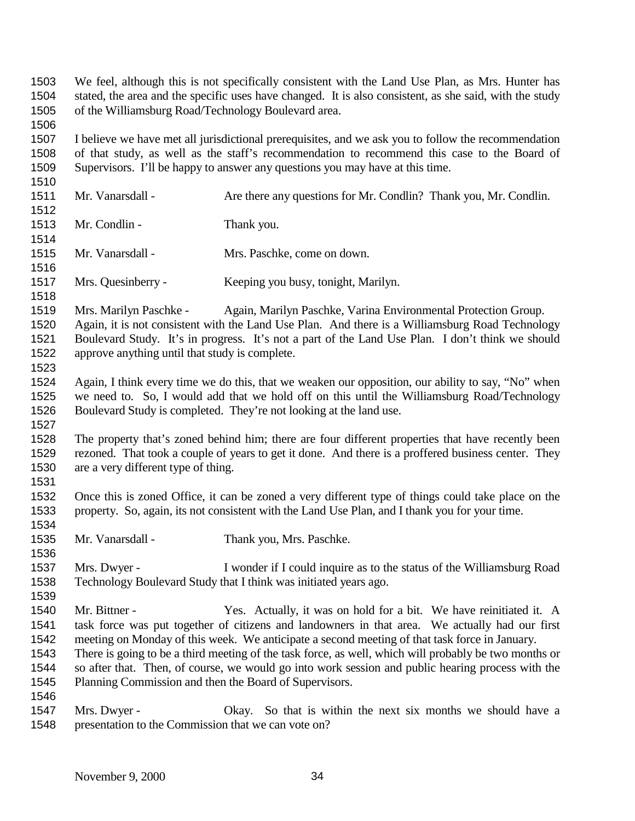We feel, although this is not specifically consistent with the Land Use Plan, as Mrs. Hunter has stated, the area and the specific uses have changed. It is also consistent, as she said, with the study of the Williamsburg Road/Technology Boulevard area.

 I believe we have met all jurisdictional prerequisites, and we ask you to follow the recommendation of that study, as well as the staff's recommendation to recommend this case to the Board of Supervisors. I'll be happy to answer any questions you may have at this time.

1511 Mr. Vanarsdall - Are there any questions for Mr. Condlin? Thank you, Mr. Condlin. 1513 Mr. Condlin - Thank you. Mr. Vanarsdall - Mrs. Paschke, come on down. 

Mrs. Quesinberry - Keeping you busy, tonight, Marilyn.

 Mrs. Marilyn Paschke - Again, Marilyn Paschke, Varina Environmental Protection Group. Again, it is not consistent with the Land Use Plan. And there is a Williamsburg Road Technology Boulevard Study. It's in progress. It's not a part of the Land Use Plan. I don't think we should approve anything until that study is complete.

- Again, I think every time we do this, that we weaken our opposition, our ability to say, "No" when we need to. So, I would add that we hold off on this until the Williamsburg Road/Technology Boulevard Study is completed. They're not looking at the land use.
- The property that's zoned behind him; there are four different properties that have recently been rezoned. That took a couple of years to get it done. And there is a proffered business center. They are a very different type of thing.
- Once this is zoned Office, it can be zoned a very different type of things could take place on the property. So, again, its not consistent with the Land Use Plan, and I thank you for your time.
- Mr. Vanarsdall Thank you, Mrs. Paschke.
- Mrs. Dwyer I wonder if I could inquire as to the status of the Williamsburg Road Technology Boulevard Study that I think was initiated years ago.
- Mr. Bittner Yes. Actually, it was on hold for a bit. We have reinitiated it. A task force was put together of citizens and landowners in that area. We actually had our first meeting on Monday of this week. We anticipate a second meeting of that task force in January.
- There is going to be a third meeting of the task force, as well, which will probably be two months or so after that. Then, of course, we would go into work session and public hearing process with the Planning Commission and then the Board of Supervisors.
- 

 Mrs. Dwyer - Okay. So that is within the next six months we should have a presentation to the Commission that we can vote on?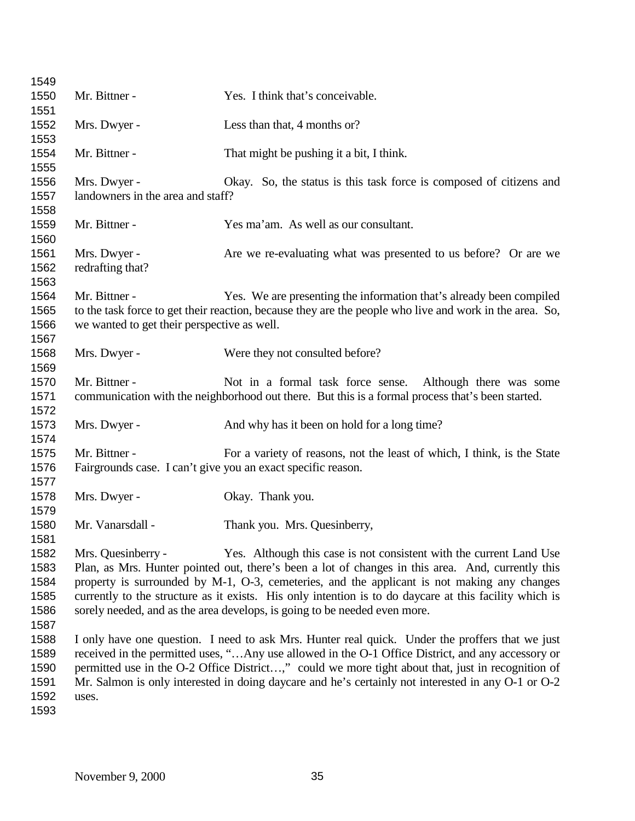| 1549 |                                             |                                                                                                         |
|------|---------------------------------------------|---------------------------------------------------------------------------------------------------------|
| 1550 | Mr. Bittner -                               | Yes. I think that's conceivable.                                                                        |
| 1551 |                                             |                                                                                                         |
| 1552 | Mrs. Dwyer -                                | Less than that, 4 months or?                                                                            |
| 1553 |                                             |                                                                                                         |
| 1554 | Mr. Bittner -                               | That might be pushing it a bit, I think.                                                                |
| 1555 |                                             |                                                                                                         |
| 1556 | Mrs. Dwyer -                                | Okay. So, the status is this task force is composed of citizens and                                     |
| 1557 | landowners in the area and staff?           |                                                                                                         |
| 1558 |                                             |                                                                                                         |
| 1559 | Mr. Bittner -                               | Yes ma'am. As well as our consultant.                                                                   |
| 1560 |                                             |                                                                                                         |
| 1561 | Mrs. Dwyer -                                | Are we re-evaluating what was presented to us before? Or are we                                         |
| 1562 | redrafting that?                            |                                                                                                         |
| 1563 |                                             |                                                                                                         |
| 1564 | Mr. Bittner -                               | Yes. We are presenting the information that's already been compiled                                     |
| 1565 |                                             | to the task force to get their reaction, because they are the people who live and work in the area. So, |
| 1566 | we wanted to get their perspective as well. |                                                                                                         |
| 1567 |                                             |                                                                                                         |
| 1568 | Mrs. Dwyer -                                | Were they not consulted before?                                                                         |
| 1569 |                                             |                                                                                                         |
| 1570 | Mr. Bittner -                               | Not in a formal task force sense. Although there was some                                               |
| 1571 |                                             | communication with the neighborhood out there. But this is a formal process that's been started.        |
| 1572 |                                             |                                                                                                         |
| 1573 | Mrs. Dwyer -                                | And why has it been on hold for a long time?                                                            |
| 1574 |                                             |                                                                                                         |
| 1575 | Mr. Bittner -                               | For a variety of reasons, not the least of which, I think, is the State                                 |
| 1576 |                                             | Fairgrounds case. I can't give you an exact specific reason.                                            |
| 1577 |                                             |                                                                                                         |
| 1578 | Mrs. Dwyer -                                | Okay. Thank you.                                                                                        |
| 1579 |                                             |                                                                                                         |
| 1580 | Mr. Vanarsdall -                            | Thank you. Mrs. Quesinberry,                                                                            |
| 1581 |                                             |                                                                                                         |
| 1582 | Mrs. Quesinberry -                          | Yes. Although this case is not consistent with the current Land Use                                     |
| 1583 |                                             | Plan, as Mrs. Hunter pointed out, there's been a lot of changes in this area. And, currently this       |
| 1584 |                                             | property is surrounded by M-1, O-3, cemeteries, and the applicant is not making any changes             |
| 1585 |                                             | currently to the structure as it exists. His only intention is to do daycare at this facility which is  |
| 1586 |                                             | sorely needed, and as the area develops, is going to be needed even more.                               |
| 1587 |                                             |                                                                                                         |
| 1588 |                                             | I only have one question. I need to ask Mrs. Hunter real quick. Under the proffers that we just         |
| 1589 |                                             | received in the permitted uses, "Any use allowed in the O-1 Office District, and any accessory or       |
| 1590 |                                             | permitted use in the O-2 Office District," could we more tight about that, just in recognition of       |
| 1591 |                                             | Mr. Salmon is only interested in doing daycare and he's certainly not interested in any O-1 or O-2      |
| 1592 | uses.                                       |                                                                                                         |
| 1593 |                                             |                                                                                                         |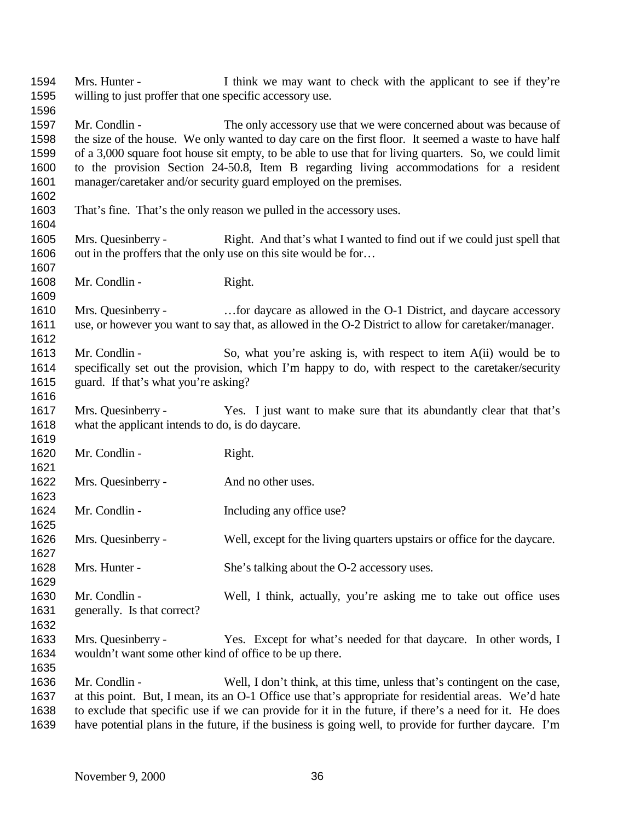| 1594 | Mrs. Hunter -                                            | I think we may want to check with the applicant to see if they're                                      |
|------|----------------------------------------------------------|--------------------------------------------------------------------------------------------------------|
| 1595 | willing to just proffer that one specific accessory use. |                                                                                                        |
| 1596 |                                                          |                                                                                                        |
| 1597 | Mr. Condlin -                                            | The only accessory use that we were concerned about was because of                                     |
| 1598 |                                                          | the size of the house. We only wanted to day care on the first floor. It seemed a waste to have half   |
| 1599 |                                                          | of a 3,000 square foot house sit empty, to be able to use that for living quarters. So, we could limit |
| 1600 |                                                          | to the provision Section 24-50.8, Item B regarding living accommodations for a resident                |
| 1601 |                                                          | manager/caretaker and/or security guard employed on the premises.                                      |
| 1602 |                                                          |                                                                                                        |
| 1603 |                                                          | That's fine. That's the only reason we pulled in the accessory uses.                                   |
| 1604 |                                                          |                                                                                                        |
| 1605 | Mrs. Quesinberry -                                       | Right. And that's what I wanted to find out if we could just spell that                                |
| 1606 |                                                          | out in the proffers that the only use on this site would be for                                        |
| 1607 |                                                          |                                                                                                        |
| 1608 | Mr. Condlin -                                            | Right.                                                                                                 |
| 1609 |                                                          |                                                                                                        |
| 1610 | Mrs. Quesinberry -                                       | for daycare as allowed in the O-1 District, and daycare accessory                                      |
| 1611 |                                                          | use, or however you want to say that, as allowed in the O-2 District to allow for caretaker/manager.   |
| 1612 |                                                          |                                                                                                        |
| 1613 | Mr. Condlin -                                            | So, what you're asking is, with respect to item A(ii) would be to                                      |
| 1614 |                                                          | specifically set out the provision, which I'm happy to do, with respect to the caretaker/security      |
| 1615 | guard. If that's what you're asking?                     |                                                                                                        |
| 1616 |                                                          |                                                                                                        |
| 1617 | Mrs. Quesinberry -                                       | Yes. I just want to make sure that its abundantly clear that that's                                    |
| 1618 | what the applicant intends to do, is do daycare.         |                                                                                                        |
| 1619 |                                                          |                                                                                                        |
| 1620 | Mr. Condlin -                                            | Right.                                                                                                 |
| 1621 |                                                          |                                                                                                        |
| 1622 | Mrs. Quesinberry -                                       | And no other uses.                                                                                     |
| 1623 |                                                          |                                                                                                        |
| 1624 | Mr. Condlin -                                            | Including any office use?                                                                              |
| 1625 |                                                          |                                                                                                        |
| 1626 | Mrs. Quesinberry -                                       | Well, except for the living quarters upstairs or office for the daycare.                               |
| 1627 |                                                          |                                                                                                        |
| 1628 | Mrs. Hunter -                                            | She's talking about the O-2 accessory uses.                                                            |
| 1629 |                                                          |                                                                                                        |
| 1630 | Mr. Condlin -                                            | Well, I think, actually, you're asking me to take out office uses                                      |
| 1631 | generally. Is that correct?                              |                                                                                                        |
| 1632 |                                                          |                                                                                                        |
| 1633 | Mrs. Quesinberry -                                       | Yes. Except for what's needed for that daycare. In other words, I                                      |
| 1634 | wouldn't want some other kind of office to be up there.  |                                                                                                        |
| 1635 |                                                          |                                                                                                        |
| 1636 | Mr. Condlin -                                            | Well, I don't think, at this time, unless that's contingent on the case,                               |
| 1637 |                                                          | at this point. But, I mean, its an O-1 Office use that's appropriate for residential areas. We'd hate  |
| 1638 |                                                          | to exclude that specific use if we can provide for it in the future, if there's a need for it. He does |
|      |                                                          |                                                                                                        |

have potential plans in the future, if the business is going well, to provide for further daycare. I'm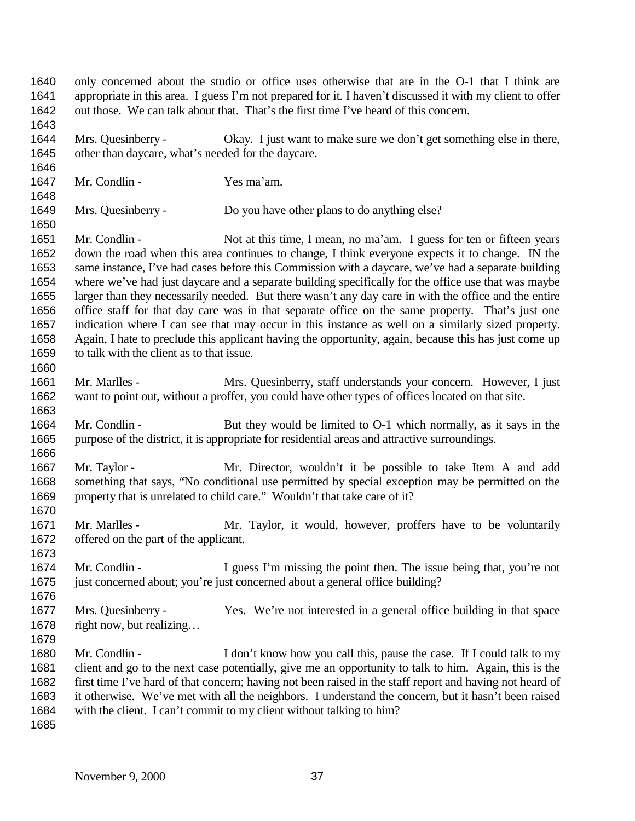only concerned about the studio or office uses otherwise that are in the O-1 that I think are appropriate in this area. I guess I'm not prepared for it. I haven't discussed it with my client to offer out those. We can talk about that. That's the first time I've heard of this concern. Mrs. Quesinberry - Okay. I just want to make sure we don't get something else in there, other than daycare, what's needed for the daycare. Mr. Condlin - Yes ma'am. Mrs. Quesinberry - Do you have other plans to do anything else? 1651 Mr. Condlin - Not at this time, I mean, no ma'am. I guess for ten or fifteen years down the road when this area continues to change, I think everyone expects it to change. IN the same instance, I've had cases before this Commission with a daycare, we've had a separate building where we've had just daycare and a separate building specifically for the office use that was maybe larger than they necessarily needed. But there wasn't any day care in with the office and the entire office staff for that day care was in that separate office on the same property. That's just one indication where I can see that may occur in this instance as well on a similarly sized property. Again, I hate to preclude this applicant having the opportunity, again, because this has just come up to talk with the client as to that issue. Mr. Marlles - Mrs. Quesinberry, staff understands your concern. However, I just want to point out, without a proffer, you could have other types of offices located on that site. Mr. Condlin - But they would be limited to O-1 which normally, as it says in the purpose of the district, it is appropriate for residential areas and attractive surroundings. Mr. Taylor - Mr. Director, wouldn't it be possible to take Item A and add something that says, "No conditional use permitted by special exception may be permitted on the property that is unrelated to child care." Wouldn't that take care of it? Mr. Marlles - Mr. Taylor, it would, however, proffers have to be voluntarily offered on the part of the applicant. 1674 Mr. Condlin - I guess I'm missing the point then. The issue being that, you're not just concerned about; you're just concerned about a general office building? Mrs. Quesinberry - Yes. We're not interested in a general office building in that space right now, but realizing… Mr. Condlin - I don't know how you call this, pause the case. If I could talk to my client and go to the next case potentially, give me an opportunity to talk to him. Again, this is the first time I've hard of that concern; having not been raised in the staff report and having not heard of it otherwise. We've met with all the neighbors. I understand the concern, but it hasn't been raised with the client. I can't commit to my client without talking to him?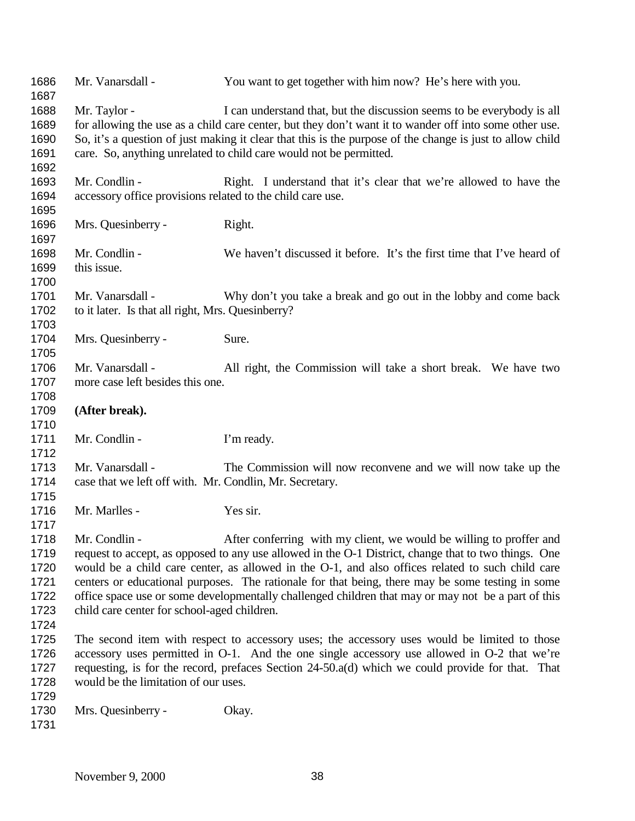| 1686<br>1687 | Mr. Vanarsdall -                                           | You want to get together with him now? He's here with you.                                                |
|--------------|------------------------------------------------------------|-----------------------------------------------------------------------------------------------------------|
| 1688         | Mr. Taylor -                                               | I can understand that, but the discussion seems to be everybody is all                                    |
| 1689         |                                                            | for allowing the use as a child care center, but they don't want it to wander off into some other use.    |
| 1690         |                                                            | So, it's a question of just making it clear that this is the purpose of the change is just to allow child |
| 1691         |                                                            | care. So, anything unrelated to child care would not be permitted.                                        |
| 1692         |                                                            |                                                                                                           |
| 1693         | Mr. Condlin -                                              | Right. I understand that it's clear that we're allowed to have the                                        |
| 1694         | accessory office provisions related to the child care use. |                                                                                                           |
| 1695         |                                                            |                                                                                                           |
| 1696         | Mrs. Quesinberry -                                         | Right.                                                                                                    |
| 1697         |                                                            |                                                                                                           |
| 1698         | Mr. Condlin -                                              | We haven't discussed it before. It's the first time that I've heard of                                    |
| 1699         | this issue.                                                |                                                                                                           |
| 1700         |                                                            |                                                                                                           |
| 1701         | Mr. Vanarsdall -                                           | Why don't you take a break and go out in the lobby and come back                                          |
| 1702         | to it later. Is that all right, Mrs. Quesinberry?          |                                                                                                           |
| 1703         |                                                            |                                                                                                           |
| 1704         | Mrs. Quesinberry -                                         | Sure.                                                                                                     |
| 1705         |                                                            |                                                                                                           |
| 1706         | Mr. Vanarsdall -                                           | All right, the Commission will take a short break. We have two                                            |
| 1707         | more case left besides this one.                           |                                                                                                           |
| 1708         |                                                            |                                                                                                           |
| 1709         | (After break).                                             |                                                                                                           |
| 1710         |                                                            |                                                                                                           |
| 1711         | Mr. Condlin -                                              | I'm ready.                                                                                                |
| 1712         |                                                            |                                                                                                           |
| 1713         | Mr. Vanarsdall -                                           | The Commission will now reconvene and we will now take up the                                             |
| 1714         | case that we left off with. Mr. Condlin, Mr. Secretary.    |                                                                                                           |
| 1715         |                                                            |                                                                                                           |
| 1716         | Mr. Marlles -                                              | Yes sir.                                                                                                  |
| 1717         |                                                            |                                                                                                           |
| 1718         | Mr. Condlin -                                              | After conferring with my client, we would be willing to proffer and                                       |
| 1719         |                                                            | request to accept, as opposed to any use allowed in the O-1 District, change that to two things. One      |
| 1720         |                                                            | would be a child care center, as allowed in the O-1, and also offices related to such child care          |
| 1721         |                                                            | centers or educational purposes. The rationale for that being, there may be some testing in some          |
| 1722         |                                                            | office space use or some developmentally challenged children that may or may not be a part of this        |
| 1723         | child care center for school-aged children.                |                                                                                                           |
| 1724         |                                                            |                                                                                                           |
| 1725         |                                                            | The second item with respect to accessory uses; the accessory uses would be limited to those              |
| 1726         |                                                            | accessory uses permitted in O-1. And the one single accessory use allowed in O-2 that we're               |
| 1727         |                                                            | requesting, is for the record, prefaces Section 24-50.a(d) which we could provide for that. That          |
| 1728         | would be the limitation of our uses.                       |                                                                                                           |
| 1729         |                                                            |                                                                                                           |
| 1730         | Mrs. Quesinberry -                                         | Okay.                                                                                                     |
| 1731         |                                                            |                                                                                                           |
|              |                                                            |                                                                                                           |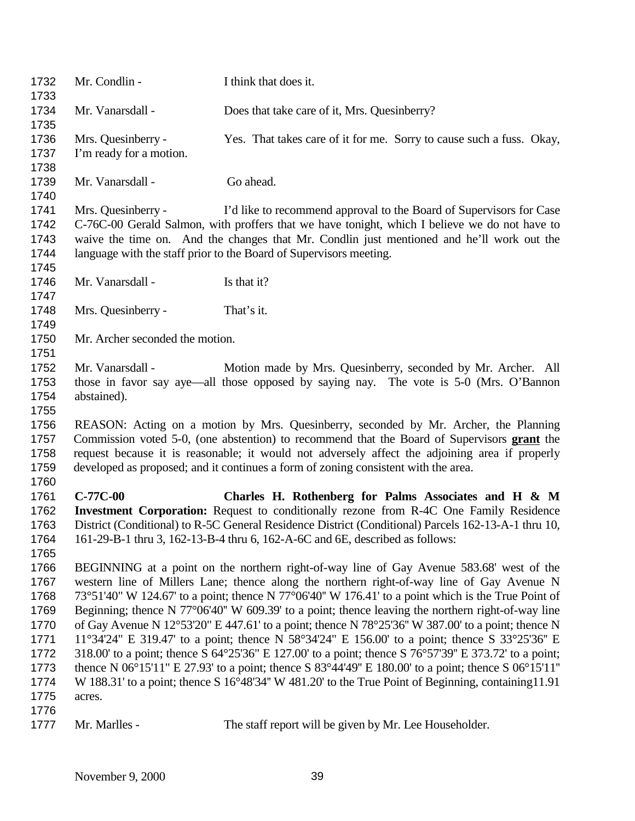| 1732<br>1733                                                         | Mr. Condlin -                                                                                                                                                                                                                                                                                                                                                                                                                                                                                                                                                                                                                                                                                                                                                                                                                                                                                                                 | I think that does it.                                                                                                                                                                                                                                                                                                                                                       |
|----------------------------------------------------------------------|-------------------------------------------------------------------------------------------------------------------------------------------------------------------------------------------------------------------------------------------------------------------------------------------------------------------------------------------------------------------------------------------------------------------------------------------------------------------------------------------------------------------------------------------------------------------------------------------------------------------------------------------------------------------------------------------------------------------------------------------------------------------------------------------------------------------------------------------------------------------------------------------------------------------------------|-----------------------------------------------------------------------------------------------------------------------------------------------------------------------------------------------------------------------------------------------------------------------------------------------------------------------------------------------------------------------------|
| 1734<br>1735                                                         | Mr. Vanarsdall -                                                                                                                                                                                                                                                                                                                                                                                                                                                                                                                                                                                                                                                                                                                                                                                                                                                                                                              | Does that take care of it, Mrs. Quesinberry?                                                                                                                                                                                                                                                                                                                                |
| 1736<br>1737<br>1738                                                 | Mrs. Quesinberry -<br>I'm ready for a motion.                                                                                                                                                                                                                                                                                                                                                                                                                                                                                                                                                                                                                                                                                                                                                                                                                                                                                 | Yes. That takes care of it for me. Sorry to cause such a fuss. Okay,                                                                                                                                                                                                                                                                                                        |
| 1739<br>1740                                                         | Mr. Vanarsdall -                                                                                                                                                                                                                                                                                                                                                                                                                                                                                                                                                                                                                                                                                                                                                                                                                                                                                                              | Go ahead.                                                                                                                                                                                                                                                                                                                                                                   |
| 1741<br>1742<br>1743<br>1744<br>1745                                 | Mrs. Quesinberry -                                                                                                                                                                                                                                                                                                                                                                                                                                                                                                                                                                                                                                                                                                                                                                                                                                                                                                            | I'd like to recommend approval to the Board of Supervisors for Case<br>C-76C-00 Gerald Salmon, with proffers that we have tonight, which I believe we do not have to<br>waive the time on. And the changes that Mr. Condlin just mentioned and he'll work out the<br>language with the staff prior to the Board of Supervisors meeting.                                     |
| 1746<br>1747                                                         | Mr. Vanarsdall -                                                                                                                                                                                                                                                                                                                                                                                                                                                                                                                                                                                                                                                                                                                                                                                                                                                                                                              | Is that it?                                                                                                                                                                                                                                                                                                                                                                 |
| 1748<br>1749                                                         | Mrs. Quesinberry -                                                                                                                                                                                                                                                                                                                                                                                                                                                                                                                                                                                                                                                                                                                                                                                                                                                                                                            | That's it.                                                                                                                                                                                                                                                                                                                                                                  |
| 1750<br>1751                                                         | Mr. Archer seconded the motion.                                                                                                                                                                                                                                                                                                                                                                                                                                                                                                                                                                                                                                                                                                                                                                                                                                                                                               |                                                                                                                                                                                                                                                                                                                                                                             |
| 1752<br>1753<br>1754<br>1755                                         | Mr. Vanarsdall -<br>abstained).                                                                                                                                                                                                                                                                                                                                                                                                                                                                                                                                                                                                                                                                                                                                                                                                                                                                                               | Motion made by Mrs. Quesinberry, seconded by Mr. Archer. All<br>those in favor say aye—all those opposed by saying nay. The vote is 5-0 (Mrs. O'Bannon                                                                                                                                                                                                                      |
| 1756<br>1757<br>1758<br>1759<br>1760                                 |                                                                                                                                                                                                                                                                                                                                                                                                                                                                                                                                                                                                                                                                                                                                                                                                                                                                                                                               | REASON: Acting on a motion by Mrs. Quesinberry, seconded by Mr. Archer, the Planning<br>Commission voted 5-0, (one abstention) to recommend that the Board of Supervisors grant the<br>request because it is reasonable; it would not adversely affect the adjoining area if properly<br>developed as proposed; and it continues a form of zoning consistent with the area. |
| 1761<br>1762<br>1763<br>1764<br>1765                                 | $C-77C-00$                                                                                                                                                                                                                                                                                                                                                                                                                                                                                                                                                                                                                                                                                                                                                                                                                                                                                                                    | Charles H. Rothenberg for Palms Associates and H & M<br><b>Investment Corporation:</b> Request to conditionally rezone from R-4C One Family Residence<br>District (Conditional) to R-5C General Residence District (Conditional) Parcels 162-13-A-1 thru 10,<br>161-29-B-1 thru 3, 162-13-B-4 thru 6, 162-A-6C and 6E, described as follows:                                |
| 1766<br>1767<br>1768<br>1769<br>1770<br>1771<br>1772<br>1773<br>1774 | BEGINNING at a point on the northern right-of-way line of Gay Avenue 583.68' west of the<br>western line of Millers Lane; thence along the northern right-of-way line of Gay Avenue N<br>73°51'40" W 124.67' to a point; thence N 77°06'40" W 176.41' to a point which is the True Point of<br>Beginning; thence N 77°06'40" W 609.39' to a point; thence leaving the northern right-of-way line<br>of Gay Avenue N 12°53'20" E 447.61' to a point; thence N 78°25'36" W 387.00' to a point; thence N<br>11°34'24" E 319.47' to a point; thence N 58°34'24" E 156.00' to a point; thence S 33°25'36" E<br>318.00' to a point; thence S 64°25'36" E 127.00' to a point; thence S 76°57'39" E 373.72' to a point;<br>thence N 06°15'11" E 27.93' to a point; thence S 83°44'49" E 180.00' to a point; thence S 06°15'11"<br>W 188.31' to a point; thence S 16°48'34" W 481.20' to the True Point of Beginning, containing 11.91 |                                                                                                                                                                                                                                                                                                                                                                             |
| 1775<br>1776<br>1777                                                 | acres.<br>Mr. Marlles -                                                                                                                                                                                                                                                                                                                                                                                                                                                                                                                                                                                                                                                                                                                                                                                                                                                                                                       | The staff report will be given by Mr. Lee Householder.                                                                                                                                                                                                                                                                                                                      |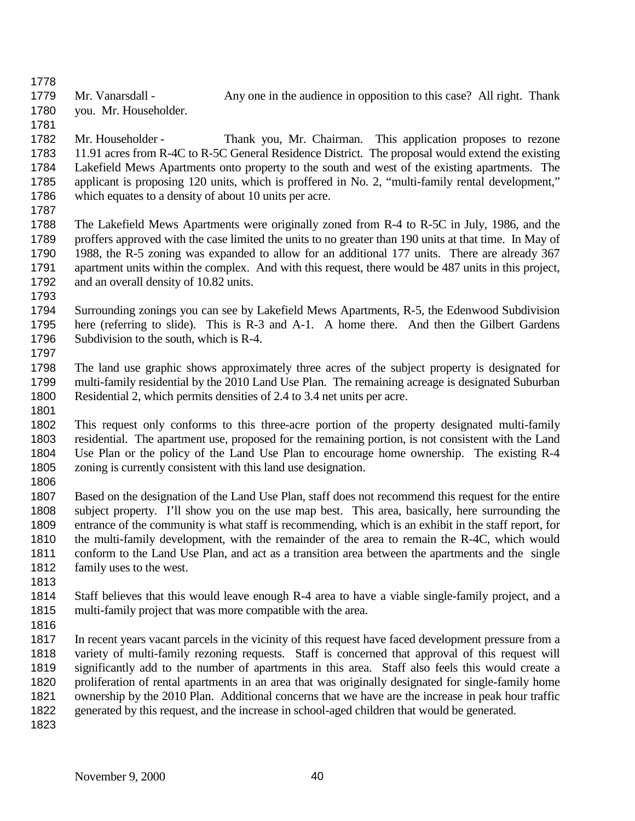1779 Mr. Vanarsdall - Any one in the audience in opposition to this case? All right. Thank you. Mr. Householder.

- Mr. Householder Thank you, Mr. Chairman. This application proposes to rezone 11.91 acres from R-4C to R-5C General Residence District. The proposal would extend the existing Lakefield Mews Apartments onto property to the south and west of the existing apartments. The applicant is proposing 120 units, which is proffered in No. 2, "multi-family rental development," which equates to a density of about 10 units per acre.
- 
- The Lakefield Mews Apartments were originally zoned from R-4 to R-5C in July, 1986, and the proffers approved with the case limited the units to no greater than 190 units at that time. In May of 1988, the R-5 zoning was expanded to allow for an additional 177 units. There are already 367 apartment units within the complex. And with this request, there would be 487 units in this project, and an overall density of 10.82 units.
- 
- Surrounding zonings you can see by Lakefield Mews Apartments, R-5, the Edenwood Subdivision here (referring to slide). This is R-3 and A-1. A home there. And then the Gilbert Gardens Subdivision to the south, which is R-4.
- The land use graphic shows approximately three acres of the subject property is designated for multi-family residential by the 2010 Land Use Plan. The remaining acreage is designated Suburban Residential 2, which permits densities of 2.4 to 3.4 net units per acre.
- 
- This request only conforms to this three-acre portion of the property designated multi-family residential. The apartment use, proposed for the remaining portion, is not consistent with the Land Use Plan or the policy of the Land Use Plan to encourage home ownership. The existing R-4 zoning is currently consistent with this land use designation.
- 
- Based on the designation of the Land Use Plan, staff does not recommend this request for the entire subject property. I'll show you on the use map best. This area, basically, here surrounding the entrance of the community is what staff is recommending, which is an exhibit in the staff report, for the multi-family development, with the remainder of the area to remain the R-4C, which would conform to the Land Use Plan, and act as a transition area between the apartments and the single family uses to the west.
- 
- Staff believes that this would leave enough R-4 area to have a viable single-family project, and a multi-family project that was more compatible with the area.
- 
- In recent years vacant parcels in the vicinity of this request have faced development pressure from a variety of multi-family rezoning requests. Staff is concerned that approval of this request will significantly add to the number of apartments in this area. Staff also feels this would create a proliferation of rental apartments in an area that was originally designated for single-family home ownership by the 2010 Plan. Additional concerns that we have are the increase in peak hour traffic generated by this request, and the increase in school-aged children that would be generated.
-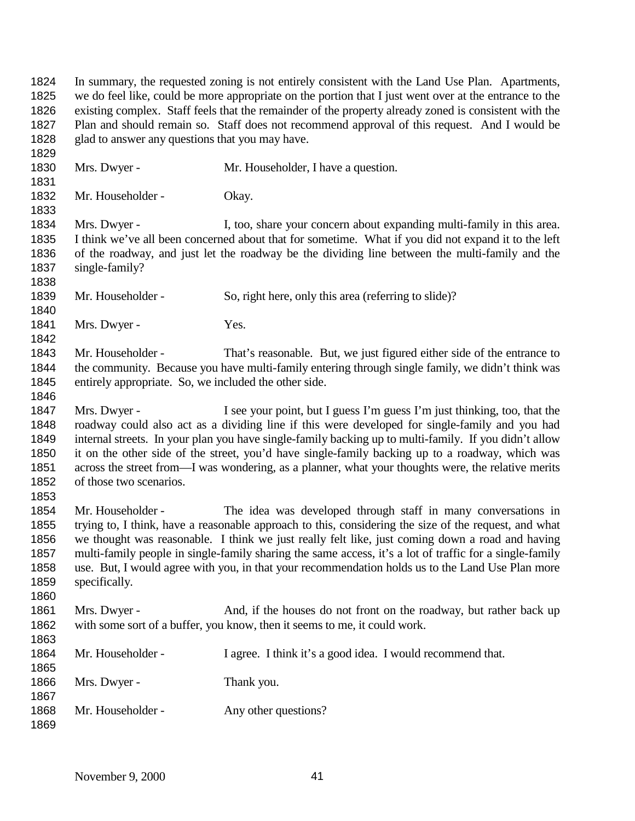In summary, the requested zoning is not entirely consistent with the Land Use Plan. Apartments, we do feel like, could be more appropriate on the portion that I just went over at the entrance to the existing complex. Staff feels that the remainder of the property already zoned is consistent with the Plan and should remain so. Staff does not recommend approval of this request. And I would be glad to answer any questions that you may have. Mrs. Dwyer - Mr. Householder, I have a question. 1832 Mr. Householder - Okay. 1834 Mrs. Dwyer - I, too, share your concern about expanding multi-family in this area. I think we've all been concerned about that for sometime. What if you did not expand it to the left of the roadway, and just let the roadway be the dividing line between the multi-family and the single-family? 1839 Mr. Householder - So, right here, only this area (referring to slide)? 1841 Mrs. Dwyer - Yes. 1843 Mr. Householder - That's reasonable. But, we just figured either side of the entrance to the community. Because you have multi-family entering through single family, we didn't think was entirely appropriate. So, we included the other side. Mrs. Dwyer - I see your point, but I guess I'm guess I'm just thinking, too, that the roadway could also act as a dividing line if this were developed for single-family and you had internal streets. In your plan you have single-family backing up to multi-family. If you didn't allow it on the other side of the street, you'd have single-family backing up to a roadway, which was across the street from—I was wondering, as a planner, what your thoughts were, the relative merits of those two scenarios. Mr. Householder - The idea was developed through staff in many conversations in trying to, I think, have a reasonable approach to this, considering the size of the request, and what we thought was reasonable. I think we just really felt like, just coming down a road and having multi-family people in single-family sharing the same access, it's a lot of traffic for a single-family use. But, I would agree with you, in that your recommendation holds us to the Land Use Plan more specifically. Mrs. Dwyer - And, if the houses do not front on the roadway, but rather back up with some sort of a buffer, you know, then it seems to me, it could work. 1864 Mr. Householder - I agree. I think it's a good idea. I would recommend that. 1866 Mrs. Dwyer - Thank you. 1868 Mr. Householder - Any other questions?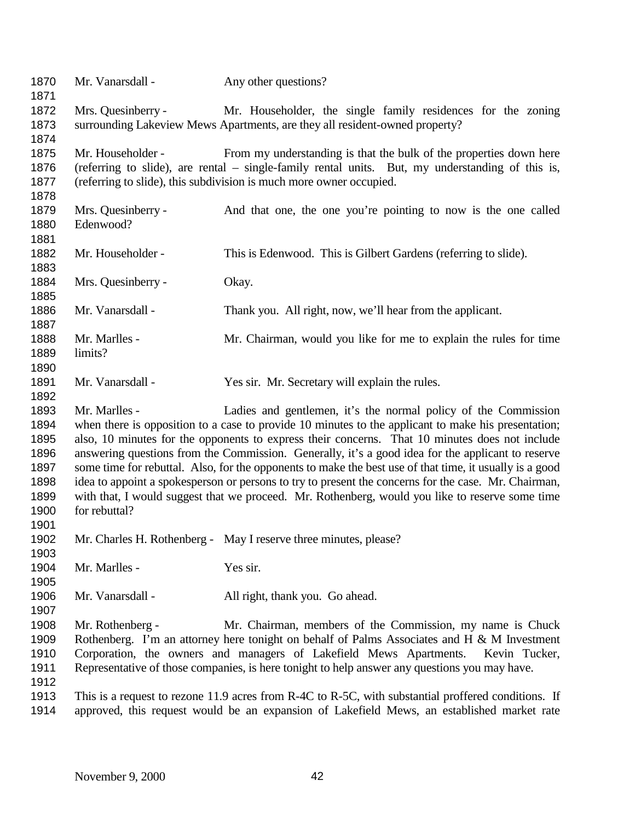| 1870<br>1871                                                         | Mr. Vanarsdall -                                                                                                                                                                                                                                                                                                                                                                                                                                                                                                                                                                                                                                                                                                                     | Any other questions?                                                                                                                                                                                                                                                                                                                             |
|----------------------------------------------------------------------|--------------------------------------------------------------------------------------------------------------------------------------------------------------------------------------------------------------------------------------------------------------------------------------------------------------------------------------------------------------------------------------------------------------------------------------------------------------------------------------------------------------------------------------------------------------------------------------------------------------------------------------------------------------------------------------------------------------------------------------|--------------------------------------------------------------------------------------------------------------------------------------------------------------------------------------------------------------------------------------------------------------------------------------------------------------------------------------------------|
| 1872<br>1873<br>1874                                                 | Mrs. Quesinberry -                                                                                                                                                                                                                                                                                                                                                                                                                                                                                                                                                                                                                                                                                                                   | Mr. Householder, the single family residences for the zoning<br>surrounding Lakeview Mews Apartments, are they all resident-owned property?                                                                                                                                                                                                      |
| 1875<br>1876<br>1877<br>1878                                         | Mr. Householder -                                                                                                                                                                                                                                                                                                                                                                                                                                                                                                                                                                                                                                                                                                                    | From my understanding is that the bulk of the properties down here<br>(referring to slide), are rental – single-family rental units. But, my understanding of this is,<br>(referring to slide), this subdivision is much more owner occupied.                                                                                                    |
| 1879<br>1880<br>1881                                                 | Mrs. Quesinberry -<br>Edenwood?                                                                                                                                                                                                                                                                                                                                                                                                                                                                                                                                                                                                                                                                                                      | And that one, the one you're pointing to now is the one called                                                                                                                                                                                                                                                                                   |
| 1882<br>1883                                                         | Mr. Householder -                                                                                                                                                                                                                                                                                                                                                                                                                                                                                                                                                                                                                                                                                                                    | This is Edenwood. This is Gilbert Gardens (referring to slide).                                                                                                                                                                                                                                                                                  |
| 1884<br>1885                                                         | Mrs. Quesinberry -                                                                                                                                                                                                                                                                                                                                                                                                                                                                                                                                                                                                                                                                                                                   | Okay.                                                                                                                                                                                                                                                                                                                                            |
| 1886<br>1887                                                         | Mr. Vanarsdall -                                                                                                                                                                                                                                                                                                                                                                                                                                                                                                                                                                                                                                                                                                                     | Thank you. All right, now, we'll hear from the applicant.                                                                                                                                                                                                                                                                                        |
| 1888<br>1889<br>1890                                                 | Mr. Marlles -<br>limits?                                                                                                                                                                                                                                                                                                                                                                                                                                                                                                                                                                                                                                                                                                             | Mr. Chairman, would you like for me to explain the rules for time                                                                                                                                                                                                                                                                                |
| 1891<br>1892                                                         | Mr. Vanarsdall -                                                                                                                                                                                                                                                                                                                                                                                                                                                                                                                                                                                                                                                                                                                     | Yes sir. Mr. Secretary will explain the rules.                                                                                                                                                                                                                                                                                                   |
| 1893<br>1894<br>1895<br>1896<br>1897<br>1898<br>1899<br>1900<br>1901 | Mr. Marlles -<br>Ladies and gentlemen, it's the normal policy of the Commission<br>when there is opposition to a case to provide 10 minutes to the applicant to make his presentation;<br>also, 10 minutes for the opponents to express their concerns. That 10 minutes does not include<br>answering questions from the Commission. Generally, it's a good idea for the applicant to reserve<br>some time for rebuttal. Also, for the opponents to make the best use of that time, it usually is a good<br>idea to appoint a spokesperson or persons to try to present the concerns for the case. Mr. Chairman,<br>with that, I would suggest that we proceed. Mr. Rothenberg, would you like to reserve some time<br>for rebuttal? |                                                                                                                                                                                                                                                                                                                                                  |
| 1902<br>1903                                                         |                                                                                                                                                                                                                                                                                                                                                                                                                                                                                                                                                                                                                                                                                                                                      | Mr. Charles H. Rothenberg - May I reserve three minutes, please?                                                                                                                                                                                                                                                                                 |
| 1904<br>1905                                                         | Mr. Marlles -                                                                                                                                                                                                                                                                                                                                                                                                                                                                                                                                                                                                                                                                                                                        | Yes sir.                                                                                                                                                                                                                                                                                                                                         |
| 1906<br>1907                                                         | Mr. Vanarsdall -                                                                                                                                                                                                                                                                                                                                                                                                                                                                                                                                                                                                                                                                                                                     | All right, thank you. Go ahead.                                                                                                                                                                                                                                                                                                                  |
| 1908<br>1909<br>1910<br>1911<br>1912                                 | Mr. Rothenberg -                                                                                                                                                                                                                                                                                                                                                                                                                                                                                                                                                                                                                                                                                                                     | Mr. Chairman, members of the Commission, my name is Chuck<br>Rothenberg. I'm an attorney here tonight on behalf of Palms Associates and H & M Investment<br>Corporation, the owners and managers of Lakefield Mews Apartments.<br>Kevin Tucker,<br>Representative of those companies, is here tonight to help answer any questions you may have. |
| 1913<br>1914                                                         |                                                                                                                                                                                                                                                                                                                                                                                                                                                                                                                                                                                                                                                                                                                                      | This is a request to rezone 11.9 acres from R-4C to R-5C, with substantial proffered conditions. If<br>approved, this request would be an expansion of Lakefield Mews, an established market rate                                                                                                                                                |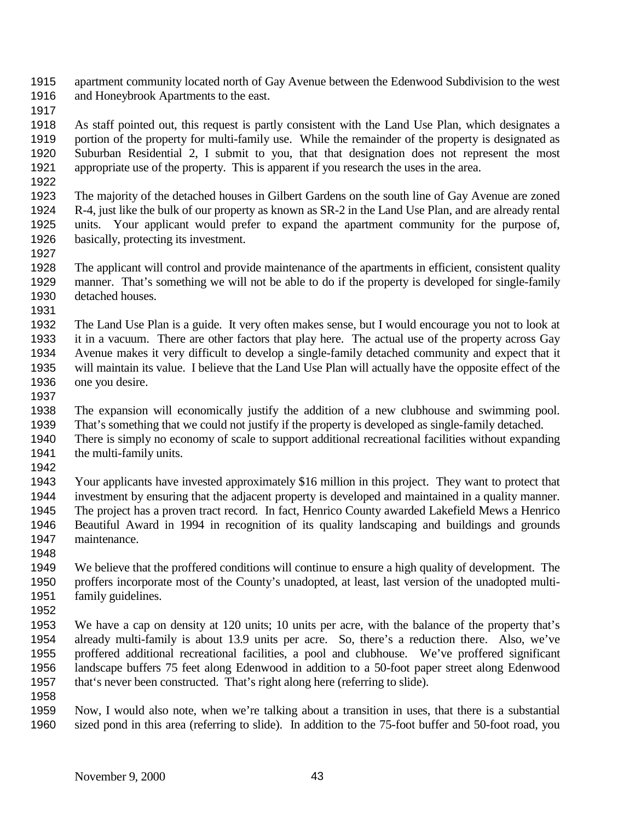apartment community located north of Gay Avenue between the Edenwood Subdivision to the west and Honeybrook Apartments to the east.

 As staff pointed out, this request is partly consistent with the Land Use Plan, which designates a portion of the property for multi-family use. While the remainder of the property is designated as Suburban Residential 2, I submit to you, that that designation does not represent the most appropriate use of the property. This is apparent if you research the uses in the area.

 The majority of the detached houses in Gilbert Gardens on the south line of Gay Avenue are zoned R-4, just like the bulk of our property as known as SR-2 in the Land Use Plan, and are already rental units. Your applicant would prefer to expand the apartment community for the purpose of, basically, protecting its investment. 

 The applicant will control and provide maintenance of the apartments in efficient, consistent quality manner. That's something we will not be able to do if the property is developed for single-family detached houses.

 The Land Use Plan is a guide. It very often makes sense, but I would encourage you not to look at it in a vacuum. There are other factors that play here. The actual use of the property across Gay Avenue makes it very difficult to develop a single-family detached community and expect that it will maintain its value. I believe that the Land Use Plan will actually have the opposite effect of the one you desire.

The expansion will economically justify the addition of a new clubhouse and swimming pool.

That's something that we could not justify if the property is developed as single-family detached.

 There is simply no economy of scale to support additional recreational facilities without expanding 1941 the multi-family units.

 Your applicants have invested approximately \$16 million in this project. They want to protect that investment by ensuring that the adjacent property is developed and maintained in a quality manner. The project has a proven tract record. In fact, Henrico County awarded Lakefield Mews a Henrico Beautiful Award in 1994 in recognition of its quality landscaping and buildings and grounds maintenance.

 We believe that the proffered conditions will continue to ensure a high quality of development. The proffers incorporate most of the County's unadopted, at least, last version of the unadopted multi-family guidelines.

 We have a cap on density at 120 units; 10 units per acre, with the balance of the property that's already multi-family is about 13.9 units per acre. So, there's a reduction there. Also, we've proffered additional recreational facilities, a pool and clubhouse. We've proffered significant landscape buffers 75 feet along Edenwood in addition to a 50-foot paper street along Edenwood that's never been constructed. That's right along here (referring to slide).

 Now, I would also note, when we're talking about a transition in uses, that there is a substantial sized pond in this area (referring to slide). In addition to the 75-foot buffer and 50-foot road, you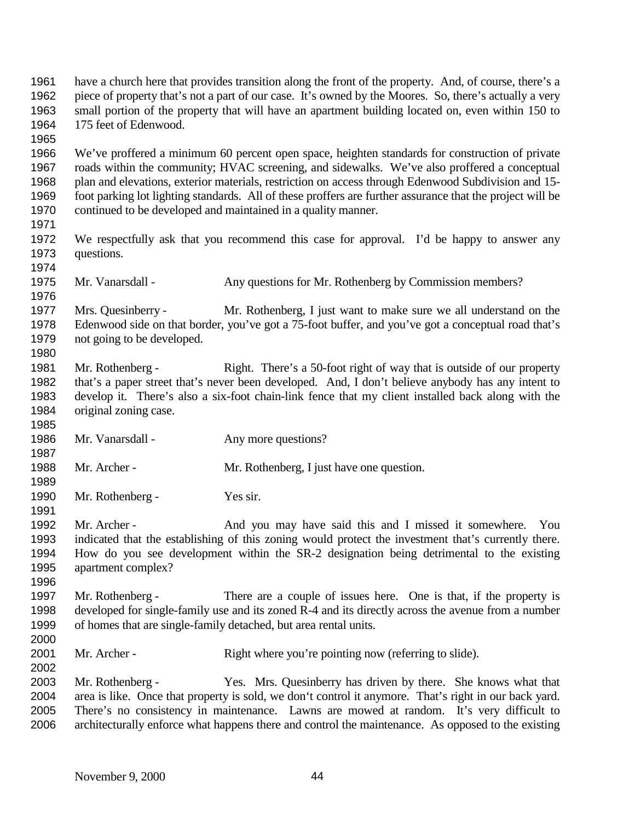have a church here that provides transition along the front of the property. And, of course, there's a piece of property that's not a part of our case. It's owned by the Moores. So, there's actually a very small portion of the property that will have an apartment building located on, even within 150 to 175 feet of Edenwood. We've proffered a minimum 60 percent open space, heighten standards for construction of private roads within the community; HVAC screening, and sidewalks. We've also proffered a conceptual plan and elevations, exterior materials, restriction on access through Edenwood Subdivision and 15- foot parking lot lighting standards. All of these proffers are further assurance that the project will be continued to be developed and maintained in a quality manner. We respectfully ask that you recommend this case for approval. I'd be happy to answer any questions. Mr. Vanarsdall - Any questions for Mr. Rothenberg by Commission members? Mrs. Quesinberry - Mr. Rothenberg, I just want to make sure we all understand on the Edenwood side on that border, you've got a 75-foot buffer, and you've got a conceptual road that's not going to be developed. Mr. Rothenberg - Right. There's a 50-foot right of way that is outside of our property that's a paper street that's never been developed. And, I don't believe anybody has any intent to develop it. There's also a six-foot chain-link fence that my client installed back along with the original zoning case. 1986 Mr. Vanarsdall - Any more questions? Mr. Archer - Mr. Rothenberg, I just have one question. Mr. Rothenberg - Yes sir. 1992 Mr. Archer - And you may have said this and I missed it somewhere. You indicated that the establishing of this zoning would protect the investment that's currently there. How do you see development within the SR-2 designation being detrimental to the existing apartment complex? Mr. Rothenberg - There are a couple of issues here. One is that, if the property is developed for single-family use and its zoned R-4 and its directly across the avenue from a number of homes that are single-family detached, but area rental units. 2001 Mr. Archer - Right where you're pointing now (referring to slide). Mr. Rothenberg - Yes. Mrs. Quesinberry has driven by there. She knows what that area is like. Once that property is sold, we don't control it anymore. That's right in our back yard. There's no consistency in maintenance. Lawns are mowed at random. It's very difficult to architecturally enforce what happens there and control the maintenance. As opposed to the existing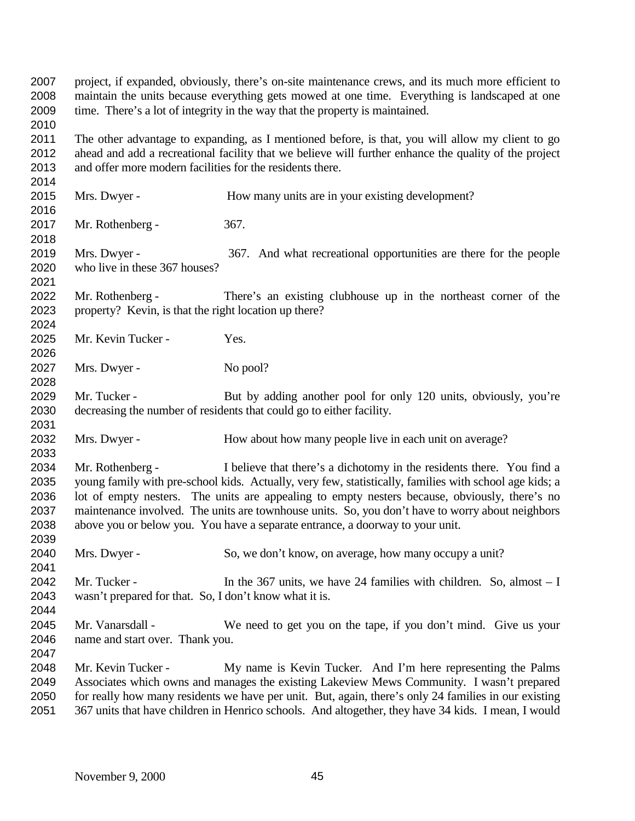project, if expanded, obviously, there's on-site maintenance crews, and its much more efficient to maintain the units because everything gets mowed at one time. Everything is landscaped at one time. There's a lot of integrity in the way that the property is maintained. The other advantage to expanding, as I mentioned before, is that, you will allow my client to go ahead and add a recreational facility that we believe will further enhance the quality of the project and offer more modern facilities for the residents there. Mrs. Dwyer - How many units are in your existing development? Mr. Rothenberg - 367. Mrs. Dwyer - 367. And what recreational opportunities are there for the people who live in these 367 houses? Mr. Rothenberg - There's an existing clubhouse up in the northeast corner of the property? Kevin, is that the right location up there? 2025 Mr. Kevin Tucker - Yes. 2027 Mrs. Dwyer - No pool? 2029 Mr. Tucker - But by adding another pool for only 120 units, obviously, you're decreasing the number of residents that could go to either facility. 2032 Mrs. Dwyer - How about how many people live in each unit on average? Mr. Rothenberg - I believe that there's a dichotomy in the residents there. You find a young family with pre-school kids. Actually, very few, statistically, families with school age kids; a lot of empty nesters. The units are appealing to empty nesters because, obviously, there's no maintenance involved. The units are townhouse units. So, you don't have to worry about neighbors above you or below you. You have a separate entrance, a doorway to your unit. Mrs. Dwyer - So, we don't know, on average, how many occupy a unit? Mr. Tucker - In the 367 units, we have 24 families with children. So, almost – I wasn't prepared for that. So, I don't know what it is. Mr. Vanarsdall - We need to get you on the tape, if you don't mind. Give us your name and start over. Thank you. Mr. Kevin Tucker - My name is Kevin Tucker. And I'm here representing the Palms Associates which owns and manages the existing Lakeview Mews Community. I wasn't prepared for really how many residents we have per unit. But, again, there's only 24 families in our existing 367 units that have children in Henrico schools. And altogether, they have 34 kids. I mean, I would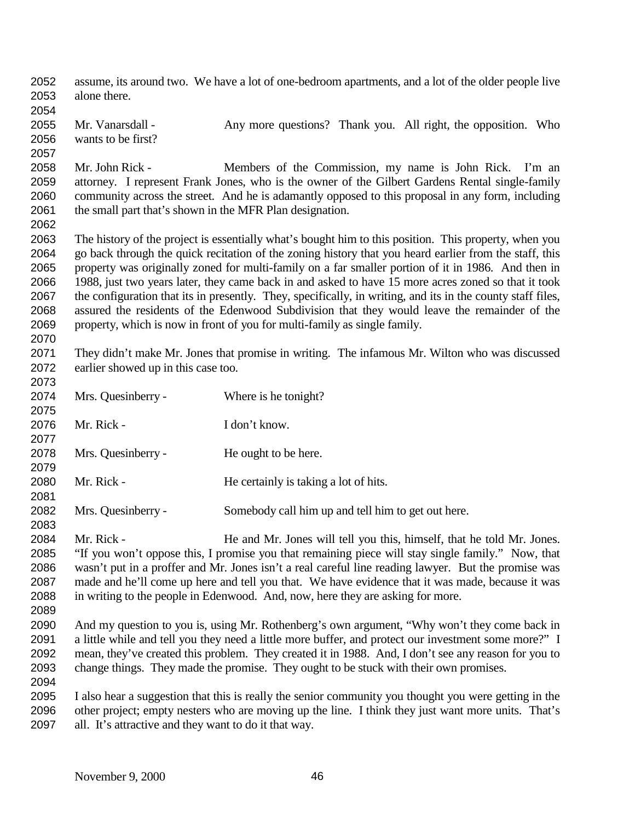assume, its around two. We have a lot of one-bedroom apartments, and a lot of the older people live alone there. Mr. Vanarsdall - Any more questions? Thank you. All right, the opposition. Who wants to be first? Mr. John Rick - Members of the Commission, my name is John Rick. I'm an attorney. I represent Frank Jones, who is the owner of the Gilbert Gardens Rental single-family community across the street. And he is adamantly opposed to this proposal in any form, including 2061 the small part that's shown in the MFR Plan designation. The history of the project is essentially what's bought him to this position. This property, when you go back through the quick recitation of the zoning history that you heard earlier from the staff, this property was originally zoned for multi-family on a far smaller portion of it in 1986. And then in 1988, just two years later, they came back in and asked to have 15 more acres zoned so that it took the configuration that its in presently. They, specifically, in writing, and its in the county staff files, assured the residents of the Edenwood Subdivision that they would leave the remainder of the property, which is now in front of you for multi-family as single family. They didn't make Mr. Jones that promise in writing. The infamous Mr. Wilton who was discussed earlier showed up in this case too. Mrs. Quesinberry - Where is he tonight? Mr. Rick - I don't know. Mrs. Quesinberry - He ought to be here. 2080 Mr. Rick - He certainly is taking a lot of hits. Mrs. Quesinberry - Somebody call him up and tell him to get out here. Mr. Rick - He and Mr. Jones will tell you this, himself, that he told Mr. Jones. "If you won't oppose this, I promise you that remaining piece will stay single family." Now, that wasn't put in a proffer and Mr. Jones isn't a real careful line reading lawyer. But the promise was made and he'll come up here and tell you that. We have evidence that it was made, because it was in writing to the people in Edenwood. And, now, here they are asking for more. And my question to you is, using Mr. Rothenberg's own argument, "Why won't they come back in 2091 a little while and tell you they need a little more buffer, and protect our investment some more?" I mean, they've created this problem. They created it in 1988. And, I don't see any reason for you to change things. They made the promise. They ought to be stuck with their own promises. I also hear a suggestion that this is really the senior community you thought you were getting in the other project; empty nesters who are moving up the line. I think they just want more units. That's all. It's attractive and they want to do it that way.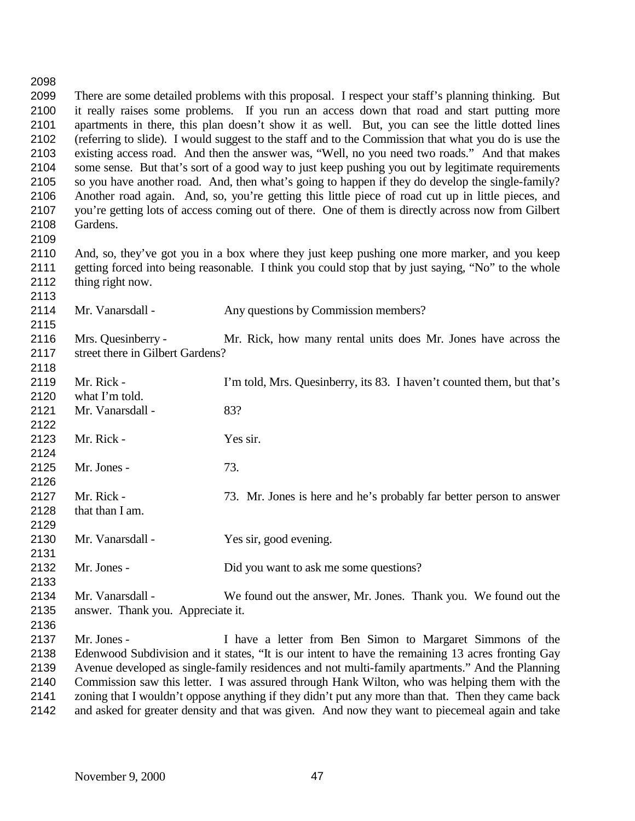| 2098 |                                                                                                    |                                                                                                      |  |
|------|----------------------------------------------------------------------------------------------------|------------------------------------------------------------------------------------------------------|--|
| 2099 | There are some detailed problems with this proposal. I respect your staff's planning thinking. But |                                                                                                      |  |
| 2100 | it really raises some problems. If you run an access down that road and start putting more         |                                                                                                      |  |
| 2101 | apartments in there, this plan doesn't show it as well. But, you can see the little dotted lines   |                                                                                                      |  |
| 2102 |                                                                                                    | (referring to slide). I would suggest to the staff and to the Commission that what you do is use the |  |
| 2103 |                                                                                                    | existing access road. And then the answer was, "Well, no you need two roads." And that makes         |  |
| 2104 |                                                                                                    | some sense. But that's sort of a good way to just keep pushing you out by legitimate requirements    |  |
| 2105 |                                                                                                    | so you have another road. And, then what's going to happen if they do develop the single-family?     |  |
| 2106 | Another road again. And, so, you're getting this little piece of road cut up in little pieces, and |                                                                                                      |  |
| 2107 | you're getting lots of access coming out of there. One of them is directly across now from Gilbert |                                                                                                      |  |
| 2108 | Gardens.                                                                                           |                                                                                                      |  |
| 2109 |                                                                                                    |                                                                                                      |  |
| 2110 |                                                                                                    | And, so, they've got you in a box where they just keep pushing one more marker, and you keep         |  |
| 2111 |                                                                                                    | getting forced into being reasonable. I think you could stop that by just saying, "No" to the whole  |  |
| 2112 | thing right now.                                                                                   |                                                                                                      |  |
| 2113 |                                                                                                    |                                                                                                      |  |
| 2114 | Mr. Vanarsdall -                                                                                   | Any questions by Commission members?                                                                 |  |
| 2115 |                                                                                                    |                                                                                                      |  |
| 2116 | Mrs. Quesinberry -                                                                                 | Mr. Rick, how many rental units does Mr. Jones have across the                                       |  |
| 2117 | street there in Gilbert Gardens?                                                                   |                                                                                                      |  |
| 2118 |                                                                                                    |                                                                                                      |  |
| 2119 | Mr. Rick -                                                                                         | I'm told, Mrs. Quesinberry, its 83. I haven't counted them, but that's                               |  |
| 2120 | what I'm told.                                                                                     |                                                                                                      |  |
| 2121 | Mr. Vanarsdall -                                                                                   | 83?                                                                                                  |  |
| 2122 |                                                                                                    |                                                                                                      |  |
| 2123 | Mr. Rick -                                                                                         | Yes sir.                                                                                             |  |
| 2124 |                                                                                                    |                                                                                                      |  |
| 2125 | Mr. Jones -                                                                                        | 73.                                                                                                  |  |
| 2126 |                                                                                                    |                                                                                                      |  |
| 2127 | Mr. Rick -                                                                                         | 73. Mr. Jones is here and he's probably far better person to answer                                  |  |
| 2128 | that than I am.                                                                                    |                                                                                                      |  |
| 2129 |                                                                                                    |                                                                                                      |  |
| 2130 | Mr. Vanarsdall -                                                                                   | Yes sir, good evening.                                                                               |  |
| 2131 |                                                                                                    |                                                                                                      |  |
| 2132 | Mr. Jones -                                                                                        | Did you want to ask me some questions?                                                               |  |
| 2133 |                                                                                                    |                                                                                                      |  |
| 2134 | Mr. Vanarsdall -                                                                                   | We found out the answer, Mr. Jones. Thank you. We found out the                                      |  |
| 2135 | answer. Thank you. Appreciate it.                                                                  |                                                                                                      |  |
| 2136 |                                                                                                    |                                                                                                      |  |
| 2137 | Mr. Jones -                                                                                        | I have a letter from Ben Simon to Margaret Simmons of the                                            |  |
| 2138 | Edenwood Subdivision and it states, "It is our intent to have the remaining 13 acres fronting Gay  |                                                                                                      |  |
| 2139 | Avenue developed as single-family residences and not multi-family apartments." And the Planning    |                                                                                                      |  |
| 2140 | Commission saw this letter. I was assured through Hank Wilton, who was helping them with the       |                                                                                                      |  |
| 2141 | zoning that I wouldn't oppose anything if they didn't put any more than that. Then they came back  |                                                                                                      |  |
| 2142 | and asked for greater density and that was given. And now they want to piecemeal again and take    |                                                                                                      |  |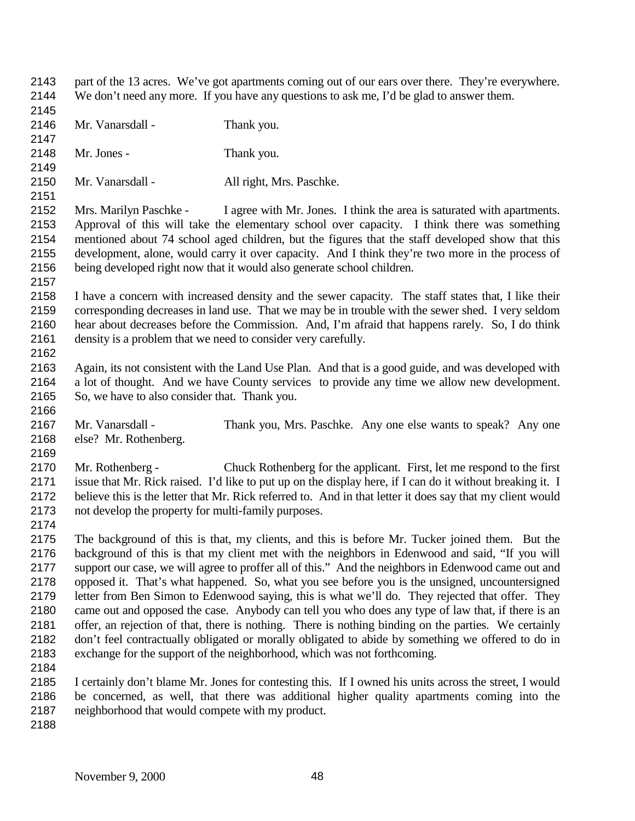- part of the 13 acres. We've got apartments coming out of our ears over there. They're everywhere. We don't need any more. If you have any questions to ask me, I'd be glad to answer them.
- Mr. Vanarsdall - Thank you.
- 
- Mr. Jones Thank you.
- 2150 Mr. Vanarsdall All right, Mrs. Paschke.
- 

- Mrs. Marilyn Paschke I agree with Mr. Jones. I think the area is saturated with apartments. Approval of this will take the elementary school over capacity. I think there was something mentioned about 74 school aged children, but the figures that the staff developed show that this development, alone, would carry it over capacity. And I think they're two more in the process of being developed right now that it would also generate school children.
- I have a concern with increased density and the sewer capacity. The staff states that, I like their corresponding decreases in land use. That we may be in trouble with the sewer shed. I very seldom hear about decreases before the Commission. And, I'm afraid that happens rarely. So, I do think density is a problem that we need to consider very carefully.
- Again, its not consistent with the Land Use Plan. And that is a good guide, and was developed with a lot of thought. And we have County services to provide any time we allow new development. So, we have to also consider that. Thank you.
- Mr. Vanarsdall Thank you, Mrs. Paschke. Any one else wants to speak? Any one else? Mr. Rothenberg.
- Mr. Rothenberg Chuck Rothenberg for the applicant. First, let me respond to the first issue that Mr. Rick raised. I'd like to put up on the display here, if I can do it without breaking it. I believe this is the letter that Mr. Rick referred to. And in that letter it does say that my client would not develop the property for multi-family purposes.
- 

 The background of this is that, my clients, and this is before Mr. Tucker joined them. But the background of this is that my client met with the neighbors in Edenwood and said, "If you will support our case, we will agree to proffer all of this." And the neighbors in Edenwood came out and opposed it. That's what happened. So, what you see before you is the unsigned, uncountersigned letter from Ben Simon to Edenwood saying, this is what we'll do. They rejected that offer. They came out and opposed the case. Anybody can tell you who does any type of law that, if there is an offer, an rejection of that, there is nothing. There is nothing binding on the parties. We certainly don't feel contractually obligated or morally obligated to abide by something we offered to do in exchange for the support of the neighborhood, which was not forthcoming.

 I certainly don't blame Mr. Jones for contesting this. If I owned his units across the street, I would be concerned, as well, that there was additional higher quality apartments coming into the neighborhood that would compete with my product.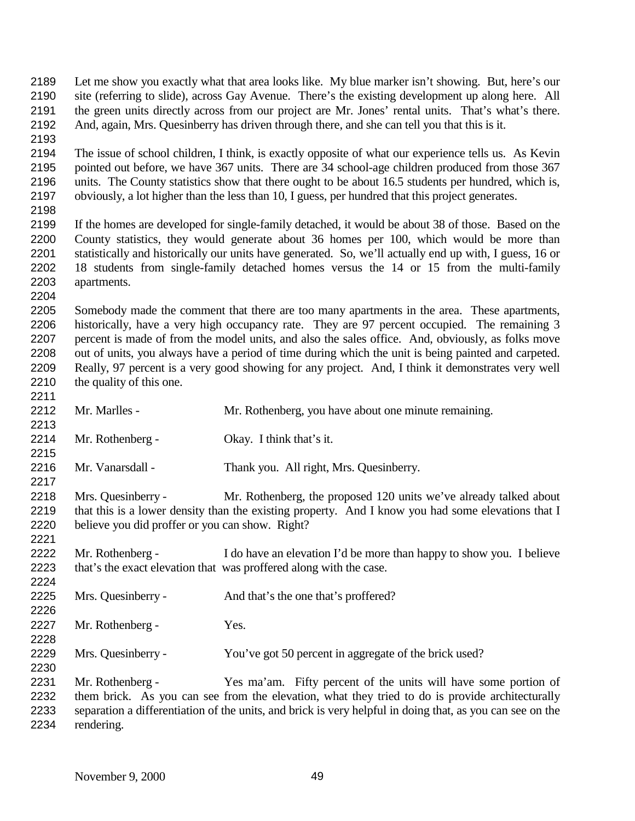Let me show you exactly what that area looks like. My blue marker isn't showing. But, here's our site (referring to slide), across Gay Avenue. There's the existing development up along here. All the green units directly across from our project are Mr. Jones' rental units. That's what's there. And, again, Mrs. Quesinberry has driven through there, and she can tell you that this is it. The issue of school children, I think, is exactly opposite of what our experience tells us. As Kevin pointed out before, we have 367 units. There are 34 school-age children produced from those 367 units. The County statistics show that there ought to be about 16.5 students per hundred, which is, obviously, a lot higher than the less than 10, I guess, per hundred that this project generates. If the homes are developed for single-family detached, it would be about 38 of those. Based on the County statistics, they would generate about 36 homes per 100, which would be more than statistically and historically our units have generated. So, we'll actually end up with, I guess, 16 or 18 students from single-family detached homes versus the 14 or 15 from the multi-family apartments. Somebody made the comment that there are too many apartments in the area. These apartments, historically, have a very high occupancy rate. They are 97 percent occupied. The remaining 3 percent is made of from the model units, and also the sales office. And, obviously, as folks move out of units, you always have a period of time during which the unit is being painted and carpeted. Really, 97 percent is a very good showing for any project. And, I think it demonstrates very well the quality of this one. Mr. Marlles - Mr. Rothenberg, you have about one minute remaining. Mr. Rothenberg - Okay. I think that's it. Mr. Vanarsdall - Thank you. All right, Mrs. Quesinberry. Mrs. Quesinberry - Mr. Rothenberg, the proposed 120 units we've already talked about that this is a lower density than the existing property. And I know you had some elevations that I believe you did proffer or you can show. Right? Mr. Rothenberg - I do have an elevation I'd be more than happy to show you. I believe that's the exact elevation that was proffered along with the case. Mrs. Quesinberry - And that's the one that's proffered? Mr. Rothenberg - Yes. Mrs. Quesinberry - You've got 50 percent in aggregate of the brick used? Mr. Rothenberg - Yes ma'am. Fifty percent of the units will have some portion of them brick. As you can see from the elevation, what they tried to do is provide architecturally separation a differentiation of the units, and brick is very helpful in doing that, as you can see on the rendering.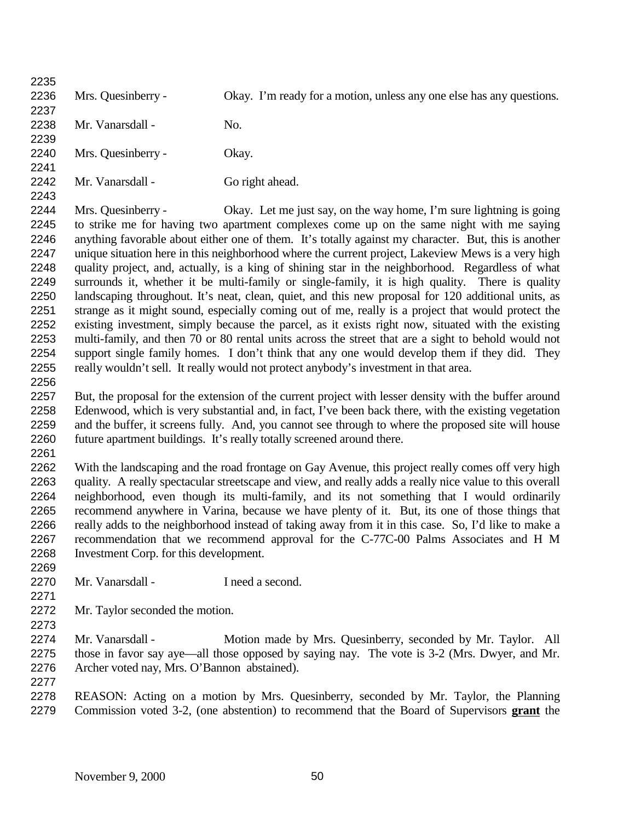Mrs. Quesinberry - Okay. I'm ready for a motion, unless any one else has any questions. 2238 Mr. Vanarsdall - No. Mrs. Quesinberry - Okay. 2242 Mr. Vanarsdall - Go right ahead. Mrs. Quesinberry - Okay. Let me just say, on the way home, I'm sure lightning is going to strike me for having two apartment complexes come up on the same night with me saying anything favorable about either one of them. It's totally against my character. But, this is another unique situation here in this neighborhood where the current project, Lakeview Mews is a very high quality project, and, actually, is a king of shining star in the neighborhood. Regardless of what surrounds it, whether it be multi-family or single-family, it is high quality. There is quality landscaping throughout. It's neat, clean, quiet, and this new proposal for 120 additional units, as strange as it might sound, especially coming out of me, really is a project that would protect the existing investment, simply because the parcel, as it exists right now, situated with the existing multi-family, and then 70 or 80 rental units across the street that are a sight to behold would not support single family homes. I don't think that any one would develop them if they did. They really wouldn't sell. It really would not protect anybody's investment in that area. 2257 But, the proposal for the extension of the current project with lesser density with the buffer around Edenwood, which is very substantial and, in fact, I've been back there, with the existing vegetation and the buffer, it screens fully. And, you cannot see through to where the proposed site will house future apartment buildings. It's really totally screened around there. With the landscaping and the road frontage on Gay Avenue, this project really comes off very high quality. A really spectacular streetscape and view, and really adds a really nice value to this overall neighborhood, even though its multi-family, and its not something that I would ordinarily recommend anywhere in Varina, because we have plenty of it. But, its one of those things that really adds to the neighborhood instead of taking away from it in this case. So, I'd like to make a recommendation that we recommend approval for the C-77C-00 Palms Associates and H M Investment Corp. for this development. Mr. Vanarsdall - I need a second. Mr. Taylor seconded the motion. 2274 Mr. Vanarsdall - Motion made by Mrs. Quesinberry, seconded by Mr. Taylor. All those in favor say aye—all those opposed by saying nay. The vote is 3-2 (Mrs. Dwyer, and Mr. Archer voted nay, Mrs. O'Bannon abstained). REASON: Acting on a motion by Mrs. Quesinberry, seconded by Mr. Taylor, the Planning Commission voted 3-2, (one abstention) to recommend that the Board of Supervisors **grant** the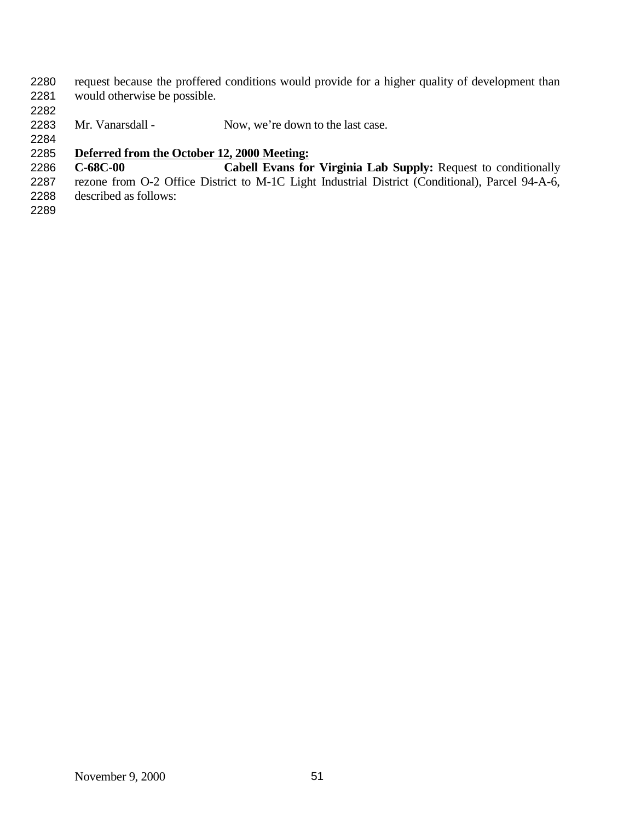request because the proffered conditions would provide for a higher quality of development than would otherwise be possible.

2283 Mr. Vanarsdall - Now, we're down to the last case.

# **Deferred from the October 12, 2000 Meeting:**

 **C-68C-00 Cabell Evans for Virginia Lab Supply:** Request to conditionally rezone from O-2 Office District to M-1C Light Industrial District (Conditional), Parcel 94-A-6, described as follows: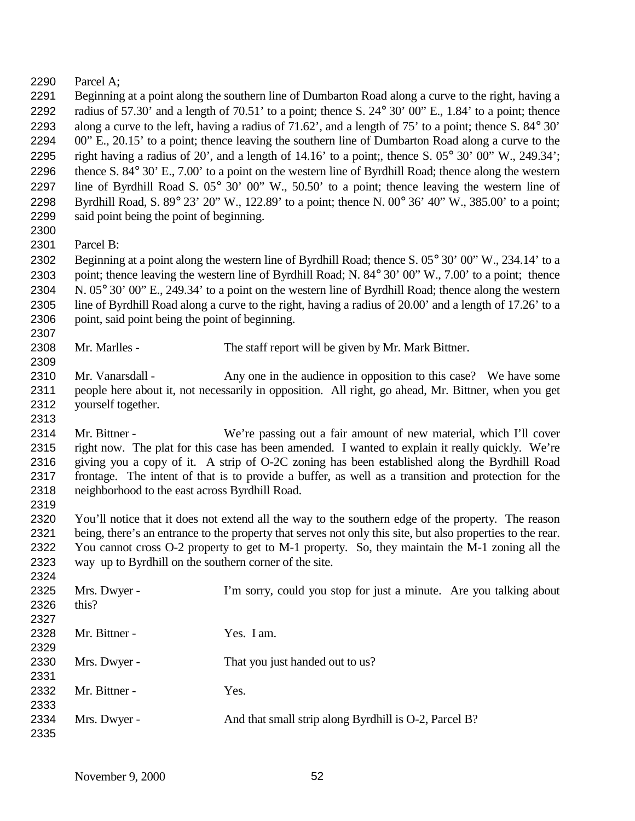Parcel A;

 Beginning at a point along the southern line of Dumbarton Road along a curve to the right, having a 2292 radius of 57.30' and a length of 70.51' to a point; thence S.  $24^{\circ}$  30' 00" E., 1.84' to a point; thence along a curve to the left, having a radius of 71.62', and a length of 75' to a point; thence S. 84° 30' 00" E., 20.15' to a point; thence leaving the southern line of Dumbarton Road along a curve to the 2295 right having a radius of 20', and a length of  $14.16'$  to a point;, thence S. 05° 30' 00" W., 249.34'; thence S. 84° 30' E., 7.00' to a point on the western line of Byrdhill Road; thence along the western line of Byrdhill Road S. 05° 30' 00" W., 50.50' to a point; thence leaving the western line of Byrdhill Road, S. 89° 23' 20" W., 122.89' to a point; thence N. 00° 36' 40" W., 385.00' to a point; said point being the point of beginning. 

Parcel B:

 Beginning at a point along the western line of Byrdhill Road; thence S. 05° 30' 00" W., 234.14' to a point; thence leaving the western line of Byrdhill Road; N. 84° 30' 00" W., 7.00' to a point; thence N. 05° 30' 00" E., 249.34' to a point on the western line of Byrdhill Road; thence along the western line of Byrdhill Road along a curve to the right, having a radius of 20.00' and a length of 17.26' to a point, said point being the point of beginning.

2308 Mr. Marlles - The staff report will be given by Mr. Mark Bittner.

2310 Mr. Vanarsdall - Any one in the audience in opposition to this case? We have some people here about it, not necessarily in opposition. All right, go ahead, Mr. Bittner, when you get yourself together.

 Mr. Bittner - We're passing out a fair amount of new material, which I'll cover right now. The plat for this case has been amended. I wanted to explain it really quickly. We're giving you a copy of it. A strip of O-2C zoning has been established along the Byrdhill Road frontage. The intent of that is to provide a buffer, as well as a transition and protection for the neighborhood to the east across Byrdhill Road.

 You'll notice that it does not extend all the way to the southern edge of the property. The reason being, there's an entrance to the property that serves not only this site, but also properties to the rear. You cannot cross O-2 property to get to M-1 property. So, they maintain the M-1 zoning all the way up to Byrdhill on the southern corner of the site.

| ---  |               |                                                                    |
|------|---------------|--------------------------------------------------------------------|
| 2325 | Mrs. Dwyer -  | I'm sorry, could you stop for just a minute. Are you talking about |
| 2326 | this?         |                                                                    |
| 2327 |               |                                                                    |
| 2328 | Mr. Bittner - | Yes. I am.                                                         |
| 2329 |               |                                                                    |
| 2330 | Mrs. Dwyer -  | That you just handed out to us?                                    |
| 2331 |               |                                                                    |
| 2332 | Mr. Bittner - | Yes.                                                               |
| 2333 |               |                                                                    |
| 2334 | Mrs. Dwyer -  | And that small strip along Byrdhill is O-2, Parcel B?              |
| 2335 |               |                                                                    |
|      |               |                                                                    |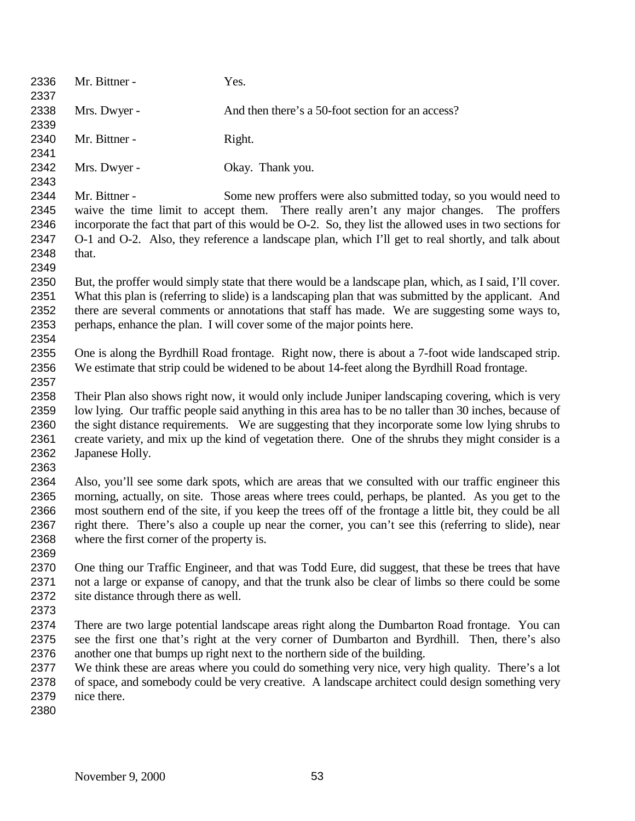| 2336<br>2337 | Mr. Bittner -                                                                                                                                                                                                | Yes.                                                                                                    |
|--------------|--------------------------------------------------------------------------------------------------------------------------------------------------------------------------------------------------------------|---------------------------------------------------------------------------------------------------------|
| 2338<br>2339 | Mrs. Dwyer -                                                                                                                                                                                                 | And then there's a 50-foot section for an access?                                                       |
| 2340<br>2341 | Mr. Bittner -                                                                                                                                                                                                | Right.                                                                                                  |
| 2342<br>2343 | Mrs. Dwyer -                                                                                                                                                                                                 | Okay. Thank you.                                                                                        |
| 2344         | Mr. Bittner -                                                                                                                                                                                                | Some new proffers were also submitted today, so you would need to                                       |
| 2345         |                                                                                                                                                                                                              | waive the time limit to accept them. There really aren't any major changes.<br>The proffers             |
| 2346         | incorporate the fact that part of this would be O-2. So, they list the allowed uses in two sections for                                                                                                      |                                                                                                         |
| 2347         | O-1 and O-2. Also, they reference a landscape plan, which I'll get to real shortly, and talk about                                                                                                           |                                                                                                         |
| 2348         | that.                                                                                                                                                                                                        |                                                                                                         |
| 2349         |                                                                                                                                                                                                              |                                                                                                         |
| 2350         |                                                                                                                                                                                                              | But, the proffer would simply state that there would be a landscape plan, which, as I said, I'll cover. |
| 2351         |                                                                                                                                                                                                              | What this plan is (referring to slide) is a landscaping plan that was submitted by the applicant. And   |
| 2352         |                                                                                                                                                                                                              | there are several comments or annotations that staff has made. We are suggesting some ways to,          |
| 2353         |                                                                                                                                                                                                              | perhaps, enhance the plan. I will cover some of the major points here.                                  |
| 2354         |                                                                                                                                                                                                              |                                                                                                         |
| 2355         |                                                                                                                                                                                                              | One is along the Byrdhill Road frontage. Right now, there is about a 7-foot wide landscaped strip.      |
| 2356         |                                                                                                                                                                                                              | We estimate that strip could be widened to be about 14-feet along the Byrdhill Road frontage.           |
| 2357         |                                                                                                                                                                                                              |                                                                                                         |
| 2358         | Their Plan also shows right now, it would only include Juniper landscaping covering, which is very                                                                                                           |                                                                                                         |
| 2359<br>2360 | low lying. Our traffic people said anything in this area has to be no taller than 30 inches, because of<br>the sight distance requirements. We are suggesting that they incorporate some low lying shrubs to |                                                                                                         |
| 2361         | create variety, and mix up the kind of vegetation there. One of the shrubs they might consider is a                                                                                                          |                                                                                                         |
| 2362         | Japanese Holly.                                                                                                                                                                                              |                                                                                                         |
| 2363         |                                                                                                                                                                                                              |                                                                                                         |
| 2364         |                                                                                                                                                                                                              | Also, you'll see some dark spots, which are areas that we consulted with our traffic engineer this      |
| 2365         | morning, actually, on site. Those areas where trees could, perhaps, be planted. As you get to the                                                                                                            |                                                                                                         |
| 2366         | most southern end of the site, if you keep the trees off of the frontage a little bit, they could be all                                                                                                     |                                                                                                         |
| 2367         | right there. There's also a couple up near the corner, you can't see this (referring to slide), near                                                                                                         |                                                                                                         |
| 2368         | where the first corner of the property is.                                                                                                                                                                   |                                                                                                         |
| 2369         |                                                                                                                                                                                                              |                                                                                                         |
| 2370         | One thing our Traffic Engineer, and that was Todd Eure, did suggest, that these be trees that have                                                                                                           |                                                                                                         |
| 2371         | not a large or expanse of canopy, and that the trunk also be clear of limbs so there could be some                                                                                                           |                                                                                                         |
| 2372         | site distance through there as well.                                                                                                                                                                         |                                                                                                         |
| 2373         |                                                                                                                                                                                                              |                                                                                                         |
| 2374         |                                                                                                                                                                                                              | There are two large potential landscape areas right along the Dumbarton Road frontage. You can          |
| 2375         | see the first one that's right at the very corner of Dumbarton and Byrdhill. Then, there's also                                                                                                              |                                                                                                         |
| 2376         |                                                                                                                                                                                                              | another one that bumps up right next to the northern side of the building.                              |
| 2377         |                                                                                                                                                                                                              | We think these are areas where you could do something very nice, very high quality. There's a lot       |
| 2378         |                                                                                                                                                                                                              | of space, and somebody could be very creative. A landscape architect could design something very        |
| 2379         | nice there.                                                                                                                                                                                                  |                                                                                                         |
| 2380         |                                                                                                                                                                                                              |                                                                                                         |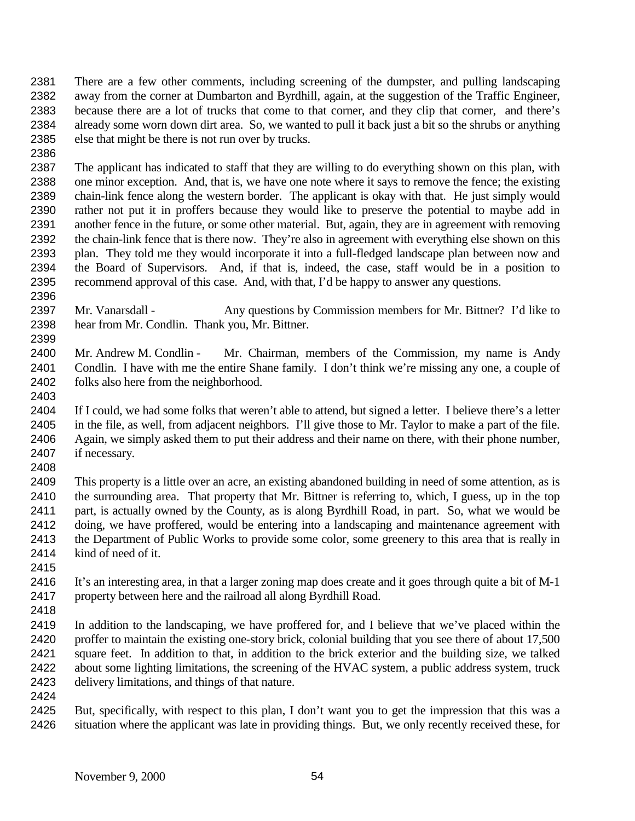There are a few other comments, including screening of the dumpster, and pulling landscaping away from the corner at Dumbarton and Byrdhill, again, at the suggestion of the Traffic Engineer, because there are a lot of trucks that come to that corner, and they clip that corner, and there's already some worn down dirt area. So, we wanted to pull it back just a bit so the shrubs or anything else that might be there is not run over by trucks.

 The applicant has indicated to staff that they are willing to do everything shown on this plan, with one minor exception. And, that is, we have one note where it says to remove the fence; the existing chain-link fence along the western border. The applicant is okay with that. He just simply would rather not put it in proffers because they would like to preserve the potential to maybe add in another fence in the future, or some other material. But, again, they are in agreement with removing the chain-link fence that is there now. They're also in agreement with everything else shown on this plan. They told me they would incorporate it into a full-fledged landscape plan between now and the Board of Supervisors. And, if that is, indeed, the case, staff would be in a position to recommend approval of this case. And, with that, I'd be happy to answer any questions.

2397 Mr. Vanarsdall - Any questions by Commission members for Mr. Bittner? I'd like to hear from Mr. Condlin. Thank you, Mr. Bittner. 

 Mr. Andrew M. Condlin - Mr. Chairman, members of the Commission, my name is Andy Condlin. I have with me the entire Shane family. I don't think we're missing any one, a couple of folks also here from the neighborhood.

 If I could, we had some folks that weren't able to attend, but signed a letter. I believe there's a letter in the file, as well, from adjacent neighbors. I'll give those to Mr. Taylor to make a part of the file. 2406 Again, we simply asked them to put their address and their name on there, with their phone number, 2407 if necessary. if necessary. 

 This property is a little over an acre, an existing abandoned building in need of some attention, as is the surrounding area. That property that Mr. Bittner is referring to, which, I guess, up in the top part, is actually owned by the County, as is along Byrdhill Road, in part. So, what we would be doing, we have proffered, would be entering into a landscaping and maintenance agreement with the Department of Public Works to provide some color, some greenery to this area that is really in kind of need of it.

 It's an interesting area, in that a larger zoning map does create and it goes through quite a bit of M-1 property between here and the railroad all along Byrdhill Road.

 In addition to the landscaping, we have proffered for, and I believe that we've placed within the 2420 proffer to maintain the existing one-story brick, colonial building that you see there of about 17,500 square feet. In addition to that, in addition to the brick exterior and the building size, we talked about some lighting limitations, the screening of the HVAC system, a public address system, truck delivery limitations, and things of that nature.

 But, specifically, with respect to this plan, I don't want you to get the impression that this was a situation where the applicant was late in providing things. But, we only recently received these, for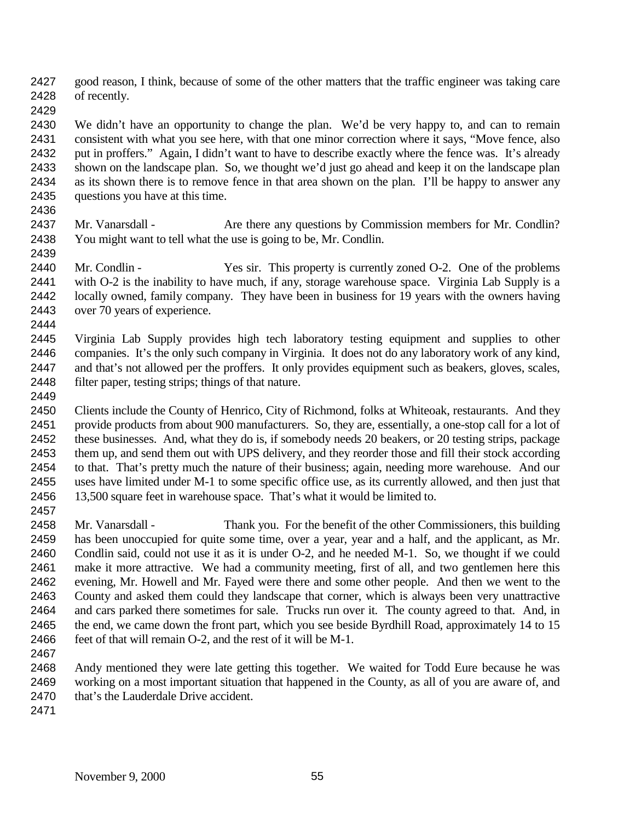good reason, I think, because of some of the other matters that the traffic engineer was taking care of recently.

 We didn't have an opportunity to change the plan. We'd be very happy to, and can to remain consistent with what you see here, with that one minor correction where it says, "Move fence, also put in proffers." Again, I didn't want to have to describe exactly where the fence was. It's already shown on the landscape plan. So, we thought we'd just go ahead and keep it on the landscape plan as its shown there is to remove fence in that area shown on the plan. I'll be happy to answer any questions you have at this time.

- 
- 2437 Mr. Vanarsdall Are there any questions by Commission members for Mr. Condlin? You might want to tell what the use is going to be, Mr. Condlin.
- Mr. Condlin Yes sir. This property is currently zoned O-2. One of the problems with O-2 is the inability to have much, if any, storage warehouse space. Virginia Lab Supply is a locally owned, family company. They have been in business for 19 years with the owners having over 70 years of experience.
- 

 Virginia Lab Supply provides high tech laboratory testing equipment and supplies to other companies. It's the only such company in Virginia. It does not do any laboratory work of any kind, and that's not allowed per the proffers. It only provides equipment such as beakers, gloves, scales, 2448 filter paper, testing strips; things of that nature.

 Clients include the County of Henrico, City of Richmond, folks at Whiteoak, restaurants. And they provide products from about 900 manufacturers. So, they are, essentially, a one-stop call for a lot of these businesses. And, what they do is, if somebody needs 20 beakers, or 20 testing strips, package them up, and send them out with UPS delivery, and they reorder those and fill their stock according to that. That's pretty much the nature of their business; again, needing more warehouse. And our uses have limited under M-1 to some specific office use, as its currently allowed, and then just that 13,500 square feet in warehouse space. That's what it would be limited to. 

 Mr. Vanarsdall - Thank you. For the benefit of the other Commissioners, this building has been unoccupied for quite some time, over a year, year and a half, and the applicant, as Mr. Condlin said, could not use it as it is under O-2, and he needed M-1. So, we thought if we could make it more attractive. We had a community meeting, first of all, and two gentlemen here this evening, Mr. Howell and Mr. Fayed were there and some other people. And then we went to the County and asked them could they landscape that corner, which is always been very unattractive and cars parked there sometimes for sale. Trucks run over it. The county agreed to that. And, in the end, we came down the front part, which you see beside Byrdhill Road, approximately 14 to 15 2466 feet of that will remain O-2, and the rest of it will be M-1. 

- Andy mentioned they were late getting this together. We waited for Todd Eure because he was working on a most important situation that happened in the County, as all of you are aware of, and 2470 that's the Lauderdale Drive accident.
-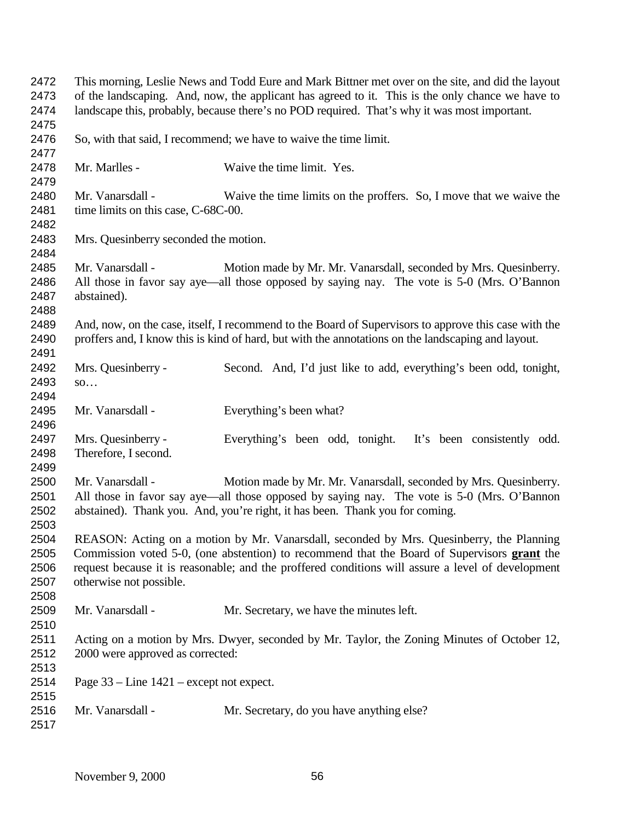| 2472<br>2473<br>2474                 | This morning, Leslie News and Todd Eure and Mark Bittner met over on the site, and did the layout<br>of the landscaping. And, now, the applicant has agreed to it. This is the only chance we have to<br>landscape this, probably, because there's no POD required. That's why it was most important.                   |                                                                                                                                                                                                                                                |
|--------------------------------------|-------------------------------------------------------------------------------------------------------------------------------------------------------------------------------------------------------------------------------------------------------------------------------------------------------------------------|------------------------------------------------------------------------------------------------------------------------------------------------------------------------------------------------------------------------------------------------|
| 2475                                 |                                                                                                                                                                                                                                                                                                                         |                                                                                                                                                                                                                                                |
| 2476<br>2477                         |                                                                                                                                                                                                                                                                                                                         | So, with that said, I recommend; we have to waive the time limit.                                                                                                                                                                              |
| 2478<br>2479                         | Mr. Marlles -                                                                                                                                                                                                                                                                                                           | Waive the time limit. Yes.                                                                                                                                                                                                                     |
| 2480<br>2481<br>2482                 | Mr. Vanarsdall -<br>time limits on this case, C-68C-00.                                                                                                                                                                                                                                                                 | Waive the time limits on the proffers. So, I move that we waive the                                                                                                                                                                            |
| 2483<br>2484                         | Mrs. Quesinberry seconded the motion.                                                                                                                                                                                                                                                                                   |                                                                                                                                                                                                                                                |
| 2485<br>2486<br>2487<br>2488         | Mr. Vanarsdall -<br>abstained).                                                                                                                                                                                                                                                                                         | Motion made by Mr. Mr. Vanarsdall, seconded by Mrs. Quesinberry.<br>All those in favor say aye—all those opposed by saying nay. The vote is 5-0 (Mrs. O'Bannon                                                                                 |
| 2489<br>2490<br>2491                 | And, now, on the case, itself, I recommend to the Board of Supervisors to approve this case with the<br>proffers and, I know this is kind of hard, but with the annotations on the landscaping and layout.                                                                                                              |                                                                                                                                                                                                                                                |
| 2492                                 | Mrs. Quesinberry -                                                                                                                                                                                                                                                                                                      | Second. And, I'd just like to add, everything's been odd, tonight,                                                                                                                                                                             |
| 2493<br>2494                         | SO                                                                                                                                                                                                                                                                                                                      |                                                                                                                                                                                                                                                |
| 2495<br>2496                         | Mr. Vanarsdall -                                                                                                                                                                                                                                                                                                        | Everything's been what?                                                                                                                                                                                                                        |
| 2497<br>2498<br>2499                 | Mrs. Quesinberry -<br>Therefore, I second.                                                                                                                                                                                                                                                                              | Everything's been odd, tonight. It's been consistently odd.                                                                                                                                                                                    |
| 2500<br>2501<br>2502<br>2503         | Mr. Vanarsdall -                                                                                                                                                                                                                                                                                                        | Motion made by Mr. Mr. Vanarsdall, seconded by Mrs. Quesinberry.<br>All those in favor say aye—all those opposed by saying nay. The vote is 5-0 (Mrs. O'Bannon<br>abstained). Thank you. And, you're right, it has been. Thank you for coming. |
| 2504<br>2505<br>2506<br>2507<br>2508 | REASON: Acting on a motion by Mr. Vanarsdall, seconded by Mrs. Quesinberry, the Planning<br>Commission voted 5-0, (one abstention) to recommend that the Board of Supervisors grant the<br>request because it is reasonable; and the proffered conditions will assure a level of development<br>otherwise not possible. |                                                                                                                                                                                                                                                |
| 2509<br>2510                         | Mr. Vanarsdall -                                                                                                                                                                                                                                                                                                        | Mr. Secretary, we have the minutes left.                                                                                                                                                                                                       |
| 2511<br>2512<br>2513                 | Acting on a motion by Mrs. Dwyer, seconded by Mr. Taylor, the Zoning Minutes of October 12,<br>2000 were approved as corrected:                                                                                                                                                                                         |                                                                                                                                                                                                                                                |
| 2514<br>2515                         | Page $33$ – Line $1421$ – except not expect.                                                                                                                                                                                                                                                                            |                                                                                                                                                                                                                                                |
| 2516<br>2517                         | Mr. Vanarsdall -                                                                                                                                                                                                                                                                                                        | Mr. Secretary, do you have anything else?                                                                                                                                                                                                      |